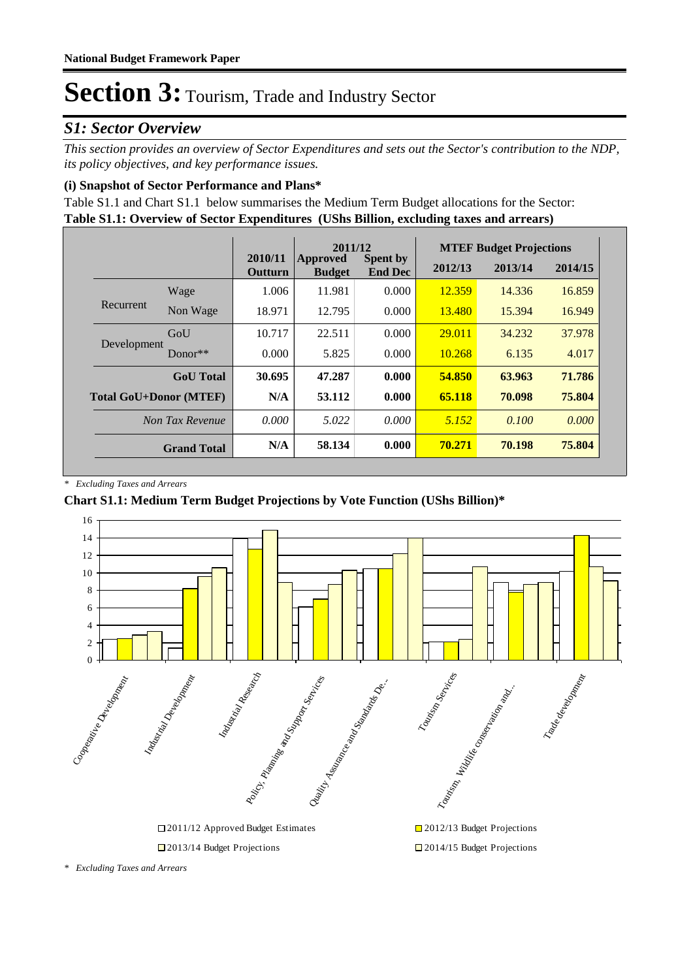### *S1: Sector Overview*

*This section provides an overview of Sector Expenditures and sets out the Sector's contribution to the NDP, its policy objectives, and key performance issues.* 

#### **(i) Snapshot of Sector Performance and Plans\***

**Table S1.1: Overview of Sector Expenditures (UShs Billion, excluding taxes and arrears)** Table S1.1 and Chart S1.1 below summarises the Medium Term Budget allocations for the Sector:

|                               |                    |                    | 2011/12                   |                                   |         | <b>MTEF Budget Projections</b> |         |
|-------------------------------|--------------------|--------------------|---------------------------|-----------------------------------|---------|--------------------------------|---------|
|                               |                    | 2010/11<br>Outturn | Approved<br><b>Budget</b> | <b>Spent by</b><br><b>End Dec</b> | 2012/13 | 2013/14                        | 2014/15 |
|                               | Wage               | 1.006              | 11.981                    | 0.000                             | 12.359  | 14.336                         | 16.859  |
| Recurrent                     | Non Wage           | 18.971             | 12.795                    | 0.000                             | 13.480  | 15.394                         | 16.949  |
| Development                   | GoU                | 10.717             | 22.511                    | 0.000                             | 29.011  | 34.232                         | 37.978  |
|                               | $Donor**$          | 0.000              | 5.825                     | 0.000                             | 10.268  | 6.135                          | 4.017   |
|                               | <b>GoU</b> Total   | 30.695             | 47.287                    | 0.000                             | 54.850  | 63.963                         | 71.786  |
| <b>Total GoU+Donor (MTEF)</b> |                    | N/A                | 53.112                    | 0.000                             | 65.118  | 70.098                         | 75.804  |
|                               | Non Tax Revenue    | 0.000              | 5.022                     | 0.000                             | 5.152   | 0.100                          | 0.000   |
|                               | <b>Grand Total</b> | N/A                | 58.134                    | 0.000                             | 70.271  | 70.198                         | 75.804  |

*\* Excluding Taxes and Arrears*

#### **Chart S1.1: Medium Term Budget Projections by Vote Function (UShs Billion)\***



*\* Excluding Taxes and Arrears*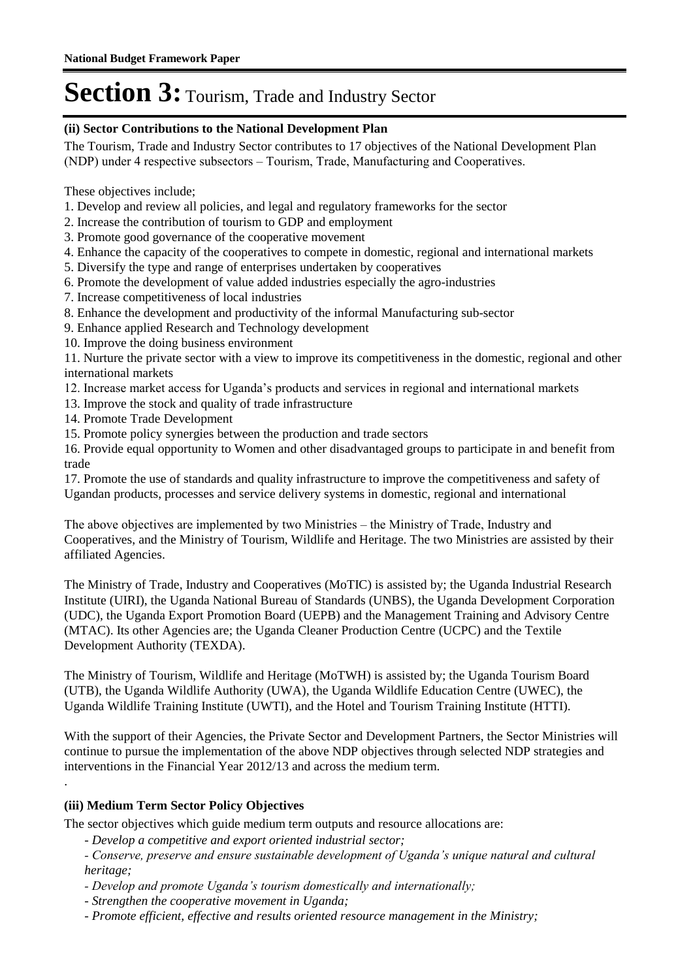#### **(ii) Sector Contributions to the National Development Plan**

The Tourism, Trade and Industry Sector contributes to 17 objectives of the National Development Plan (NDP) under 4 respective subsectors – Tourism, Trade, Manufacturing and Cooperatives.

These objectives include;

- 1. Develop and review all policies, and legal and regulatory frameworks for the sector
- 2. Increase the contribution of tourism to GDP and employment
- 3. Promote good governance of the cooperative movement
- 4. Enhance the capacity of the cooperatives to compete in domestic, regional and international markets
- 5. Diversify the type and range of enterprises undertaken by cooperatives
- 6. Promote the development of value added industries especially the agro-industries
- 7. Increase competitiveness of local industries
- 8. Enhance the development and productivity of the informal Manufacturing sub-sector
- 9. Enhance applied Research and Technology development
- 10. Improve the doing business environment

11. Nurture the private sector with a view to improve its competitiveness in the domestic, regional and other international markets

- 12. Increase market access for Uganda's products and services in regional and international markets
- 13. Improve the stock and quality of trade infrastructure
- 14. Promote Trade Development
- 15. Promote policy synergies between the production and trade sectors

16. Provide equal opportunity to Women and other disadvantaged groups to participate in and benefit from trade

17. Promote the use of standards and quality infrastructure to improve the competitiveness and safety of Ugandan products, processes and service delivery systems in domestic, regional and international

The above objectives are implemented by two Ministries – the Ministry of Trade, Industry and Cooperatives, and the Ministry of Tourism, Wildlife and Heritage. The two Ministries are assisted by their affiliated Agencies.

The Ministry of Trade, Industry and Cooperatives (MoTIC) is assisted by; the Uganda Industrial Research Institute (UIRI), the Uganda National Bureau of Standards (UNBS), the Uganda Development Corporation (UDC), the Uganda Export Promotion Board (UEPB) and the Management Training and Advisory Centre (MTAC). Its other Agencies are; the Uganda Cleaner Production Centre (UCPC) and the Textile Development Authority (TEXDA).

The Ministry of Tourism, Wildlife and Heritage (MoTWH) is assisted by; the Uganda Tourism Board (UTB), the Uganda Wildlife Authority (UWA), the Uganda Wildlife Education Centre (UWEC), the Uganda Wildlife Training Institute (UWTI), and the Hotel and Tourism Training Institute (HTTI).

With the support of their Agencies, the Private Sector and Development Partners, the Sector Ministries will continue to pursue the implementation of the above NDP objectives through selected NDP strategies and interventions in the Financial Year 2012/13 and across the medium term.

#### **(iii) Medium Term Sector Policy Objectives**

.

The sector objectives which guide medium term outputs and resource allocations are:

*- Develop a competitive and export oriented industrial sector;* 

*- Conserve, preserve and ensure sustainable development of Uganda's unique natural and cultural heritage;* 

- *Develop and promote Uganda's tourism domestically and internationally;*
- *Strengthen the cooperative movement in Uganda;*
- *Promote efficient, effective and results oriented resource management in the Ministry;*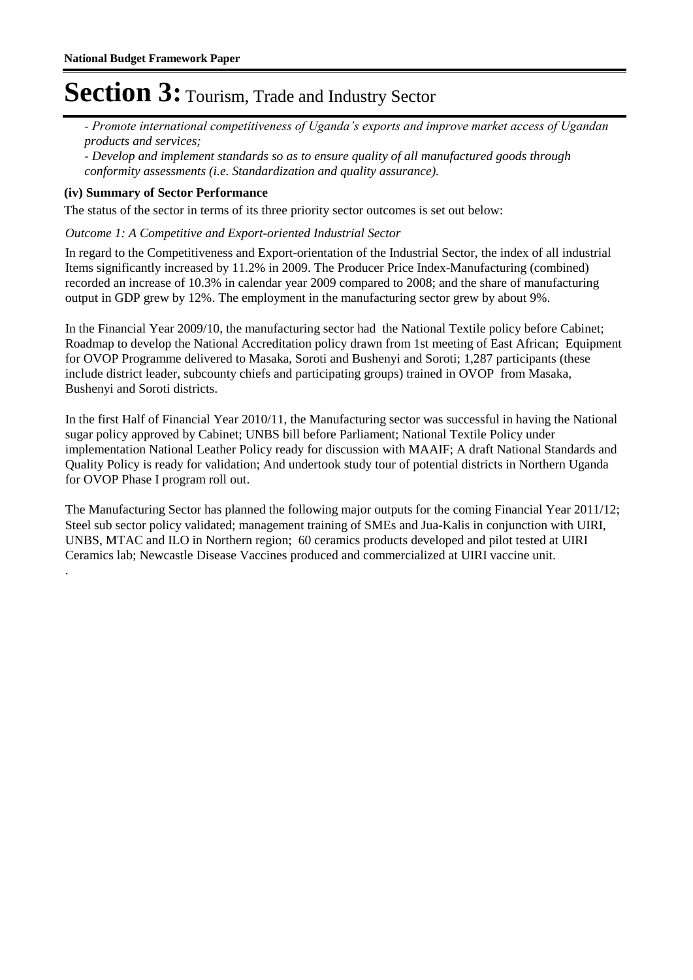*- Promote international competitiveness of Uganda's exports and improve market access of Ugandan products and services;* 

*- Develop and implement standards so as to ensure quality of all manufactured goods through conformity assessments (i.e. Standardization and quality assurance).*

#### **(iv) Summary of Sector Performance**

.

The status of the sector in terms of its three priority sector outcomes is set out below:

#### Outcome 1: A Competitive and Export-oriented Industrial Sector

In regard to the Competitiveness and Export-orientation of the Industrial Sector, the index of all industrial Items significantly increased by 11.2% in 2009. The Producer Price Index-Manufacturing (combined) recorded an increase of 10.3% in calendar year 2009 compared to 2008; and the share of manufacturing output in GDP grew by 12%. The employment in the manufacturing sector grew by about 9%.

In the Financial Year 2009/10, the manufacturing sector had the National Textile policy before Cabinet; Roadmap to develop the National Accreditation policy drawn from 1st meeting of East African; Equipment for OVOP Programme delivered to Masaka, Soroti and Bushenyi and Soroti; 1,287 participants (these include district leader, subcounty chiefs and participating groups) trained in OVOP from Masaka, Bushenyi and Soroti districts.

In the first Half of Financial Year 2010/11, the Manufacturing sector was successful in having the National sugar policy approved by Cabinet; UNBS bill before Parliament; National Textile Policy under implementation National Leather Policy ready for discussion with MAAIF; A draft National Standards and Quality Policy is ready for validation; And undertook study tour of potential districts in Northern Uganda for OVOP Phase I program roll out.

The Manufacturing Sector has planned the following major outputs for the coming Financial Year 2011/12; Steel sub sector policy validated; management training of SMEs and Jua-Kalis in conjunction with UIRI, UNBS, MTAC and ILO in Northern region; 60 ceramics products developed and pilot tested at UIRI Ceramics lab; Newcastle Disease Vaccines produced and commercialized at UIRI vaccine unit.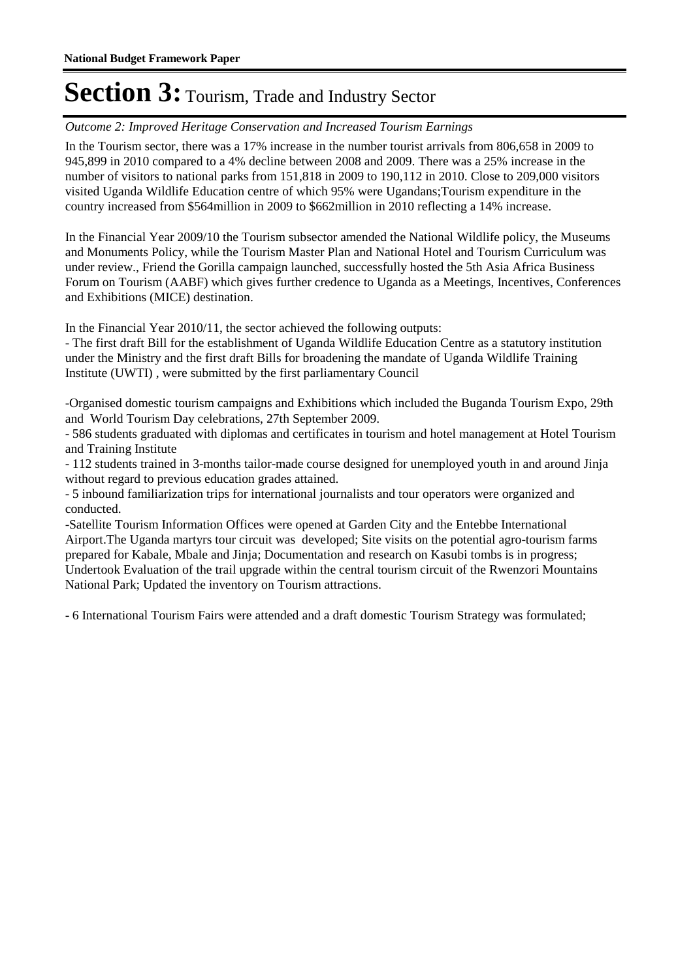#### Outcome 2: Improved Heritage Conservation and Increased Tourism Earnings

In the Tourism sector, there was a 17% increase in the number tourist arrivals from 806,658 in 2009 to 945,899 in 2010 compared to a 4% decline between 2008 and 2009. There was a 25% increase in the number of visitors to national parks from 151,818 in 2009 to 190,112 in 2010. Close to 209,000 visitors visited Uganda Wildlife Education centre of which 95% were Ugandans;Tourism expenditure in the country increased from \$564million in 2009 to \$662million in 2010 reflecting a 14% increase.

In the Financial Year 2009/10 the Tourism subsector amended the National Wildlife policy, the Museums and Monuments Policy, while the Tourism Master Plan and National Hotel and Tourism Curriculum was under review., Friend the Gorilla campaign launched, successfully hosted the 5th Asia Africa Business Forum on Tourism (AABF) which gives further credence to Uganda as a Meetings, Incentives, Conferences and Exhibitions (MICE) destination.

In the Financial Year 2010/11, the sector achieved the following outputs:

- The first draft Bill for the establishment of Uganda Wildlife Education Centre as a statutory institution under the Ministry and the first draft Bills for broadening the mandate of Uganda Wildlife Training Institute (UWTI) , were submitted by the first parliamentary Council

-Organised domestic tourism campaigns and Exhibitions which included the Buganda Tourism Expo, 29th and World Tourism Day celebrations, 27th September 2009.

- 586 students graduated with diplomas and certificates in tourism and hotel management at Hotel Tourism and Training Institute

- 112 students trained in 3-months tailor-made course designed for unemployed youth in and around Jinja without regard to previous education grades attained.

- 5 inbound familiarization trips for international journalists and tour operators were organized and conducted.

-Satellite Tourism Information Offices were opened at Garden City and the Entebbe International Airport.The Uganda martyrs tour circuit was developed; Site visits on the potential agro-tourism farms prepared for Kabale, Mbale and Jinja; Documentation and research on Kasubi tombs is in progress; Undertook Evaluation of the trail upgrade within the central tourism circuit of the Rwenzori Mountains National Park; Updated the inventory on Tourism attractions.

- 6 International Tourism Fairs were attended and a draft domestic Tourism Strategy was formulated;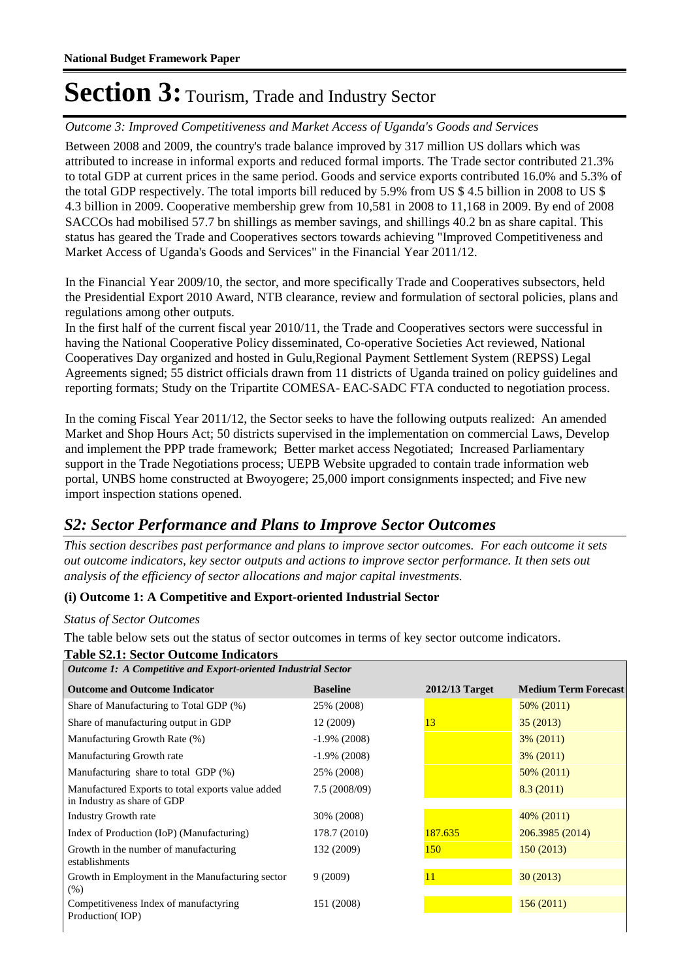Outcome 3: Improved Competitiveness and Market Access of Uganda's Goods and Services

Between 2008 and 2009, the country's trade balance improved by 317 million US dollars which was attributed to increase in informal exports and reduced formal imports. The Trade sector contributed 21.3% to total GDP at current prices in the same period. Goods and service exports contributed 16.0% and 5.3% of the total GDP respectively. The total imports bill reduced by 5.9% from US \$ 4.5 billion in 2008 to US \$ 4.3 billion in 2009. Cooperative membership grew from 10,581 in 2008 to 11,168 in 2009. By end of 2008 SACCOs had mobilised 57.7 bn shillings as member savings, and shillings 40.2 bn as share capital. This status has geared the Trade and Cooperatives sectors towards achieving "Improved Competitiveness and Market Access of Uganda's Goods and Services" in the Financial Year 2011/12.

In the Financial Year 2009/10, the sector, and more specifically Trade and Cooperatives subsectors, held the Presidential Export 2010 Award, NTB clearance, review and formulation of sectoral policies, plans and regulations among other outputs.

In the first half of the current fiscal year 2010/11, the Trade and Cooperatives sectors were successful in having the National Cooperative Policy disseminated, Co-operative Societies Act reviewed, National Cooperatives Day organized and hosted in Gulu,Regional Payment Settlement System (REPSS) Legal Agreements signed; 55 district officials drawn from 11 districts of Uganda trained on policy guidelines and reporting formats; Study on the Tripartite COMESA- EAC-SADC FTA conducted to negotiation process.

In the coming Fiscal Year 2011/12, the Sector seeks to have the following outputs realized: An amended Market and Shop Hours Act; 50 districts supervised in the implementation on commercial Laws, Develop and implement the PPP trade framework; Better market access Negotiated; Increased Parliamentary support in the Trade Negotiations process; UEPB Website upgraded to contain trade information web portal, UNBS home constructed at Bwoyogere; 25,000 import consignments inspected; and Five new import inspection stations opened.

### *S2: Sector Performance and Plans to Improve Sector Outcomes*

*This section describes past performance and plans to improve sector outcomes. For each outcome it sets out outcome indicators, key sector outputs and actions to improve sector performance. It then sets out analysis of the efficiency of sector allocations and major capital investments.*

#### **(i) Outcome 1: A Competitive and Export-oriented Industrial Sector**

#### *Status of Sector Outcomes*

The table below sets out the status of sector outcomes in terms of key sector outcome indicators.

#### **Table S2.1: Sector Outcome Indicators**

| <b>Outcome 1: A Competitive and Export-oriented Industrial Sector</b>            |                 |                  |                             |  |  |  |
|----------------------------------------------------------------------------------|-----------------|------------------|-----------------------------|--|--|--|
| <b>Outcome and Outcome Indicator</b>                                             | <b>Baseline</b> | $2012/13$ Target | <b>Medium Term Forecast</b> |  |  |  |
| Share of Manufacturing to Total GDP (%)                                          | 25% (2008)      |                  | 50% (2011)                  |  |  |  |
| Share of manufacturing output in GDP                                             | 12 (2009)       | 13               | 35(2013)                    |  |  |  |
| Manufacturing Growth Rate (%)                                                    | $-1.9\%$ (2008) |                  | $3\%$ (2011)                |  |  |  |
| Manufacturing Growth rate                                                        | $-1.9\%$ (2008) |                  | $3\%$ (2011)                |  |  |  |
| Manufacturing share to total GDP (%)                                             | 25% (2008)      |                  | 50% (2011)                  |  |  |  |
| Manufactured Exports to total exports value added<br>in Industry as share of GDP | 7.5 (2008/09)   |                  | 8.3(2011)                   |  |  |  |
| <b>Industry Growth rate</b>                                                      | 30% (2008)      |                  | $40\%$ (2011)               |  |  |  |
| Index of Production (IoP) (Manufacturing)                                        | 178.7 (2010)    | 187.635          | 206.3985 (2014)             |  |  |  |
| Growth in the number of manufacturing<br>establishments                          | 132 (2009)      | 150              | 150(2013)                   |  |  |  |
| Growth in Employment in the Manufacturing sector<br>$(\% )$                      | 9(2009)         | 11               | 30(2013)                    |  |  |  |
| Competitiveness Index of manufactyring<br>Production(IOP)                        | 151 (2008)      |                  | 156(2011)                   |  |  |  |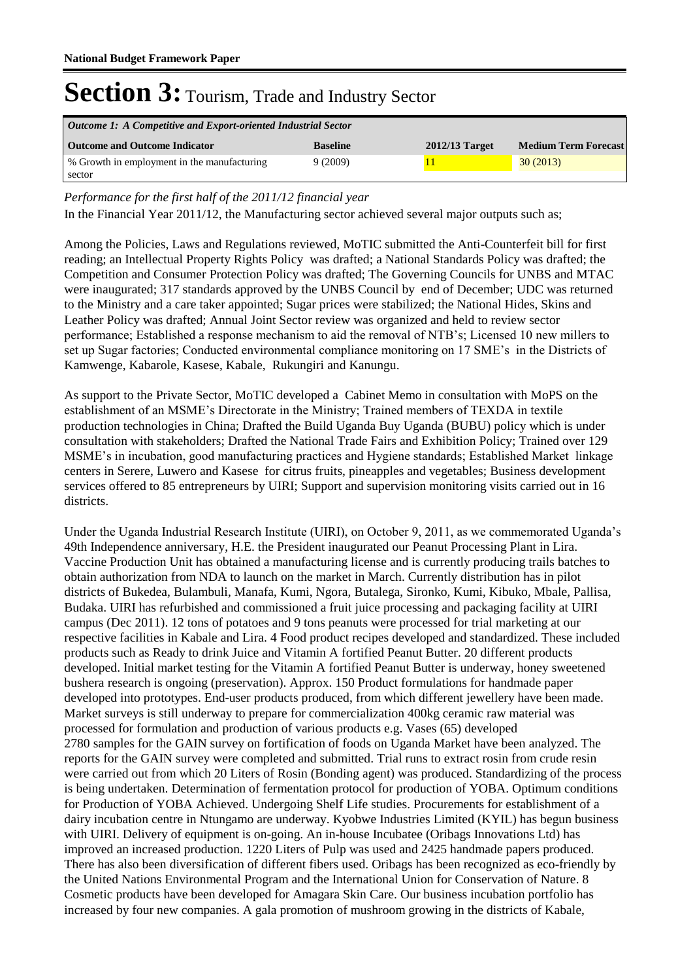| Outcome 1: A Competitive and Export-oriented Industrial Sector |                 |                  |                             |  |  |  |
|----------------------------------------------------------------|-----------------|------------------|-----------------------------|--|--|--|
| <b>Outcome and Outcome Indicator</b>                           | <b>Baseline</b> | $2012/13$ Target | <b>Medium Term Forecast</b> |  |  |  |
| % Growth in employment in the manufacturing                    | 9(2009)         |                  | 30(2013)                    |  |  |  |
| sector                                                         |                 |                  |                             |  |  |  |

*Performance for the first half of the 2011/12 financial year*

In the Financial Year 2011/12, the Manufacturing sector achieved several major outputs such as;

Among the Policies, Laws and Regulations reviewed, MoTIC submitted the Anti-Counterfeit bill for first reading; an Intellectual Property Rights Policy was drafted; a National Standards Policy was drafted; the Competition and Consumer Protection Policy was drafted; The Governing Councils for UNBS and MTAC were inaugurated; 317 standards approved by the UNBS Council by end of December; UDC was returned to the Ministry and a care taker appointed; Sugar prices were stabilized; the National Hides, Skins and Leather Policy was drafted; Annual Joint Sector review was organized and held to review sector performance; Established a response mechanism to aid the removal of NTB's; Licensed 10 new millers to set up Sugar factories; Conducted environmental compliance monitoring on 17 SME's in the Districts of Kamwenge, Kabarole, Kasese, Kabale, Rukungiri and Kanungu.

As support to the Private Sector, MoTIC developed a Cabinet Memo in consultation with MoPS on the establishment of an MSME's Directorate in the Ministry; Trained members of TEXDA in textile production technologies in China; Drafted the Build Uganda Buy Uganda (BUBU) policy which is under consultation with stakeholders; Drafted the National Trade Fairs and Exhibition Policy; Trained over 129 MSME's in incubation, good manufacturing practices and Hygiene standards; Established Market linkage centers in Serere, Luwero and Kasese for citrus fruits, pineapples and vegetables; Business development services offered to 85 entrepreneurs by UIRI; Support and supervision monitoring visits carried out in 16 districts.

Under the Uganda Industrial Research Institute (UIRI), on October 9, 2011, as we commemorated Uganda's 49th Independence anniversary, H.E. the President inaugurated our Peanut Processing Plant in Lira. Vaccine Production Unit has obtained a manufacturing license and is currently producing trails batches to obtain authorization from NDA to launch on the market in March. Currently distribution has in pilot districts of Bukedea, Bulambuli, Manafa, Kumi, Ngora, Butalega, Sironko, Kumi, Kibuko, Mbale, Pallisa, Budaka. UIRI has refurbished and commissioned a fruit juice processing and packaging facility at UIRI campus (Dec 2011). 12 tons of potatoes and 9 tons peanuts were processed for trial marketing at our respective facilities in Kabale and Lira. 4 Food product recipes developed and standardized. These included products such as Ready to drink Juice and Vitamin A fortified Peanut Butter. 20 different products developed. Initial market testing for the Vitamin A fortified Peanut Butter is underway, honey sweetened bushera research is ongoing (preservation). Approx. 150 Product formulations for handmade paper developed into prototypes. End-user products produced, from which different jewellery have been made. Market surveys is still underway to prepare for commercialization 400kg ceramic raw material was processed for formulation and production of various products e.g. Vases (65) developed 2780 samples for the GAIN survey on fortification of foods on Uganda Market have been analyzed. The reports for the GAIN survey were completed and submitted. Trial runs to extract rosin from crude resin were carried out from which 20 Liters of Rosin (Bonding agent) was produced. Standardizing of the process is being undertaken. Determination of fermentation protocol for production of YOBA. Optimum conditions for Production of YOBA Achieved. Undergoing Shelf Life studies. Procurements for establishment of a dairy incubation centre in Ntungamo are underway. Kyobwe Industries Limited (KYIL) has begun business with UIRI. Delivery of equipment is on-going. An in-house Incubatee (Oribags Innovations Ltd) has improved an increased production. 1220 Liters of Pulp was used and 2425 handmade papers produced. There has also been diversification of different fibers used. Oribags has been recognized as eco-friendly by the United Nations Environmental Program and the International Union for Conservation of Nature. 8 Cosmetic products have been developed for Amagara Skin Care. Our business incubation portfolio has increased by four new companies. A gala promotion of mushroom growing in the districts of Kabale,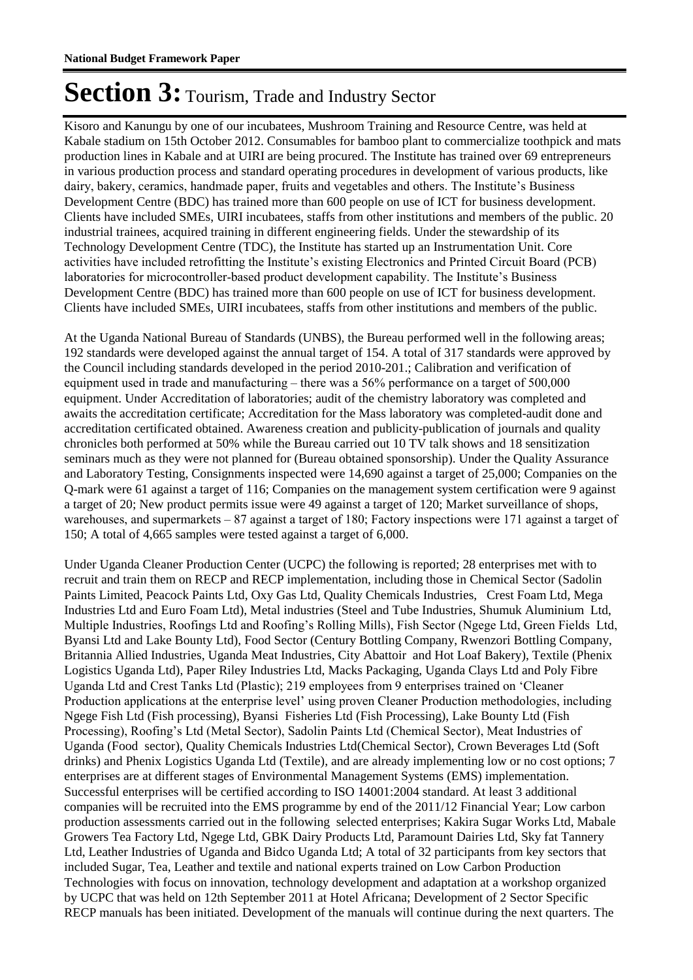Kisoro and Kanungu by one of our incubatees, Mushroom Training and Resource Centre, was held at Kabale stadium on 15th October 2012. Consumables for bamboo plant to commercialize toothpick and mats production lines in Kabale and at UIRI are being procured. The Institute has trained over 69 entrepreneurs in various production process and standard operating procedures in development of various products, like dairy, bakery, ceramics, handmade paper, fruits and vegetables and others. The Institute's Business Development Centre (BDC) has trained more than 600 people on use of ICT for business development. Clients have included SMEs, UIRI incubatees, staffs from other institutions and members of the public. 20 industrial trainees, acquired training in different engineering fields. Under the stewardship of its Technology Development Centre (TDC), the Institute has started up an Instrumentation Unit. Core activities have included retrofitting the Institute's existing Electronics and Printed Circuit Board (PCB) laboratories for microcontroller-based product development capability. The Institute's Business Development Centre (BDC) has trained more than 600 people on use of ICT for business development. Clients have included SMEs, UIRI incubatees, staffs from other institutions and members of the public.

At the Uganda National Bureau of Standards (UNBS), the Bureau performed well in the following areas; 192 standards were developed against the annual target of 154. A total of 317 standards were approved by the Council including standards developed in the period 2010-201.; Calibration and verification of equipment used in trade and manufacturing – there was a 56% performance on a target of 500,000 equipment. Under Accreditation of laboratories; audit of the chemistry laboratory was completed and awaits the accreditation certificate; Accreditation for the Mass laboratory was completed-audit done and accreditation certificated obtained. Awareness creation and publicity-publication of journals and quality chronicles both performed at 50% while the Bureau carried out 10 TV talk shows and 18 sensitization seminars much as they were not planned for (Bureau obtained sponsorship). Under the Quality Assurance and Laboratory Testing, Consignments inspected were 14,690 against a target of 25,000; Companies on the Q-mark were 61 against a target of 116; Companies on the management system certification were 9 against a target of 20; New product permits issue were 49 against a target of 120; Market surveillance of shops, warehouses, and supermarkets – 87 against a target of 180; Factory inspections were 171 against a target of 150; A total of 4,665 samples were tested against a target of 6,000.

Under Uganda Cleaner Production Center (UCPC) the following is reported; 28 enterprises met with to recruit and train them on RECP and RECP implementation, including those in Chemical Sector (Sadolin Paints Limited, Peacock Paints Ltd, Oxy Gas Ltd, Quality Chemicals Industries, Crest Foam Ltd, Mega Industries Ltd and Euro Foam Ltd), Metal industries (Steel and Tube Industries, Shumuk Aluminium Ltd, Multiple Industries, Roofings Ltd and Roofing's Rolling Mills), Fish Sector (Ngege Ltd, Green Fields Ltd, Byansi Ltd and Lake Bounty Ltd), Food Sector (Century Bottling Company, Rwenzori Bottling Company, Britannia Allied Industries, Uganda Meat Industries, City Abattoir and Hot Loaf Bakery), Textile (Phenix Logistics Uganda Ltd), Paper Riley Industries Ltd, Macks Packaging, Uganda Clays Ltd and Poly Fibre Uganda Ltd and Crest Tanks Ltd (Plastic); 219 employees from 9 enterprises trained on 'Cleaner Production applications at the enterprise level' using proven Cleaner Production methodologies, including Ngege Fish Ltd (Fish processing), Byansi Fisheries Ltd (Fish Processing), Lake Bounty Ltd (Fish Processing), Roofing's Ltd (Metal Sector), Sadolin Paints Ltd (Chemical Sector), Meat Industries of Uganda (Food sector), Quality Chemicals Industries Ltd(Chemical Sector), Crown Beverages Ltd (Soft drinks) and Phenix Logistics Uganda Ltd (Textile), and are already implementing low or no cost options; 7 enterprises are at different stages of Environmental Management Systems (EMS) implementation. Successful enterprises will be certified according to ISO 14001:2004 standard. At least 3 additional companies will be recruited into the EMS programme by end of the 2011/12 Financial Year; Low carbon production assessments carried out in the following selected enterprises; Kakira Sugar Works Ltd, Mabale Growers Tea Factory Ltd, Ngege Ltd, GBK Dairy Products Ltd, Paramount Dairies Ltd, Sky fat Tannery Ltd, Leather Industries of Uganda and Bidco Uganda Ltd; A total of 32 participants from key sectors that included Sugar, Tea, Leather and textile and national experts trained on Low Carbon Production Technologies with focus on innovation, technology development and adaptation at a workshop organized by UCPC that was held on 12th September 2011 at Hotel Africana; Development of 2 Sector Specific RECP manuals has been initiated. Development of the manuals will continue during the next quarters. The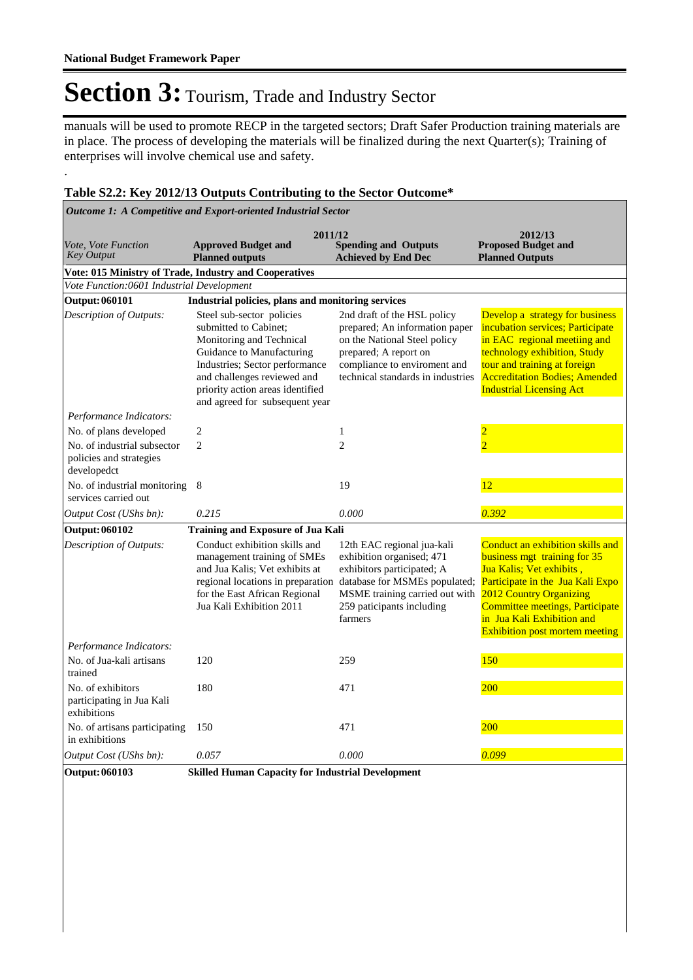.

# Section 3: Tourism, Trade and Industry Sector

manuals will be used to promote RECP in the targeted sectors; Draft Safer Production training materials are in place. The process of developing the materials will be finalized during the next Quarter(s); Training of enterprises will involve chemical use and safety.

#### **Table S2.2: Key 2012/13 Outputs Contributing to the Sector Outcome\***

| Outcome 1: A Competitive and Export-oriented Industrial Sector        |                                                                                                                                                                                                                                                    |                                                                                                                                                                                                  |                                                                                                                                                                                                                                                                       |  |  |
|-----------------------------------------------------------------------|----------------------------------------------------------------------------------------------------------------------------------------------------------------------------------------------------------------------------------------------------|--------------------------------------------------------------------------------------------------------------------------------------------------------------------------------------------------|-----------------------------------------------------------------------------------------------------------------------------------------------------------------------------------------------------------------------------------------------------------------------|--|--|
| Vote, Vote Function<br><b>Key Output</b>                              | 2011/12<br><b>Approved Budget and</b><br><b>Planned outputs</b>                                                                                                                                                                                    | <b>Spending and Outputs</b><br><b>Achieved by End Dec</b>                                                                                                                                        | 2012/13<br><b>Proposed Budget and</b><br><b>Planned Outputs</b>                                                                                                                                                                                                       |  |  |
|                                                                       | Vote: 015 Ministry of Trade, Industry and Cooperatives                                                                                                                                                                                             |                                                                                                                                                                                                  |                                                                                                                                                                                                                                                                       |  |  |
| Vote Function:0601 Industrial Development                             |                                                                                                                                                                                                                                                    |                                                                                                                                                                                                  |                                                                                                                                                                                                                                                                       |  |  |
| <b>Output: 060101</b>                                                 | Industrial policies, plans and monitoring services                                                                                                                                                                                                 |                                                                                                                                                                                                  |                                                                                                                                                                                                                                                                       |  |  |
| Description of Outputs:                                               | Steel sub-sector policies<br>submitted to Cabinet;<br>Monitoring and Technical<br>Guidance to Manufacturing<br>Industries; Sector performance<br>and challenges reviewed and<br>priority action areas identified<br>and agreed for subsequent year | 2nd draft of the HSL policy<br>prepared; An information paper<br>on the National Steel policy<br>prepared; A report on<br>compliance to enviroment and<br>technical standards in industries      | Develop a strategy for business<br>incubation services; Participate<br>in EAC regional meetiing and<br>technology exhibition, Study<br>tour and training at foreign<br><b>Accreditation Bodies; Amended</b><br><b>Industrial Licensing Act</b>                        |  |  |
| Performance Indicators:                                               |                                                                                                                                                                                                                                                    |                                                                                                                                                                                                  |                                                                                                                                                                                                                                                                       |  |  |
| No. of plans developed                                                | $\sqrt{2}$                                                                                                                                                                                                                                         | $\mathbf{1}$                                                                                                                                                                                     | $\overline{2}$                                                                                                                                                                                                                                                        |  |  |
| No. of industrial subsector<br>policies and strategies<br>developedct | $\overline{2}$                                                                                                                                                                                                                                     | $\overline{c}$                                                                                                                                                                                   | $\overline{2}$                                                                                                                                                                                                                                                        |  |  |
| No. of industrial monitoring 8<br>services carried out                |                                                                                                                                                                                                                                                    | 19                                                                                                                                                                                               | 12                                                                                                                                                                                                                                                                    |  |  |
| Output Cost (UShs bn):                                                | 0.215                                                                                                                                                                                                                                              | 0.000                                                                                                                                                                                            | 0.392                                                                                                                                                                                                                                                                 |  |  |
| <b>Output: 060102</b>                                                 | <b>Training and Exposure of Jua Kali</b>                                                                                                                                                                                                           |                                                                                                                                                                                                  |                                                                                                                                                                                                                                                                       |  |  |
| Description of Outputs:                                               | Conduct exhibition skills and<br>management training of SMEs<br>and Jua Kalis; Vet exhibits at<br>regional locations in preparation<br>for the East African Regional<br>Jua Kali Exhibition 2011                                                   | 12th EAC regional jua-kali<br>exhibition organised; 471<br>exhibitors participated; A<br>database for MSMEs populated;<br>MSME training carried out with<br>259 paticipants including<br>farmers | Conduct an exhibition skills and<br>business mgt training for 35<br>Jua Kalis; Vet exhibits,<br>Participate in the Jua Kali Expo<br>2012 Country Organizing<br>Committee meetings, Participate<br>in Jua Kali Exhibition and<br><b>Exhibition post mortem meeting</b> |  |  |
| Performance Indicators:                                               |                                                                                                                                                                                                                                                    |                                                                                                                                                                                                  |                                                                                                                                                                                                                                                                       |  |  |
| No. of Jua-kali artisans<br>trained                                   | 120                                                                                                                                                                                                                                                | 259                                                                                                                                                                                              | 150                                                                                                                                                                                                                                                                   |  |  |
| No. of exhibitors<br>participating in Jua Kali<br>exhibitions         | 180                                                                                                                                                                                                                                                | 471                                                                                                                                                                                              | 200                                                                                                                                                                                                                                                                   |  |  |
| No. of artisans participating<br>in exhibitions                       | 150                                                                                                                                                                                                                                                | 471                                                                                                                                                                                              | 200                                                                                                                                                                                                                                                                   |  |  |
| Output Cost (UShs bn):                                                | 0.057                                                                                                                                                                                                                                              | 0.000                                                                                                                                                                                            | 0.099                                                                                                                                                                                                                                                                 |  |  |
| <b>Output: 060103</b>                                                 | <b>Skilled Human Capacity for Industrial Development</b>                                                                                                                                                                                           |                                                                                                                                                                                                  |                                                                                                                                                                                                                                                                       |  |  |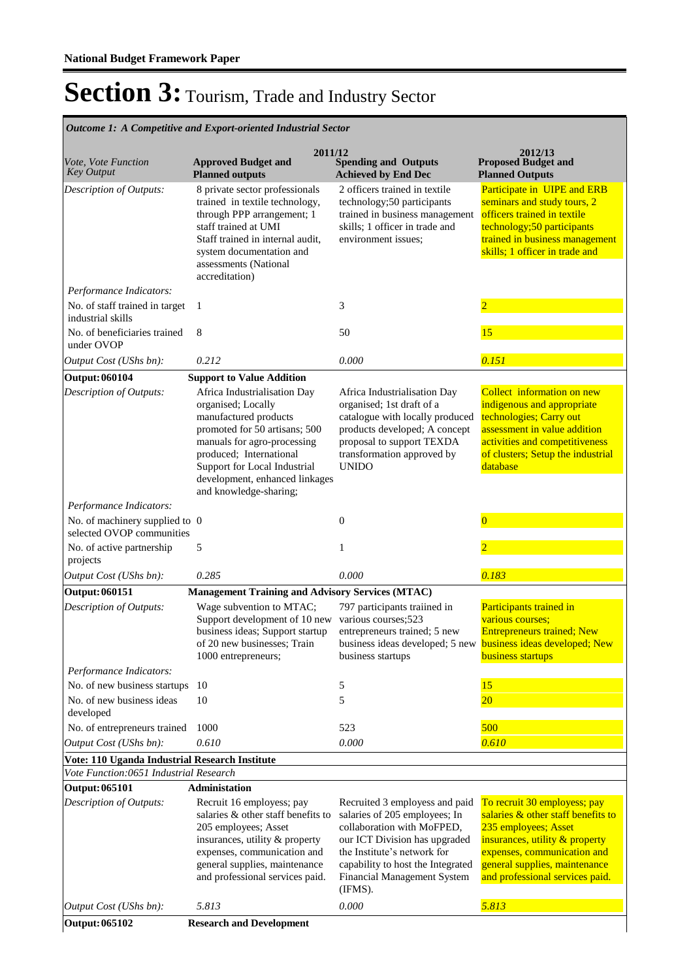|                                                                                          | Outcome 1: A Competitive and Export-oriented Industrial Sector                                                                                                                                                                                                     |                                                                                                                                                                                                                                              |                                                                                                                                                                                                                                 |
|------------------------------------------------------------------------------------------|--------------------------------------------------------------------------------------------------------------------------------------------------------------------------------------------------------------------------------------------------------------------|----------------------------------------------------------------------------------------------------------------------------------------------------------------------------------------------------------------------------------------------|---------------------------------------------------------------------------------------------------------------------------------------------------------------------------------------------------------------------------------|
| Vote, Vote Function<br><b>Key Output</b>                                                 | 2011/12<br><b>Approved Budget and</b><br><b>Planned outputs</b>                                                                                                                                                                                                    | <b>Spending and Outputs</b><br><b>Achieved by End Dec</b>                                                                                                                                                                                    | 2012/13<br><b>Proposed Budget and</b><br><b>Planned Outputs</b>                                                                                                                                                                 |
| <b>Description of Outputs:</b>                                                           | 8 private sector professionals<br>trained in textile technology,<br>through PPP arrangement; 1<br>staff trained at UMI<br>Staff trained in internal audit,<br>system documentation and<br>assessments (National<br>accreditation)                                  | 2 officers trained in textile<br>technology;50 participants<br>trained in business management<br>skills; 1 officer in trade and<br>environment issues;                                                                                       | Participate in UIPE and ERB<br>seminars and study tours, 2<br>officers trained in textile<br>technology;50 participants<br>trained in business management<br>skills; 1 officer in trade and                                     |
| Performance Indicators:                                                                  |                                                                                                                                                                                                                                                                    |                                                                                                                                                                                                                                              |                                                                                                                                                                                                                                 |
| No. of staff trained in target<br>industrial skills                                      | 1                                                                                                                                                                                                                                                                  | 3                                                                                                                                                                                                                                            | $\overline{2}$                                                                                                                                                                                                                  |
| No. of beneficiaries trained<br>under OVOP                                               | 8                                                                                                                                                                                                                                                                  | 50                                                                                                                                                                                                                                           | 15                                                                                                                                                                                                                              |
| Output Cost (UShs bn):                                                                   | 0.212                                                                                                                                                                                                                                                              | 0.000                                                                                                                                                                                                                                        | 0.151                                                                                                                                                                                                                           |
| <b>Output: 060104</b>                                                                    | <b>Support to Value Addition</b>                                                                                                                                                                                                                                   |                                                                                                                                                                                                                                              |                                                                                                                                                                                                                                 |
| Description of Outputs:                                                                  | Africa Industrialisation Day<br>organised; Locally<br>manufactured products<br>promoted for 50 artisans; 500<br>manuals for agro-processing<br>produced; International<br>Support for Local Industrial<br>development, enhanced linkages<br>and knowledge-sharing; | Africa Industrialisation Day<br>organised; 1st draft of a<br>catalogue with locally produced<br>products developed; A concept<br>proposal to support TEXDA<br>transformation approved by<br><b>UNIDO</b>                                     | Collect information on new<br>indigenous and appropriate<br>technologies; Carry out<br>assessment in value addition<br>activities and competitiveness<br>of clusters; Setup the industrial<br>database                          |
| Performance Indicators:                                                                  |                                                                                                                                                                                                                                                                    |                                                                                                                                                                                                                                              |                                                                                                                                                                                                                                 |
| No. of machinery supplied to 0<br>selected OVOP communities                              |                                                                                                                                                                                                                                                                    | $\mathbf{0}$                                                                                                                                                                                                                                 | $\overline{0}$                                                                                                                                                                                                                  |
| No. of active partnership<br>projects                                                    | 5                                                                                                                                                                                                                                                                  | 1                                                                                                                                                                                                                                            |                                                                                                                                                                                                                                 |
| Output Cost (UShs bn):                                                                   | 0.285                                                                                                                                                                                                                                                              | 0.000                                                                                                                                                                                                                                        | 0.183                                                                                                                                                                                                                           |
| Output: 060151                                                                           | <b>Management Training and Advisory Services (MTAC)</b>                                                                                                                                                                                                            |                                                                                                                                                                                                                                              |                                                                                                                                                                                                                                 |
| Description of Outputs:                                                                  | Wage subvention to MTAC;<br>Support development of 10 new<br>business ideas; Support startup<br>of 20 new businesses: Train<br>1000 entrepreneurs;                                                                                                                 | 797 participants traiined in<br>various courses;523<br>entrepreneurs trained; 5 new<br>business ideas developed; 5 new <b>business ideas developed; New</b><br>business startups                                                             | Participants trained in<br>various courses;<br><b>Entrepreneurs trained; New</b><br>business startups                                                                                                                           |
| Performance Indicators:                                                                  |                                                                                                                                                                                                                                                                    |                                                                                                                                                                                                                                              |                                                                                                                                                                                                                                 |
| No. of new business startups                                                             | 10                                                                                                                                                                                                                                                                 | 5                                                                                                                                                                                                                                            | 15                                                                                                                                                                                                                              |
| No. of new business ideas<br>developed                                                   | 10                                                                                                                                                                                                                                                                 | 5                                                                                                                                                                                                                                            | 20                                                                                                                                                                                                                              |
| No. of entrepreneurs trained                                                             | 1000                                                                                                                                                                                                                                                               | 523<br>0.000                                                                                                                                                                                                                                 | 500<br>0.610                                                                                                                                                                                                                    |
| Output Cost (UShs bn):                                                                   | 0.610                                                                                                                                                                                                                                                              |                                                                                                                                                                                                                                              |                                                                                                                                                                                                                                 |
| Vote: 110 Uganda Industrial Research Institute<br>Vote Function:0651 Industrial Research |                                                                                                                                                                                                                                                                    |                                                                                                                                                                                                                                              |                                                                                                                                                                                                                                 |
| <b>Output: 065101</b>                                                                    | <b>Administation</b>                                                                                                                                                                                                                                               |                                                                                                                                                                                                                                              |                                                                                                                                                                                                                                 |
| Description of Outputs:                                                                  | Recruit 16 employess; pay<br>salaries & other staff benefits to<br>205 employees; Asset<br>insurances, utility & property<br>expenses, communication and<br>general supplies, maintenance<br>and professional services paid.                                       | Recruited 3 employess and paid<br>salaries of 205 employees; In<br>collaboration with MoFPED,<br>our ICT Division has upgraded<br>the Institute's network for<br>capability to host the Integrated<br>Financial Management System<br>(IFMS). | To recruit 30 employess; pay<br>salaries & other staff benefits to<br>235 employees; Asset<br>insurances, utility & property<br>expenses, communication and<br>general supplies, maintenance<br>and professional services paid. |
| Output Cost (UShs bn):                                                                   | 5.813                                                                                                                                                                                                                                                              | 0.000                                                                                                                                                                                                                                        | 5.813                                                                                                                                                                                                                           |
| Output: 065102                                                                           | <b>Research and Development</b>                                                                                                                                                                                                                                    |                                                                                                                                                                                                                                              |                                                                                                                                                                                                                                 |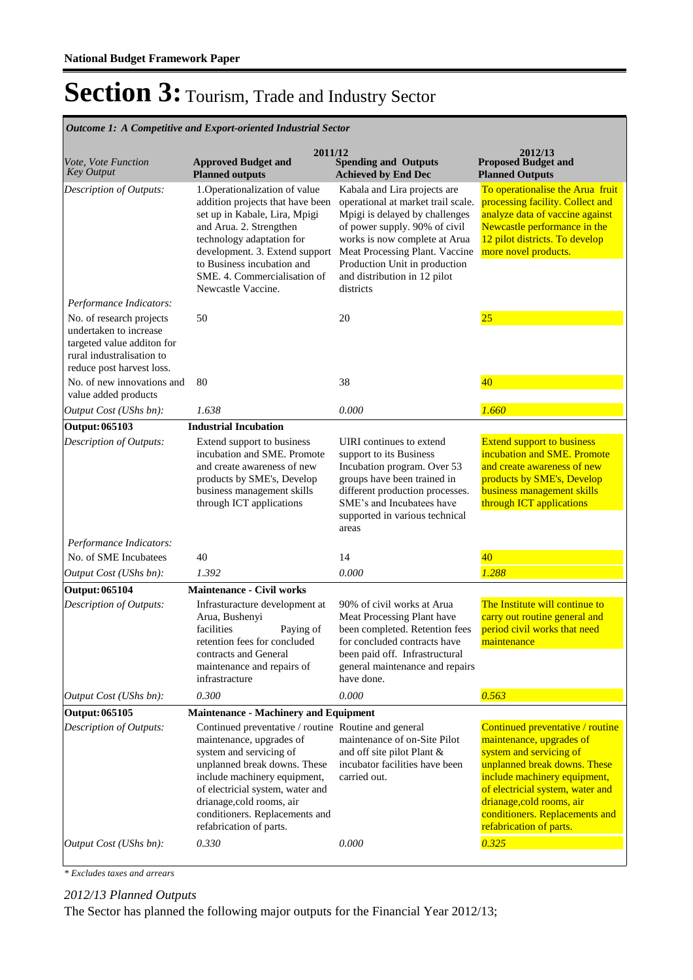| <i>Outcome 1: A Competitive and Export-oriented Industrial Sector</i>                                                                      |                                                                                                                                                                                                                                                                                                           |                                                                                                                                                                                                                                                                                        |                                                                                                                                                                                                                                                                                       |  |  |
|--------------------------------------------------------------------------------------------------------------------------------------------|-----------------------------------------------------------------------------------------------------------------------------------------------------------------------------------------------------------------------------------------------------------------------------------------------------------|----------------------------------------------------------------------------------------------------------------------------------------------------------------------------------------------------------------------------------------------------------------------------------------|---------------------------------------------------------------------------------------------------------------------------------------------------------------------------------------------------------------------------------------------------------------------------------------|--|--|
| Vote, Vote Function<br><b>Key Output</b>                                                                                                   | 2011/12<br><b>Approved Budget and</b><br><b>Planned outputs</b>                                                                                                                                                                                                                                           | <b>Spending and Outputs</b><br><b>Achieved by End Dec</b>                                                                                                                                                                                                                              | 2012/13<br><b>Proposed Budget and</b><br><b>Planned Outputs</b>                                                                                                                                                                                                                       |  |  |
| Description of Outputs:                                                                                                                    | 1. Operationalization of value<br>addition projects that have been<br>set up in Kabale, Lira, Mpigi<br>and Arua. 2. Strengthen<br>technology adaptation for<br>development. 3. Extend support<br>to Business incubation and<br>SME. 4. Commercialisation of<br>Newcastle Vaccine.                         | Kabala and Lira projects are<br>operational at market trail scale.<br>Mpigi is delayed by challenges<br>of power supply. 90% of civil<br>works is now complete at Arua<br>Meat Processing Plant. Vaccine<br>Production Unit in production<br>and distribution in 12 pilot<br>districts | To operationalise the Arua fruit<br>processing facility. Collect and<br>analyze data of vaccine against<br>Newcastle performance in the<br>12 pilot districts. To develop<br>more novel products.                                                                                     |  |  |
| Performance Indicators:                                                                                                                    |                                                                                                                                                                                                                                                                                                           |                                                                                                                                                                                                                                                                                        |                                                                                                                                                                                                                                                                                       |  |  |
| No. of research projects<br>undertaken to increase<br>targeted value additon for<br>rural industralisation to<br>reduce post harvest loss. | 50                                                                                                                                                                                                                                                                                                        | 20                                                                                                                                                                                                                                                                                     | 25                                                                                                                                                                                                                                                                                    |  |  |
| No. of new innovations and<br>value added products                                                                                         | 80                                                                                                                                                                                                                                                                                                        | 38                                                                                                                                                                                                                                                                                     | 40                                                                                                                                                                                                                                                                                    |  |  |
| Output Cost (UShs bn):                                                                                                                     | 1.638                                                                                                                                                                                                                                                                                                     | 0.000                                                                                                                                                                                                                                                                                  | 1.660                                                                                                                                                                                                                                                                                 |  |  |
| <b>Output: 065103</b>                                                                                                                      | <b>Industrial Incubation</b>                                                                                                                                                                                                                                                                              |                                                                                                                                                                                                                                                                                        |                                                                                                                                                                                                                                                                                       |  |  |
| Description of Outputs:                                                                                                                    | Extend support to business<br>incubation and SME. Promote<br>and create awareness of new<br>products by SME's, Develop<br>business management skills<br>through ICT applications                                                                                                                          | UIRI continues to extend<br>support to its Business<br>Incubation program. Over 53<br>groups have been trained in<br>different production processes.<br>SME's and Incubatees have<br>supported in various technical<br>areas                                                           | <b>Extend support to business</b><br>incubation and SME. Promote<br>and create awareness of new<br>products by SME's, Develop<br>business management skills<br>through ICT applications                                                                                               |  |  |
| Performance Indicators:                                                                                                                    |                                                                                                                                                                                                                                                                                                           |                                                                                                                                                                                                                                                                                        |                                                                                                                                                                                                                                                                                       |  |  |
| No. of SME Incubatees                                                                                                                      | 40                                                                                                                                                                                                                                                                                                        | 14                                                                                                                                                                                                                                                                                     | 40                                                                                                                                                                                                                                                                                    |  |  |
| Output Cost (UShs bn):                                                                                                                     | 1.392                                                                                                                                                                                                                                                                                                     | 0.000                                                                                                                                                                                                                                                                                  | 1.288                                                                                                                                                                                                                                                                                 |  |  |
| <b>Output: 065104</b>                                                                                                                      | <b>Maintenance - Civil works</b>                                                                                                                                                                                                                                                                          |                                                                                                                                                                                                                                                                                        |                                                                                                                                                                                                                                                                                       |  |  |
| Description of Outputs:                                                                                                                    | Infrasturacture development at<br>Arua, Bushenyi<br>facilities<br>Paying of<br>retention fees for concluded<br>contracts and General<br>maintenance and repairs of<br>infrastracture                                                                                                                      | 90% of civil works at Arua<br>Meat Processing Plant have<br>been completed. Retention fees<br>for concluded contracts have<br>been paid off. Infrastructural<br>general maintenance and repairs<br>have done.                                                                          | The Institute will continue to<br>carry out routine general and<br>period civil works that need<br>maintenance                                                                                                                                                                        |  |  |
| Output Cost (UShs bn):                                                                                                                     | 0.300                                                                                                                                                                                                                                                                                                     | 0.000                                                                                                                                                                                                                                                                                  | 0.563                                                                                                                                                                                                                                                                                 |  |  |
| <b>Output: 065105</b>                                                                                                                      | <b>Maintenance - Machinery and Equipment</b>                                                                                                                                                                                                                                                              |                                                                                                                                                                                                                                                                                        |                                                                                                                                                                                                                                                                                       |  |  |
| Description of Outputs:                                                                                                                    | Continued preventative / routine Routine and general<br>maintenance, upgrades of<br>system and servicing of<br>unplanned break downs. These<br>include machinery equipment,<br>of electricial system, water and<br>drianage, cold rooms, air<br>conditioners. Replacements and<br>refabrication of parts. | maintenance of on-Site Pilot<br>and off site pilot Plant &<br>incubator facilities have been<br>carried out.                                                                                                                                                                           | Continued preventative / routine<br>maintenance, upgrades of<br>system and servicing of<br>unplanned break downs. These<br>include machinery equipment,<br>of electricial system, water and<br>drianage, cold rooms, air<br>conditioners. Replacements and<br>refabrication of parts. |  |  |
| Output Cost (UShs bn):                                                                                                                     | 0.330                                                                                                                                                                                                                                                                                                     | 0.000                                                                                                                                                                                                                                                                                  | 0.325                                                                                                                                                                                                                                                                                 |  |  |

*Outcome 1: A Competitive and Export-oriented Industrial Sector*

*\* Excludes taxes and arrears*

*2012/13 Planned Outputs*

The Sector has planned the following major outputs for the Financial Year 2012/13;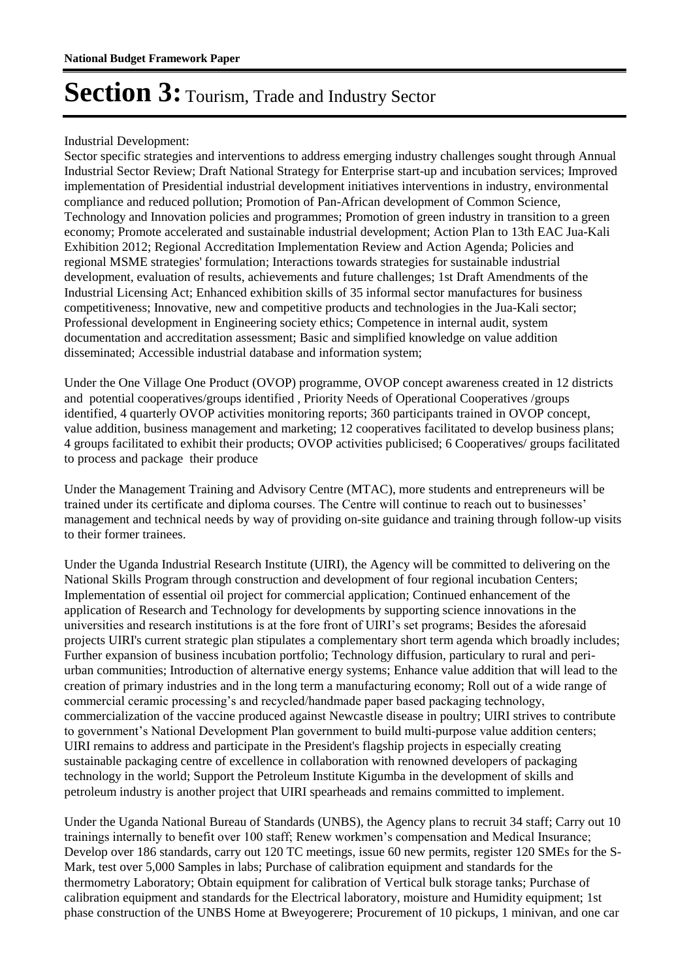#### Industrial Development:

Sector specific strategies and interventions to address emerging industry challenges sought through Annual Industrial Sector Review; Draft National Strategy for Enterprise start-up and incubation services; Improved implementation of Presidential industrial development initiatives interventions in industry, environmental compliance and reduced pollution; Promotion of Pan-African development of Common Science, Technology and Innovation policies and programmes; Promotion of green industry in transition to a green economy; Promote accelerated and sustainable industrial development; Action Plan to 13th EAC Jua-Kali Exhibition 2012; Regional Accreditation Implementation Review and Action Agenda; Policies and regional MSME strategies' formulation; Interactions towards strategies for sustainable industrial development, evaluation of results, achievements and future challenges; 1st Draft Amendments of the Industrial Licensing Act; Enhanced exhibition skills of 35 informal sector manufactures for business competitiveness; Innovative, new and competitive products and technologies in the Jua-Kali sector; Professional development in Engineering society ethics; Competence in internal audit, system documentation and accreditation assessment; Basic and simplified knowledge on value addition disseminated; Accessible industrial database and information system;

Under the One Village One Product (OVOP) programme, OVOP concept awareness created in 12 districts and potential cooperatives/groups identified , Priority Needs of Operational Cooperatives /groups identified, 4 quarterly OVOP activities monitoring reports; 360 participants trained in OVOP concept, value addition, business management and marketing; 12 cooperatives facilitated to develop business plans; 4 groups facilitated to exhibit their products; OVOP activities publicised; 6 Cooperatives/ groups facilitated to process and package their produce

Under the Management Training and Advisory Centre (MTAC), more students and entrepreneurs will be trained under its certificate and diploma courses. The Centre will continue to reach out to businesses' management and technical needs by way of providing on-site guidance and training through follow-up visits to their former trainees.

Under the Uganda Industrial Research Institute (UIRI), the Agency will be committed to delivering on the National Skills Program through construction and development of four regional incubation Centers; Implementation of essential oil project for commercial application; Continued enhancement of the application of Research and Technology for developments by supporting science innovations in the universities and research institutions is at the fore front of UIRI's set programs; Besides the aforesaid projects UIRI's current strategic plan stipulates a complementary short term agenda which broadly includes; Further expansion of business incubation portfolio; Technology diffusion, particulary to rural and periurban communities; Introduction of alternative energy systems; Enhance value addition that will lead to the creation of primary industries and in the long term a manufacturing economy; Roll out of a wide range of commercial ceramic processing's and recycled/handmade paper based packaging technology, commercialization of the vaccine produced against Newcastle disease in poultry; UIRI strives to contribute to government's National Development Plan government to build multi-purpose value addition centers; UIRI remains to address and participate in the President's flagship projects in especially creating sustainable packaging centre of excellence in collaboration with renowned developers of packaging technology in the world; Support the Petroleum Institute Kigumba in the development of skills and petroleum industry is another project that UIRI spearheads and remains committed to implement.

Under the Uganda National Bureau of Standards (UNBS), the Agency plans to recruit 34 staff; Carry out 10 trainings internally to benefit over 100 staff; Renew workmen's compensation and Medical Insurance; Develop over 186 standards, carry out 120 TC meetings, issue 60 new permits, register 120 SMEs for the S-Mark, test over 5,000 Samples in labs; Purchase of calibration equipment and standards for the thermometry Laboratory; Obtain equipment for calibration of Vertical bulk storage tanks; Purchase of calibration equipment and standards for the Electrical laboratory, moisture and Humidity equipment; 1st phase construction of the UNBS Home at Bweyogerere; Procurement of 10 pickups, 1 minivan, and one car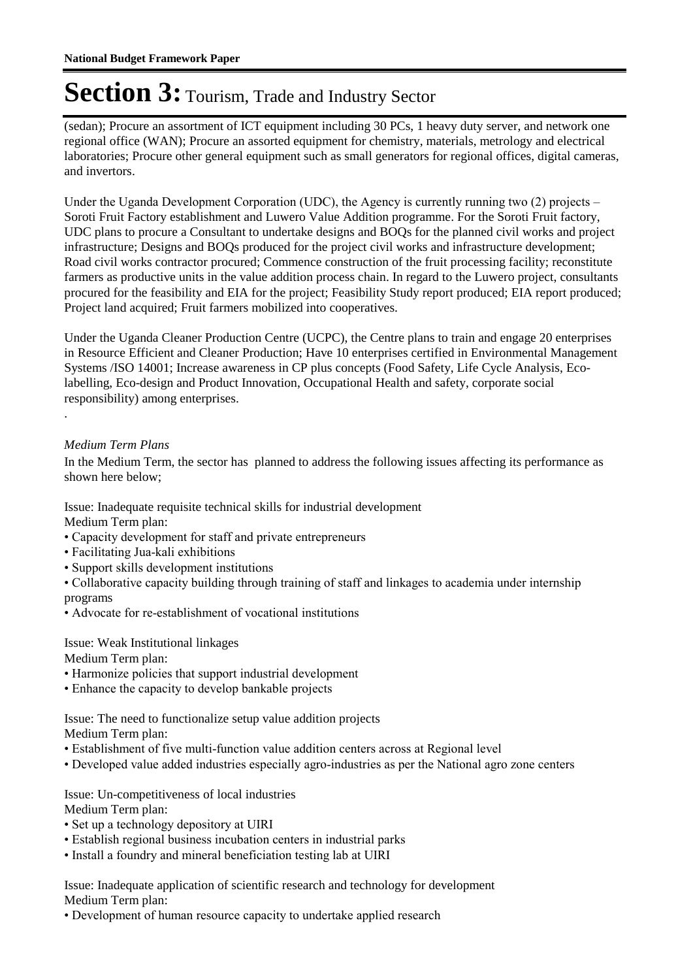(sedan); Procure an assortment of ICT equipment including 30 PCs, 1 heavy duty server, and network one regional office (WAN); Procure an assorted equipment for chemistry, materials, metrology and electrical laboratories; Procure other general equipment such as small generators for regional offices, digital cameras, and invertors.

Under the Uganda Development Corporation (UDC), the Agency is currently running two (2) projects – Soroti Fruit Factory establishment and Luwero Value Addition programme. For the Soroti Fruit factory, UDC plans to procure a Consultant to undertake designs and BOQs for the planned civil works and project infrastructure; Designs and BOQs produced for the project civil works and infrastructure development; Road civil works contractor procured; Commence construction of the fruit processing facility; reconstitute farmers as productive units in the value addition process chain. In regard to the Luwero project, consultants procured for the feasibility and EIA for the project; Feasibility Study report produced; EIA report produced; Project land acquired; Fruit farmers mobilized into cooperatives.

Under the Uganda Cleaner Production Centre (UCPC), the Centre plans to train and engage 20 enterprises in Resource Efficient and Cleaner Production; Have 10 enterprises certified in Environmental Management Systems /ISO 14001; Increase awareness in CP plus concepts (Food Safety, Life Cycle Analysis, Ecolabelling, Eco-design and Product Innovation, Occupational Health and safety, corporate social responsibility) among enterprises.

#### *Medium Term Plans*

.

In the Medium Term, the sector has planned to address the following issues affecting its performance as shown here below;

Issue: Inadequate requisite technical skills for industrial development Medium Term plan:

- Capacity development for staff and private entrepreneurs
- Facilitating Jua-kali exhibitions
- Support skills development institutions

• Collaborative capacity building through training of staff and linkages to academia under internship programs

• Advocate for re-establishment of vocational institutions

Issue: Weak Institutional linkages

Medium Term plan:

- Harmonize policies that support industrial development
- Enhance the capacity to develop bankable projects

Issue: The need to functionalize setup value addition projects Medium Term plan:

- Establishment of five multi-function value addition centers across at Regional level
- Developed value added industries especially agro-industries as per the National agro zone centers

Issue: Un-competitiveness of local industries Medium Term plan:

- Set up a technology depository at UIRI
- Establish regional business incubation centers in industrial parks
- Install a foundry and mineral beneficiation testing lab at UIRI

Issue: Inadequate application of scientific research and technology for development Medium Term plan:

• Development of human resource capacity to undertake applied research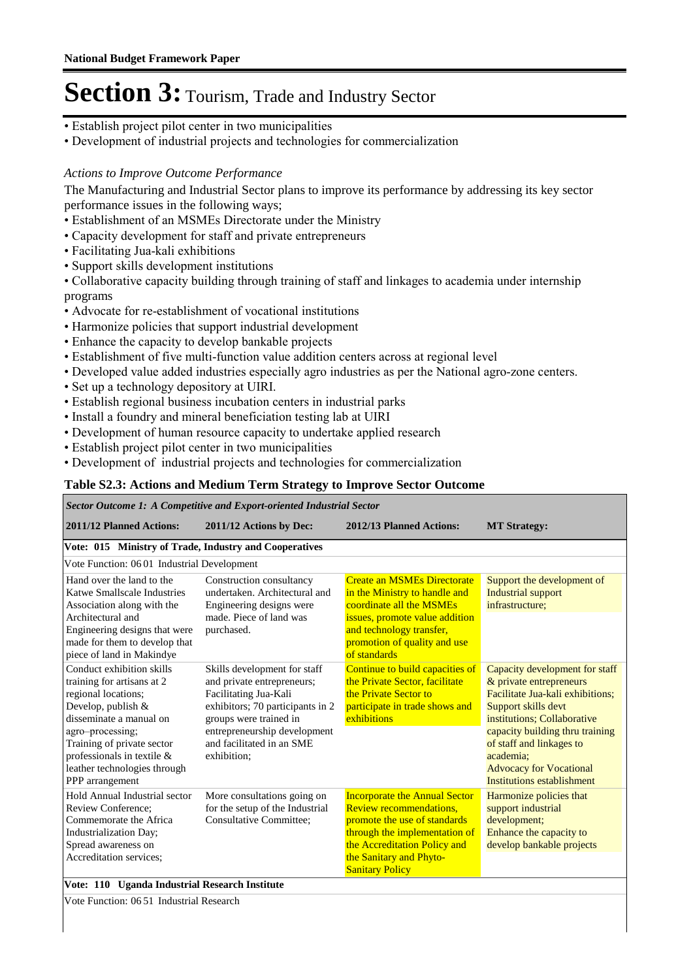- Establish project pilot center in two municipalities
- Development of industrial projects and technologies for commercialization

#### *Actions to Improve Outcome Performance*

The Manufacturing and Industrial Sector plans to improve its performance by addressing its key sector performance issues in the following ways;

- Establishment of an MSMEs Directorate under the Ministry
- Capacity development for staff and private entrepreneurs
- Facilitating Jua-kali exhibitions
- Support skills development institutions

• Collaborative capacity building through training of staff and linkages to academia under internship programs

- Advocate for re-establishment of vocational institutions
- Harmonize policies that support industrial development
- Enhance the capacity to develop bankable projects
- Establishment of five multi-function value addition centers across at regional level
- Developed value added industries especially agro industries as per the National agro-zone centers.
- Set up a technology depository at UIRI.
- Establish regional business incubation centers in industrial parks
- Install a foundry and mineral beneficiation testing lab at UIRI
- Development of human resource capacity to undertake applied research
- Establish project pilot center in two municipalities
- Development of industrial projects and technologies for commercialization

#### **Table S2.3: Actions and Medium Term Strategy to Improve Sector Outcome**

#### *Sector Outcome 1: A Competitive and Export-oriented Industrial Sector*

| 2011/12 Planned Actions:                                                                                                                                                                                                                                              | 2011/12 Actions by Dec:                                                                                                                                                                                                       | 2012/13 Planned Actions:                                                                                                                                                                                              | <b>MT</b> Strategy:                                                                                                                                                                                                                                                                             |  |  |  |
|-----------------------------------------------------------------------------------------------------------------------------------------------------------------------------------------------------------------------------------------------------------------------|-------------------------------------------------------------------------------------------------------------------------------------------------------------------------------------------------------------------------------|-----------------------------------------------------------------------------------------------------------------------------------------------------------------------------------------------------------------------|-------------------------------------------------------------------------------------------------------------------------------------------------------------------------------------------------------------------------------------------------------------------------------------------------|--|--|--|
| Vote: 015 Ministry of Trade, Industry and Cooperatives                                                                                                                                                                                                                |                                                                                                                                                                                                                               |                                                                                                                                                                                                                       |                                                                                                                                                                                                                                                                                                 |  |  |  |
| Vote Function: 0601 Industrial Development                                                                                                                                                                                                                            |                                                                                                                                                                                                                               |                                                                                                                                                                                                                       |                                                                                                                                                                                                                                                                                                 |  |  |  |
| Hand over the land to the<br>Katwe Smallscale Industries<br>Association along with the<br>Architectural and<br>Engineering designs that were<br>made for them to develop that<br>piece of land in Makindye                                                            | Construction consultancy<br>undertaken. Architectural and<br>Engineering designs were<br>made. Piece of land was<br>purchased.                                                                                                | <b>Create an MSMEs Directorate</b><br>in the Ministry to handle and<br>coordinate all the MSMEs<br>issues, promote value addition<br>and technology transfer,<br>promotion of quality and use<br>of standards         | Support the development of<br><b>Industrial support</b><br>infrastructure:                                                                                                                                                                                                                      |  |  |  |
| Conduct exhibition skills<br>training for artisans at 2<br>regional locations:<br>Develop, publish &<br>disseminate a manual on<br>agro-processing;<br>Training of private sector<br>professionals in textile $\&$<br>leather technologies through<br>PPP arrangement | Skills development for staff<br>and private entrepreneurs;<br>Facilitating Jua-Kali<br>exhibitors; 70 participants in 2<br>groups were trained in<br>entrepreneurship development<br>and facilitated in an SME<br>exhibition; | Continue to build capacities of<br>the Private Sector, facilitate<br>the Private Sector to<br>participate in trade shows and<br>exhibitions                                                                           | Capacity development for staff<br>& private entrepreneurs<br>Facilitate Jua-kali exhibitions:<br>Support skills devt<br>institutions; Collaborative<br>capacity building thru training<br>of staff and linkages to<br>academia:<br><b>Advocacy for Vocational</b><br>Institutions establishment |  |  |  |
| Hold Annual Industrial sector<br><b>Review Conference:</b><br>Commemorate the Africa<br>Industrialization Day;<br>Spread awareness on<br>Accreditation services;                                                                                                      | More consultations going on<br>for the setup of the Industrial<br><b>Consultative Committee:</b>                                                                                                                              | <b>Incorporate the Annual Sector</b><br>Review recommendations.<br>promote the use of standards<br>through the implementation of<br>the Accreditation Policy and<br>the Sanitary and Phyto-<br><b>Sanitary Policy</b> | Harmonize policies that<br>support industrial<br>development;<br>Enhance the capacity to<br>develop bankable projects                                                                                                                                                                           |  |  |  |
|                                                                                                                                                                                                                                                                       | Vote: 110 Uganda Industrial Research Institute                                                                                                                                                                                |                                                                                                                                                                                                                       |                                                                                                                                                                                                                                                                                                 |  |  |  |

Vote Function: 06 51 Industrial Research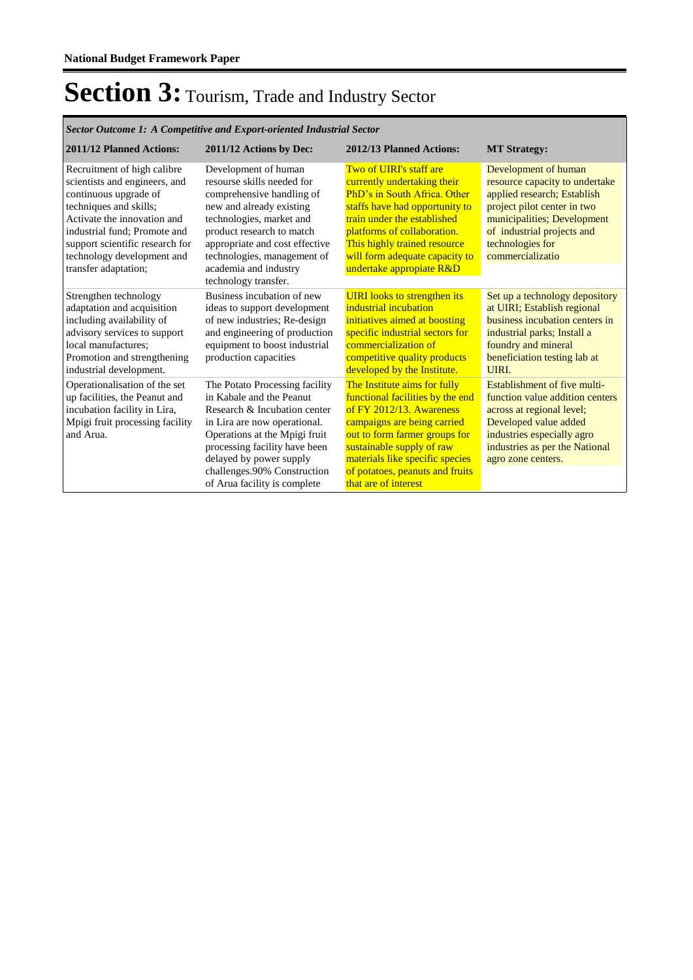*Sector Outcome 1: A Competitive and Export-oriented Industrial Sector*

| 2011/12 Planned Actions:                                                                                                                                                                                                                        | 2011/12 Actions by Dec:                                                                                                                                                                                                                                                                | 2012/13 Planned Actions:                                                                                                                                                                                                                                                                | <b>MT Strategy:</b>                                                                                                                                                                                                       |
|-------------------------------------------------------------------------------------------------------------------------------------------------------------------------------------------------------------------------------------------------|----------------------------------------------------------------------------------------------------------------------------------------------------------------------------------------------------------------------------------------------------------------------------------------|-----------------------------------------------------------------------------------------------------------------------------------------------------------------------------------------------------------------------------------------------------------------------------------------|---------------------------------------------------------------------------------------------------------------------------------------------------------------------------------------------------------------------------|
| Recruitment of high calibre<br>scientists and engineers, and<br>continuous upgrade of<br>techniques and skills;<br>Activate the innovation and<br>industrial fund; Promote and<br>support scientific research for<br>technology development and | Development of human<br>resourse skills needed for<br>comprehensive handling of<br>new and already existing<br>technologies, market and<br>product research to match<br>appropriate and cost effective<br>technologies, management of                                                  | Two of UIRI's staff are<br>currently undertaking their<br><b>PhD's in South Africa. Other</b><br>staffs have had opportunity to<br>train under the established<br>platforms of collaboration.<br>This highly trained resource<br>will form adequate capacity to                         | Development of human<br>resource capacity to undertake<br>applied research; Establish<br>project pilot center in two<br>municipalities; Development<br>of industrial projects and<br>technologies for<br>commercializatio |
| transfer adaptation;                                                                                                                                                                                                                            | academia and industry<br>technology transfer.                                                                                                                                                                                                                                          | undertake appropiate R&D                                                                                                                                                                                                                                                                |                                                                                                                                                                                                                           |
| Strengthen technology<br>adaptation and acquisition<br>including availability of<br>advisory services to support<br>local manufactures:<br>Promotion and strengthening<br>industrial development.                                               | Business incubation of new<br>ideas to support development<br>of new industries; Re-design<br>and engineering of production<br>equipment to boost industrial<br>production capacities                                                                                                  | <b>UIRI</b> looks to strengthen its<br>industrial incubation<br>initiatives aimed at boosting<br>specific industrial sectors for<br>commercialization of<br>competitive quality products<br>developed by the Institute.                                                                 | Set up a technology depository<br>at UIRI; Establish regional<br>business incubation centers in<br>industrial parks; Install a<br>foundry and mineral<br>beneficiation testing lab at<br>UIRI.                            |
| Operationalisation of the set<br>up facilities, the Peanut and<br>incubation facility in Lira,<br>Mpigi fruit processing facility<br>and Arua.                                                                                                  | The Potato Processing facility<br>in Kabale and the Peanut<br>Research & Incubation center<br>in Lira are now operational.<br>Operations at the Mpigi fruit<br>processing facility have been<br>delayed by power supply<br>challenges.90% Construction<br>of Arua facility is complete | The Institute aims for fully<br>functional facilities by the end<br>of FY 2012/13. Awareness<br>campaigns are being carried<br>out to form farmer groups for<br>sustainable supply of raw<br>materials like specific species<br>of potatoes, peanuts and fruits<br>that are of interest | Establishment of five multi-<br>function value addition centers<br>across at regional level;<br>Developed value added<br>industries especially agro<br>industries as per the National<br>agro zone centers.               |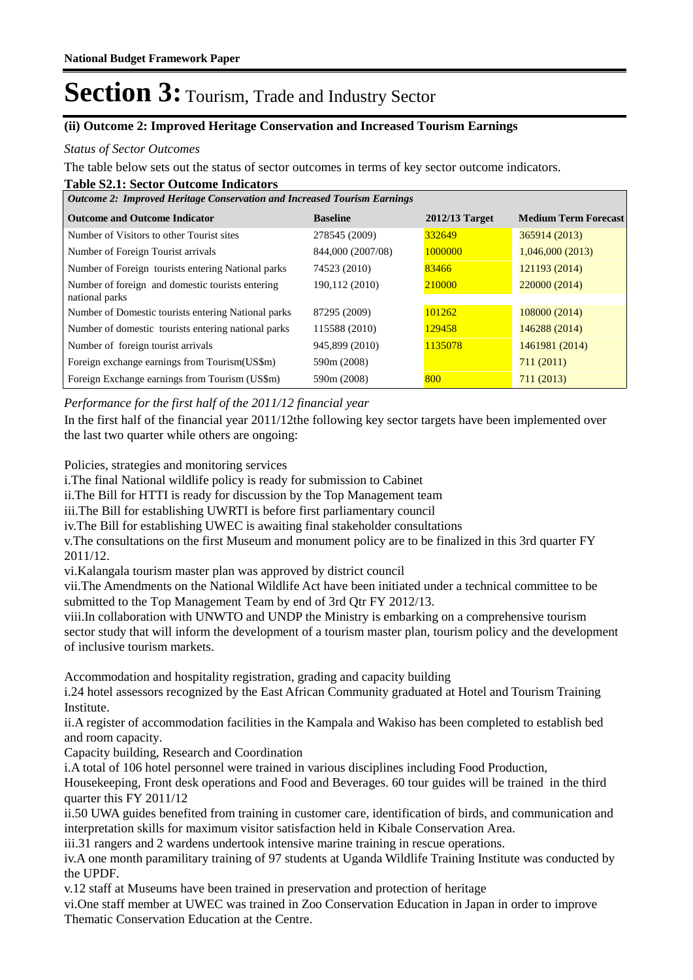#### **(ii) Outcome 2: Improved Heritage Conservation and Increased Tourism Earnings**

#### *Status of Sector Outcomes*

The table below sets out the status of sector outcomes in terms of key sector outcome indicators.

#### **Table S2.1: Sector Outcome Indicators**

| <b>Outcome 2: Improved Heritage Conservation and Increased Tourism Earnings</b> |                   |                  |                             |  |  |  |  |
|---------------------------------------------------------------------------------|-------------------|------------------|-----------------------------|--|--|--|--|
| <b>Outcome and Outcome Indicator</b>                                            | <b>Baseline</b>   | $2012/13$ Target | <b>Medium Term Forecast</b> |  |  |  |  |
| Number of Visitors to other Tourist sites                                       | 278545 (2009)     | 332649           | 365914 (2013)               |  |  |  |  |
| Number of Foreign Tourist arrivals                                              | 844,000 (2007/08) | 1000000          | 1,046,000(2013)             |  |  |  |  |
| Number of Foreign tourists entering National parks                              | 74523 (2010)      | 83466            | 121193 (2014)               |  |  |  |  |
| Number of foreign and domestic tourists entering<br>national parks              | 190,112 (2010)    | 210000           | 220000 (2014)               |  |  |  |  |
| Number of Domestic tourists entering National parks                             | 87295 (2009)      | 101262           | 108000 (2014)               |  |  |  |  |
| Number of domestic tourists entering national parks                             | 115588 (2010)     | 129458           | 146288 (2014)               |  |  |  |  |
| Number of foreign tourist arrivals                                              | 945,899 (2010)    | 1135078          | 1461981 (2014)              |  |  |  |  |
| Foreign exchange earnings from Tourism (US\$m)                                  | 590m (2008)       |                  | 711(2011)                   |  |  |  |  |
| Foreign Exchange earnings from Tourism (US\$m)                                  | 590m (2008)       | 800              | 711(2013)                   |  |  |  |  |

*Performance for the first half of the 2011/12 financial year*

In the first half of the financial year 2011/12the following key sector targets have been implemented over the last two quarter while others are ongoing:

Policies, strategies and monitoring services

i. The final National wildlife policy is ready for submission to Cabinet

ii. The Bill for HTTI is ready for discussion by the Top Management team

iii. The Bill for establishing UWRTI is before first parliamentary council

iv. The Bill for establishing UWEC is awaiting final stakeholder consultations

v. The consultations on the first Museum and monument policy are to be finalized in this 3rd quarter FY 2011/12.

vi. Kalangala tourism master plan was approved by district council

vii. The Amendments on the National Wildlife Act have been initiated under a technical committee to be submitted to the Top Management Team by end of 3rd Qtr FY 2012/13.

viii. In collaboration with UNWTO and UNDP the Ministry is embarking on a comprehensive tourism sector study that will inform the development of a tourism master plan, tourism policy and the development of inclusive tourism markets.

Accommodation and hospitality registration, grading and capacity building

i. 24 hotel assessors recognized by the East African Community graduated at Hotel and Tourism Training Institute.

ii. A register of accommodation facilities in the Kampala and Wakiso has been completed to establish bed and room capacity.

Capacity building, Research and Coordination

i.A total of 106 hotel personnel were trained in various disciplines including Food Production,

Housekeeping, Front desk operations and Food and Beverages. 60 tour guides will be trained in the third quarter this FY 2011/12

ii.50 UWA guides benefited from training in customer care, identification of birds, and communication and interpretation skills for maximum visitor satisfaction held in Kibale Conservation Area.

iii.31 rangers and 2 wardens undertook intensive marine training in rescue operations.

iv. A one month paramilitary training of 97 students at Uganda Wildlife Training Institute was conducted by the UPDF.

v.12 staff at Museums have been trained in preservation and protection of heritage

vi. One staff member at UWEC was trained in Zoo Conservation Education in Japan in order to improve Thematic Conservation Education at the Centre.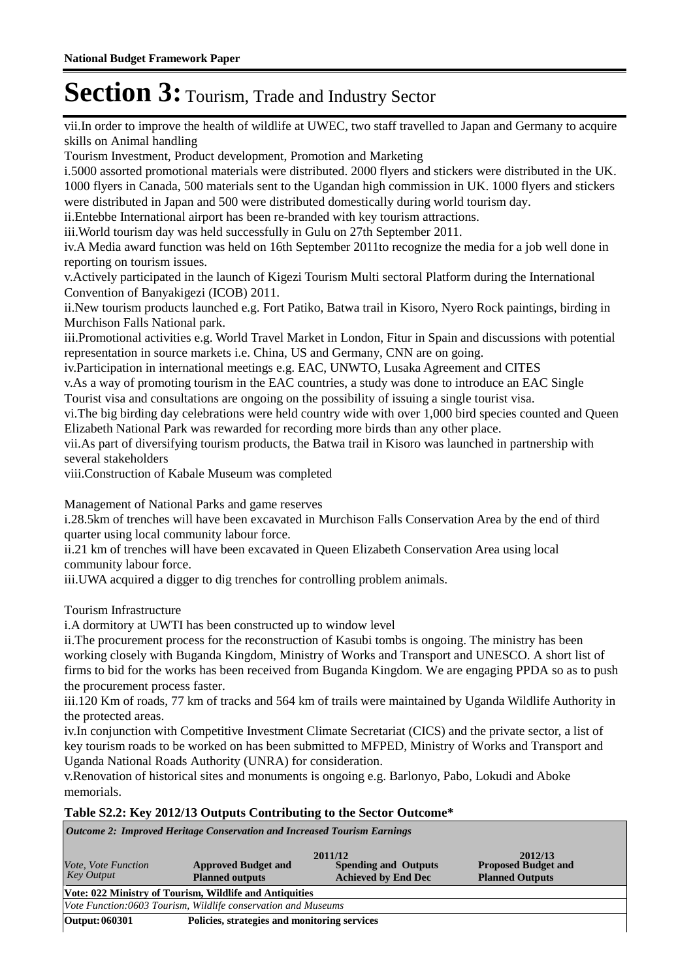vii. In order to improve the health of wildlife at UWEC, two staff travelled to Japan and Germany to acquire skills on Animal handling

Tourism Investment, Product development, Promotion and Marketing

i.5000 assorted promotional materials were distributed. 2000 flyers and stickers were distributed in the UK. 1000 flyers in Canada, 500 materials sent to the Ugandan high commission in UK. 1000 flyers and stickers were distributed in Japan and 500 were distributed domestically during world tourism day.

ii. Entebbe International airport has been re-branded with key tourism attractions.

iii. World tourism day was held successfully in Gulu on 27th September 2011.

iv. A Media award function was held on 16th September 2011to recognize the media for a job well done in reporting on tourism issues.

v. Actively participated in the launch of Kigezi Tourism Multi sectoral Platform during the International Convention of Banyakigezi (ICOB) 2011.

ii. New tourism products launched e.g. Fort Patiko, Batwa trail in Kisoro, Nyero Rock paintings, birding in Murchison Falls National park.

iii. Promotional activities e.g. World Travel Market in London, Fitur in Spain and discussions with potential representation in source markets i.e. China, US and Germany, CNN are on going.

iv. Participation in international meetings e.g. EAC, UNWTO, Lusaka Agreement and CITES

v. As a way of promoting tourism in the EAC countries, a study was done to introduce an EAC Single Tourist visa and consultations are ongoing on the possibility of issuing a single tourist visa.

vi. The big birding day celebrations were held country wide with over 1,000 bird species counted and Queen Elizabeth National Park was rewarded for recording more birds than any other place.

vii. As part of diversifying tourism products, the Batwa trail in Kisoro was launched in partnership with several stakeholders

viii. Construction of Kabale Museum was completed

Management of National Parks and game reserves

i.28.5km of trenches will have been excavated in Murchison Falls Conservation Area by the end of third quarter using local community labour force.

ii.21 km of trenches will have been excavated in Queen Elizabeth Conservation Area using local community labour force.

iii. UWA acquired a digger to dig trenches for controlling problem animals.

Tourism Infrastructure

i. A dormitory at UWTI has been constructed up to window level

ii. The procurement process for the reconstruction of Kasubi tombs is ongoing. The ministry has been working closely with Buganda Kingdom, Ministry of Works and Transport and UNESCO. A short list of firms to bid for the works has been received from Buganda Kingdom. We are engaging PPDA so as to push the procurement process faster.

iii.120 Km of roads, 77 km of tracks and 564 km of trails were maintained by Uganda Wildlife Authority in the protected areas.

iv. In conjunction with Competitive Investment Climate Secretariat (CICS) and the private sector, a list of key tourism roads to be worked on has been submitted to MFPED, Ministry of Works and Transport and Uganda National Roads Authority (UNRA) for consideration.

v. Renovation of historical sites and monuments is ongoing e.g. Barlonyo, Pabo, Lokudi and Aboke memorials.

#### **Table S2.2: Key 2012/13 Outputs Contributing to the Sector Outcome\***

*Outcome 2: Improved Heritage Conservation and Increased Tourism Earnings*

| Vote, Vote Function<br><b>Key Output</b>                       | <b>Approved Budget and</b><br><b>Planned outputs</b>    | 2011/12<br><b>Spending and Outputs</b><br><b>Achieved by End Dec</b> | 2012/13<br><b>Proposed Budget and</b><br><b>Planned Outputs</b> |  |  |  |  |
|----------------------------------------------------------------|---------------------------------------------------------|----------------------------------------------------------------------|-----------------------------------------------------------------|--|--|--|--|
|                                                                | Vote: 022 Ministry of Tourism, Wildlife and Antiquities |                                                                      |                                                                 |  |  |  |  |
| Vote Function:0603 Tourism, Wildlife conservation and Museums  |                                                         |                                                                      |                                                                 |  |  |  |  |
| Policies, strategies and monitoring services<br>Output: 060301 |                                                         |                                                                      |                                                                 |  |  |  |  |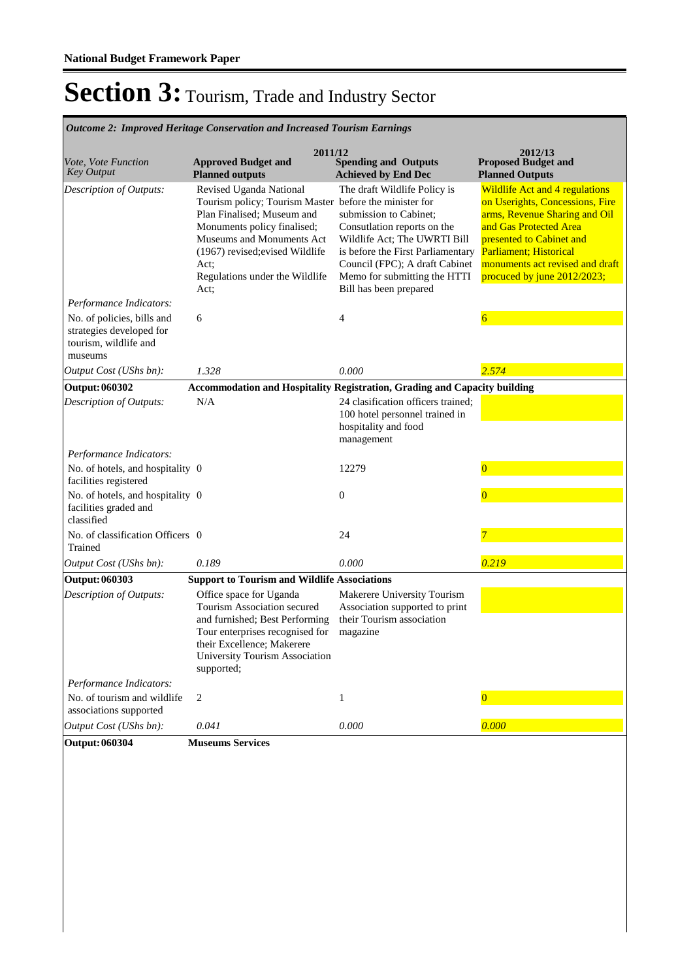*Outcome 2: Improved Heritage Conservation and Increased Tourism Earnings*

| Vote, Vote Function<br><b>Key Output</b>                                                   | 2011/12<br><b>Approved Budget and</b><br><b>Planned outputs</b>                                                                                                                                                                          | <b>Spending and Outputs</b><br><b>Achieved by End Dec</b>                                                                                                                                                                                                                         | 2012/13<br><b>Proposed Budget and</b><br><b>Planned Outputs</b>                                                                                                                                                                                             |
|--------------------------------------------------------------------------------------------|------------------------------------------------------------------------------------------------------------------------------------------------------------------------------------------------------------------------------------------|-----------------------------------------------------------------------------------------------------------------------------------------------------------------------------------------------------------------------------------------------------------------------------------|-------------------------------------------------------------------------------------------------------------------------------------------------------------------------------------------------------------------------------------------------------------|
| Description of Outputs:                                                                    | Revised Uganda National<br>Tourism policy; Tourism Master<br>Plan Finalised; Museum and<br>Monuments policy finalised;<br>Museums and Monuments Act<br>(1967) revised; evised Wildlife<br>Act;<br>Regulations under the Wildlife<br>Act; | The draft Wildlife Policy is<br>before the minister for<br>submission to Cabinet;<br>Consutlation reports on the<br>Wildlife Act; The UWRTI Bill<br>is before the First Parliamentary<br>Council (FPC); A draft Cabinet<br>Memo for submitting the HTTI<br>Bill has been prepared | <b>Wildlife Act and 4 regulations</b><br>on Userights, Concessions, Fire<br>arms, Revenue Sharing and Oil<br>and Gas Protected Area<br>presented to Cabinet and<br>Parliament; Historical<br>monuments act revised and draft<br>procuced by june 2012/2023; |
| Performance Indicators:                                                                    |                                                                                                                                                                                                                                          |                                                                                                                                                                                                                                                                                   |                                                                                                                                                                                                                                                             |
| No. of policies, bills and<br>strategies developed for<br>tourism, wildlife and<br>museums | 6                                                                                                                                                                                                                                        | 4                                                                                                                                                                                                                                                                                 | $\overline{6}$                                                                                                                                                                                                                                              |
| Output Cost (UShs bn):                                                                     | 1.328                                                                                                                                                                                                                                    | 0.000                                                                                                                                                                                                                                                                             | 2.574                                                                                                                                                                                                                                                       |
| <b>Output: 060302</b>                                                                      | Accommodation and Hospitality Registration, Grading and Capacity building                                                                                                                                                                |                                                                                                                                                                                                                                                                                   |                                                                                                                                                                                                                                                             |
| Description of Outputs:                                                                    | N/A                                                                                                                                                                                                                                      | 24 clasification officers trained;<br>100 hotel personnel trained in<br>hospitality and food<br>management                                                                                                                                                                        |                                                                                                                                                                                                                                                             |
| Performance Indicators:                                                                    |                                                                                                                                                                                                                                          |                                                                                                                                                                                                                                                                                   |                                                                                                                                                                                                                                                             |
| No. of hotels, and hospitality 0<br>facilities registered                                  |                                                                                                                                                                                                                                          | 12279                                                                                                                                                                                                                                                                             | $\overline{0}$                                                                                                                                                                                                                                              |
| No. of hotels, and hospitality 0<br>facilities graded and<br>classified                    |                                                                                                                                                                                                                                          | $\boldsymbol{0}$                                                                                                                                                                                                                                                                  | $\overline{0}$                                                                                                                                                                                                                                              |
| No. of classification Officers 0<br>Trained                                                |                                                                                                                                                                                                                                          | 24                                                                                                                                                                                                                                                                                |                                                                                                                                                                                                                                                             |
| Output Cost (UShs bn):                                                                     | 0.189                                                                                                                                                                                                                                    | 0.000                                                                                                                                                                                                                                                                             | 0.219                                                                                                                                                                                                                                                       |
| Output: 060303                                                                             | <b>Support to Tourism and Wildlife Associations</b>                                                                                                                                                                                      |                                                                                                                                                                                                                                                                                   |                                                                                                                                                                                                                                                             |
| Description of Outputs:                                                                    | Office space for Uganda<br>Tourism Association secured<br>and furnished; Best Performing<br>Tour enterprises recognised for<br>their Excellence; Makerere<br>University Tourism Association<br>supported;                                | Makerere University Tourism<br>Association supported to print<br>their Tourism association<br>magazine                                                                                                                                                                            |                                                                                                                                                                                                                                                             |
| Performance Indicators:                                                                    |                                                                                                                                                                                                                                          |                                                                                                                                                                                                                                                                                   |                                                                                                                                                                                                                                                             |
| No. of tourism and wildlife<br>associations supported                                      | $\overline{c}$                                                                                                                                                                                                                           | $\mathbf{1}$                                                                                                                                                                                                                                                                      | $\Omega$                                                                                                                                                                                                                                                    |
| Output Cost (UShs bn):                                                                     | 0.041                                                                                                                                                                                                                                    | 0.000                                                                                                                                                                                                                                                                             | 0.000                                                                                                                                                                                                                                                       |
| <b>Output: 060304</b>                                                                      | <b>Museums Services</b>                                                                                                                                                                                                                  |                                                                                                                                                                                                                                                                                   |                                                                                                                                                                                                                                                             |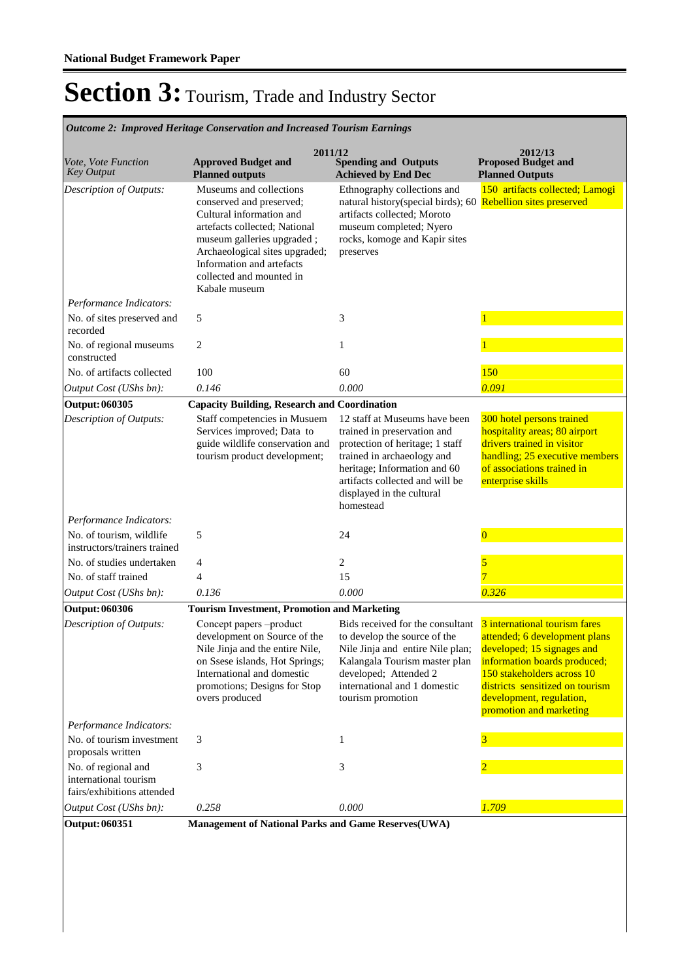**Spending and Outputs Achieved by End Dec Approved Budget and Planned outputs Proposed Budget and Planned Outputs 2011/12** *Vote, Vote Function Key Output* **2012/13** *Outcome 2: Improved Heritage Conservation and Increased Tourism Earnings* Museums and collections conserved and preserved; Cultural information and artefacts collected; National museum galleries upgraded ; Archaeological sites upgraded; Information and artefacts collected and mounted in Kabale museum Ethnography collections and natural history(special birds); 60 Rebellion sites preserved artifacts collected; Moroto museum completed; Nyero rocks, komoge and Kapir sites preserves 150 artifacts collected; Lamogi *Output Cost (UShs bn): 0.146 0.000 0.091 Description of Outputs: Performance Indicators:* No. of sites preserved and recorded 5 3  $\frac{1}{3}$ No. of regional museums constructed 2 1 1 No. of artifacts collected 100 60 60 150 **Output: 060305 Capacity Building, Research and Coordination** Staff competencies in Musuem Services improved; Data to guide wildlife conservation and tourism product development; 12 staff at Museums have been trained in preservation and protection of heritage; 1 staff trained in archaeology and heritage; Information and 60 artifacts collected and will be displayed in the cultural homestead 300 hotel persons trained hospitality areas; 80 airport drivers trained in visitor handling; 25 executive members of associations trained in enterprise skills *Output Cost (UShs bn): 0.136 0.000 0.326 Description of Outputs: Performance Indicators:* No. of tourism, wildlife instructors/trainers trained 5 24  $\overline{0}$ No. of studies undertaken 4 2 No. of staff trained 4 15 **Output: 060306 Tourism Investment, Promotion and Marketing** Concept papers –product development on Source of the Nile Jinja and the entire Nile, on Ssese islands, Hot Springs; International and domestic promotions; Designs for Stop overs produced Bids received for the consultant to develop the source of the Nile Jinja and entire Nile plan; Kalangala Tourism master plan developed; Attended 2 international and 1 domestic tourism promotion 3 international tourism fares attended; 6 development plans developed; 15 signages and information boards produced; 150 stakeholders across 10 districts sensitized on tourism development, regulation, promotion and marketing *Output Cost (UShs bn): 0.258 0.000 1.709 Description of Outputs: Performance Indicators:* No. of tourism investment proposals written 3  $1$ No. of regional and international tourism fairs/exhibitions attended 3 3 2 **Output: 060351 Management of National Parks and Game Reserves(UWA)**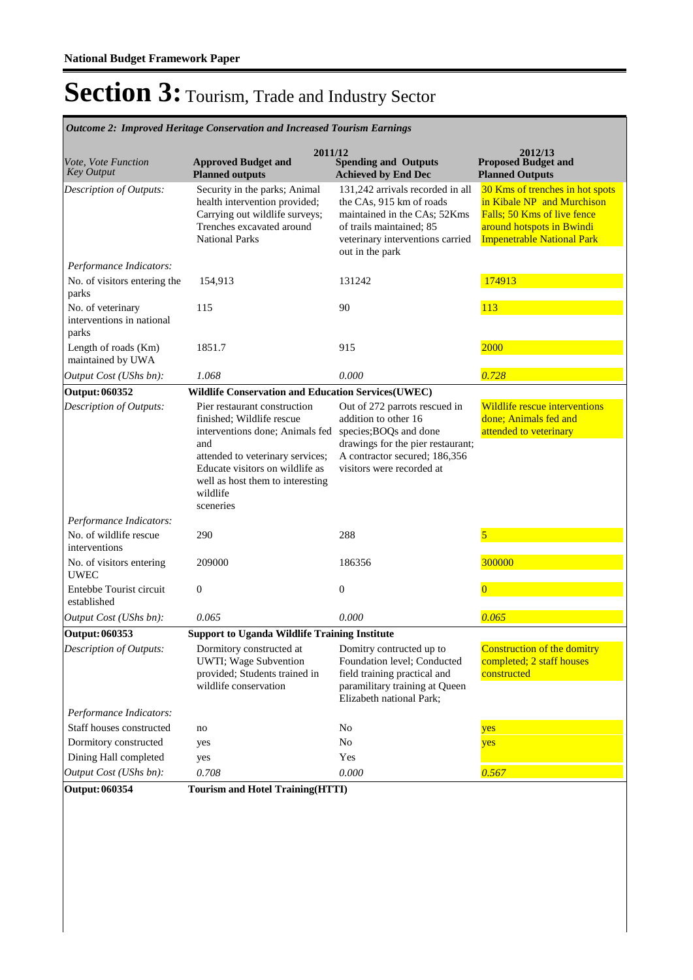**Spending and Outputs Achieved by End Dec Approved Budget and Planned outputs Proposed Budget and Planned Outputs 2011/12** *Vote, Vote Function Key Output* **2012/13** *Outcome 2: Improved Heritage Conservation and Increased Tourism Earnings* Security in the parks; Animal health intervention provided; Carrying out wildlife surveys; Trenches excavated around National Parks 131,242 arrivals recorded in all the CAs, 915 km of roads maintained in the CAs; 52Kms of trails maintained; 85 veterinary interventions carried out in the park 30 Kms of trenches in hot spots in Kibale NP and Murchison Falls; 50 Kms of live fence around hotspots in Bwindi Impenetrable National Park *Output Cost (UShs bn): 1.068 0.000 0.728 Description of Outputs: Performance Indicators:* No. of visitors entering the parks 154,913 131242 174913 No. of veterinary interventions in national parks 115 90 113 Length of roads (Km) maintained by UWA 1851.7 915 915 915 **Output: 060352 Wildlife Conservation and Education Services(UWEC)** Pier restaurant construction finished; Wildlife rescue interventions done; Animals fed and attended to veterinary services; Educate visitors on wildlife as well as host them to interesting wildlife sceneries Out of 272 parrots rescued in addition to other 16 species;BOQs and done drawings for the pier restaurant; A contractor secured; 186,356 visitors were recorded at Wildlife rescue interventions done; Animals fed and attended to veterinary *Output Cost (UShs bn): 0.065 0.000 0.065 Description of Outputs: Performance Indicators:* No. of wildlife rescue interventions 290 288 288 5 No. of visitors entering UWEC 209000 186356 300000 300000 300000 300000 300000 300000 300000 300000 300000 300000 300000 300000 300000 30000 Entebbe Tourist circuit established  $0$  0 **Output: 060353 Support to Uganda Wildlife Training Institute** Dormitory constructed at UWTI; Wage Subvention provided; Students trained in wildlife conservation Domitry contructed up to Foundation level; Conducted field training practical and paramilitary training at Queen Elizabeth national Park; Construction of the domitry completed; 2 staff houses constructed *Output Cost (UShs bn): 0.708 0.000 0.567 Description of Outputs: Performance Indicators:* Staff houses constructed no no No No yes Dormitory constructed yes No No yes Dining Hall completed yes Yes **Output: 060354 Tourism and Hotel Training(HTTI)**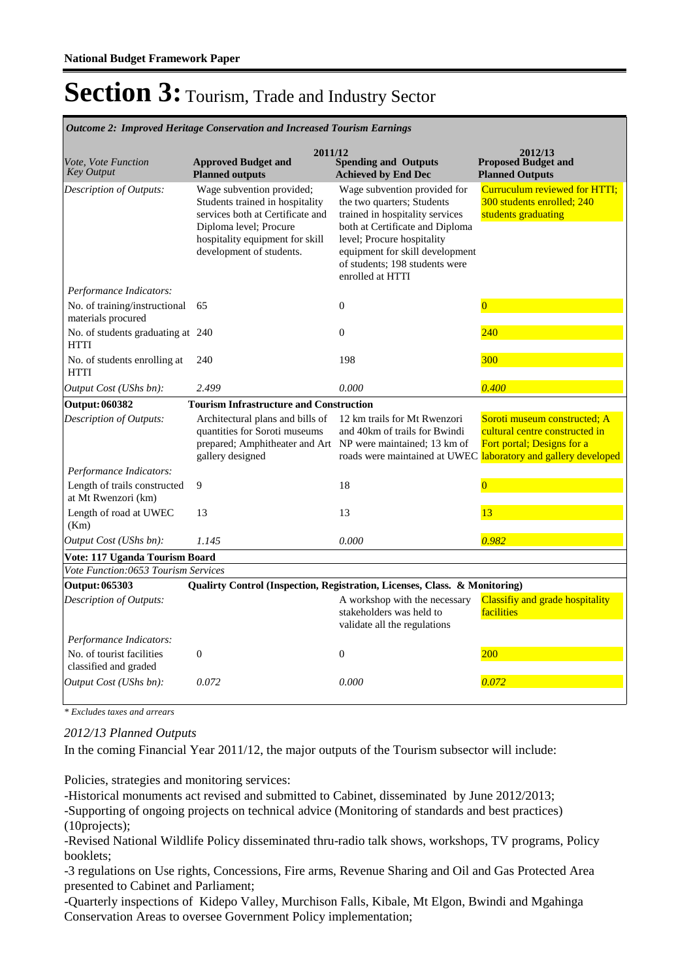|                                                     | Outcome 2: Improved Heritage Conservation and Increased Tourism Earnings                                                                                                                  |                                                                                                                                                                                                                                                         |                                                                                                                                                                |
|-----------------------------------------------------|-------------------------------------------------------------------------------------------------------------------------------------------------------------------------------------------|---------------------------------------------------------------------------------------------------------------------------------------------------------------------------------------------------------------------------------------------------------|----------------------------------------------------------------------------------------------------------------------------------------------------------------|
| Vote, Vote Function<br><b>Key Output</b>            | 2011/12<br><b>Approved Budget and</b><br><b>Planned outputs</b>                                                                                                                           | <b>Spending and Outputs</b><br><b>Achieved by End Dec</b>                                                                                                                                                                                               | 2012/13<br><b>Proposed Budget and</b><br><b>Planned Outputs</b>                                                                                                |
| Description of Outputs:                             | Wage subvention provided;<br>Students trained in hospitality<br>services both at Certificate and<br>Diploma level; Procure<br>hospitality equipment for skill<br>development of students. | Wage subvention provided for<br>the two quarters; Students<br>trained in hospitality services<br>both at Certificate and Diploma<br>level; Procure hospitality<br>equipment for skill development<br>of students; 198 students were<br>enrolled at HTTI | Curruculum reviewed for HTTI;<br>300 students enrolled: 240<br>students graduating                                                                             |
| Performance Indicators:                             |                                                                                                                                                                                           |                                                                                                                                                                                                                                                         |                                                                                                                                                                |
| No. of training/instructional<br>materials procured | 65                                                                                                                                                                                        | $\boldsymbol{0}$                                                                                                                                                                                                                                        | $\overline{0}$                                                                                                                                                 |
| No. of students graduating at 240<br><b>HTTI</b>    |                                                                                                                                                                                           | $\theta$                                                                                                                                                                                                                                                | 240                                                                                                                                                            |
| No. of students enrolling at<br><b>HTTI</b>         | 240                                                                                                                                                                                       | 198                                                                                                                                                                                                                                                     | 300                                                                                                                                                            |
| Output Cost (UShs bn):                              | 2.499                                                                                                                                                                                     | 0.000                                                                                                                                                                                                                                                   | 0.400                                                                                                                                                          |
| <b>Output: 060382</b>                               | <b>Tourism Infrastructure and Construction</b>                                                                                                                                            |                                                                                                                                                                                                                                                         |                                                                                                                                                                |
| Description of Outputs:                             | Architectural plans and bills of<br>quantities for Soroti museums<br>prepared; Amphitheater and Art NP were maintained; 13 km of<br>gallery designed                                      | 12 km trails for Mt Rwenzori<br>and 40km of trails for Bwindi                                                                                                                                                                                           | Soroti museum constructed; A<br>cultural centre constructed in<br>Fort portal; Designs for a<br>roads were maintained at UWEC laboratory and gallery developed |
| Performance Indicators:                             |                                                                                                                                                                                           |                                                                                                                                                                                                                                                         |                                                                                                                                                                |
| Length of trails constructed<br>at Mt Rwenzori (km) | 9                                                                                                                                                                                         | 18                                                                                                                                                                                                                                                      | $\overline{0}$                                                                                                                                                 |
| Length of road at UWEC<br>(Km)                      | 13                                                                                                                                                                                        | 13                                                                                                                                                                                                                                                      | 13                                                                                                                                                             |
| Output Cost (UShs bn):                              | 1.145                                                                                                                                                                                     | 0.000                                                                                                                                                                                                                                                   | 0.982                                                                                                                                                          |
| Vote: 117 Uganda Tourism Board                      |                                                                                                                                                                                           |                                                                                                                                                                                                                                                         |                                                                                                                                                                |
| Vote Function:0653 Tourism Services                 |                                                                                                                                                                                           |                                                                                                                                                                                                                                                         |                                                                                                                                                                |
| Output: 065303                                      | Qualirty Control (Inspection, Registration, Licenses, Class. & Monitoring)                                                                                                                |                                                                                                                                                                                                                                                         |                                                                                                                                                                |
| Description of Outputs:                             |                                                                                                                                                                                           | A workshop with the necessary<br>stakeholders was held to<br>validate all the regulations                                                                                                                                                               | Classifiy and grade hospitality<br>facilities                                                                                                                  |
| Performance Indicators:                             |                                                                                                                                                                                           |                                                                                                                                                                                                                                                         |                                                                                                                                                                |
| No. of tourist facilities<br>classified and graded  | $\boldsymbol{0}$                                                                                                                                                                          | $\boldsymbol{0}$                                                                                                                                                                                                                                        | 200                                                                                                                                                            |
| Output Cost (UShs bn):                              | 0.072                                                                                                                                                                                     | 0.000                                                                                                                                                                                                                                                   | 0.072                                                                                                                                                          |

*\* Excludes taxes and arrears*

#### *2012/13 Planned Outputs*

In the coming Financial Year 2011/12, the major outputs of the Tourism subsector will include:

Policies, strategies and monitoring services:

-Historical monuments act revised and submitted to Cabinet, disseminated by June 2012/2013; -Supporting of ongoing projects on technical advice (Monitoring of standards and best practices)

(10projects);

-Revised National Wildlife Policy disseminated thru-radio talk shows, workshops, TV programs, Policy booklets;

-3 regulations on Use rights, Concessions, Fire arms, Revenue Sharing and Oil and Gas Protected Area presented to Cabinet and Parliament;

-Quarterly inspections of Kidepo Valley, Murchison Falls, Kibale, Mt Elgon, Bwindi and Mgahinga Conservation Areas to oversee Government Policy implementation;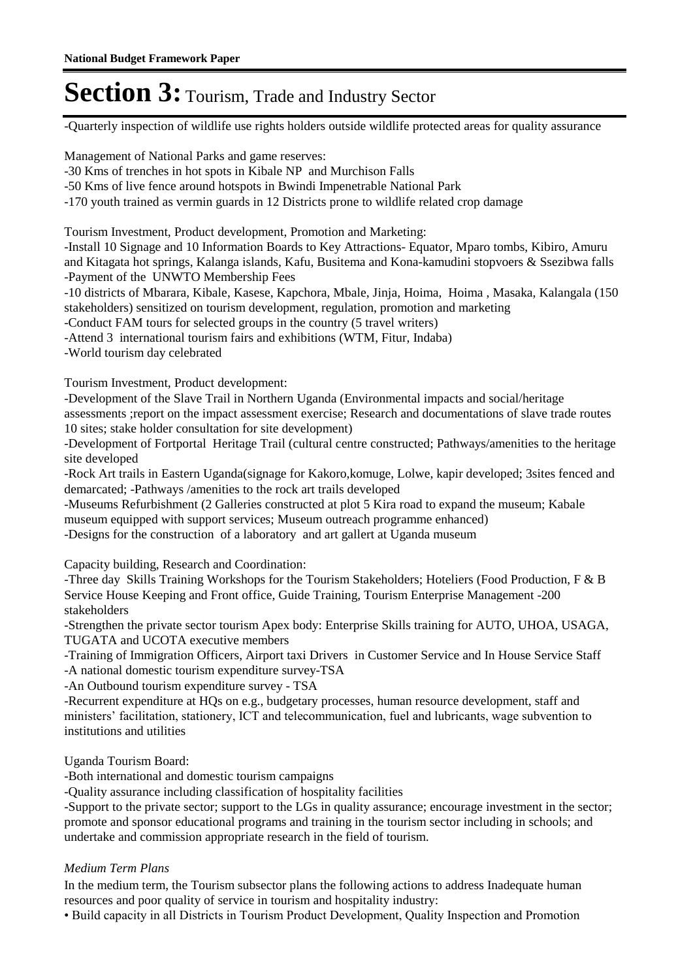-Quarterly inspection of wildlife use rights holders outside wildlife protected areas for quality assurance

Management of National Parks and game reserves:

-30 Kms of trenches in hot spots in Kibale NP and Murchison Falls

-50 Kms of live fence around hotspots in Bwindi Impenetrable National Park

-170 youth trained as vermin guards in 12 Districts prone to wildlife related crop damage

Tourism Investment, Product development, Promotion and Marketing:

-Install 10 Signage and 10 Information Boards to Key Attractions- Equator, Mparo tombs, Kibiro, Amuru and Kitagata hot springs, Kalanga islands, Kafu, Busitema and Kona-kamudini stopvoers & Ssezibwa falls -Payment of the UNWTO Membership Fees

-10 districts of Mbarara, Kibale, Kasese, Kapchora, Mbale, Jinja, Hoima, Hoima , Masaka, Kalangala (150 stakeholders) sensitized on tourism development, regulation, promotion and marketing

-Conduct FAM tours for selected groups in the country (5 travel writers)

-Attend 3 international tourism fairs and exhibitions (WTM, Fitur, Indaba)

-World tourism day celebrated

Tourism Investment, Product development:

-Development of the Slave Trail in Northern Uganda (Environmental impacts and social/heritage assessments ;report on the impact assessment exercise; Research and documentations of slave trade routes 10 sites; stake holder consultation for site development)

-Development of Fortportal Heritage Trail (cultural centre constructed; Pathways/amenities to the heritage site developed

-Rock Art trails in Eastern Uganda(signage for Kakoro,komuge, Lolwe, kapir developed; 3sites fenced and demarcated; -Pathways /amenities to the rock art trails developed

-Museums Refurbishment (2 Galleries constructed at plot 5 Kira road to expand the museum; Kabale museum equipped with support services; Museum outreach programme enhanced) -Designs for the construction of a laboratory and art gallert at Uganda museum

Capacity building, Research and Coordination:

-Three day Skills Training Workshops for the Tourism Stakeholders; Hoteliers (Food Production, F & B Service House Keeping and Front office, Guide Training, Tourism Enterprise Management -200 stakeholders

-Strengthen the private sector tourism Apex body: Enterprise Skills training for AUTO, UHOA, USAGA, TUGATA and UCOTA executive members

-Training of Immigration Officers, Airport taxi Drivers in Customer Service and In House Service Staff -A national domestic tourism expenditure survey-TSA

-An Outbound tourism expenditure survey - TSA

-Recurrent expenditure at HQs on e.g., budgetary processes, human resource development, staff and ministers' facilitation, stationery, ICT and telecommunication, fuel and lubricants, wage subvention to institutions and utilities

Uganda Tourism Board:

-Both international and domestic tourism campaigns

-Quality assurance including classification of hospitality facilities

-Support to the private sector; support to the LGs in quality assurance; encourage investment in the sector; promote and sponsor educational programs and training in the tourism sector including in schools; and undertake and commission appropriate research in the field of tourism.

#### *Medium Term Plans*

In the medium term, the Tourism subsector plans the following actions to address Inadequate human resources and poor quality of service in tourism and hospitality industry:

• Build capacity in all Districts in Tourism Product Development, Quality Inspection and Promotion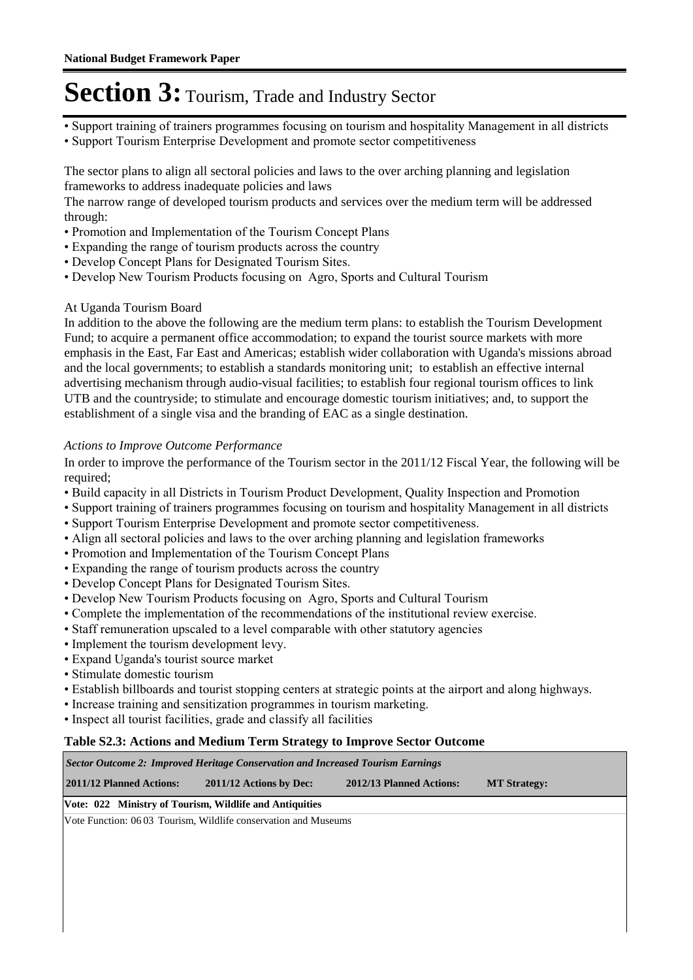- Support training of trainers programmes focusing on tourism and hospitality Management in all districts
- Support Tourism Enterprise Development and promote sector competitiveness

The sector plans to align all sectoral policies and laws to the over arching planning and legislation frameworks to address inadequate policies and laws

The narrow range of developed tourism products and services over the medium term will be addressed through:

- Promotion and Implementation of the Tourism Concept Plans
- Expanding the range of tourism products across the country
- Develop Concept Plans for Designated Tourism Sites.
- Develop New Tourism Products focusing on Agro, Sports and Cultural Tourism

#### At Uganda Tourism Board

In addition to the above the following are the medium term plans: to establish the Tourism Development Fund; to acquire a permanent office accommodation; to expand the tourist source markets with more emphasis in the East, Far East and Americas; establish wider collaboration with Uganda's missions abroad and the local governments; to establish a standards monitoring unit; to establish an effective internal advertising mechanism through audio-visual facilities; to establish four regional tourism offices to link UTB and the countryside; to stimulate and encourage domestic tourism initiatives; and, to support the establishment of a single visa and the branding of EAC as a single destination.

#### *Actions to Improve Outcome Performance*

In order to improve the performance of the Tourism sector in the 2011/12 Fiscal Year, the following will be required;

- Build capacity in all Districts in Tourism Product Development, Quality Inspection and Promotion
- Support training of trainers programmes focusing on tourism and hospitality Management in all districts
- Support Tourism Enterprise Development and promote sector competitiveness.
- Align all sectoral policies and laws to the over arching planning and legislation frameworks
- Promotion and Implementation of the Tourism Concept Plans
- Expanding the range of tourism products across the country
- Develop Concept Plans for Designated Tourism Sites.
- Develop New Tourism Products focusing on Agro, Sports and Cultural Tourism
- Complete the implementation of the recommendations of the institutional review exercise.
- Staff remuneration upscaled to a level comparable with other statutory agencies
- Implement the tourism development levy.
- Expand Uganda's tourist source market
- Stimulate domestic tourism
- Establish billboards and tourist stopping centers at strategic points at the airport and along highways.
- Increase training and sensitization programmes in tourism marketing.
- Inspect all tourist facilities, grade and classify all facilities

#### **Table S2.3: Actions and Medium Term Strategy to Improve Sector Outcome**

| <b>Sector Outcome 2: Improved Heritage Conservation and Increased Tourism Earnings</b> |                                                                |                          |                     |  |  |
|----------------------------------------------------------------------------------------|----------------------------------------------------------------|--------------------------|---------------------|--|--|
| 2011/12 Planned Actions:                                                               | $2011/12$ Actions by Dec:                                      | 2012/13 Planned Actions: | <b>MT Strategy:</b> |  |  |
| Vote: 022 Ministry of Tourism, Wildlife and Antiquities                                |                                                                |                          |                     |  |  |
|                                                                                        | Vote Function: 0603 Tourism, Wildlife conservation and Museums |                          |                     |  |  |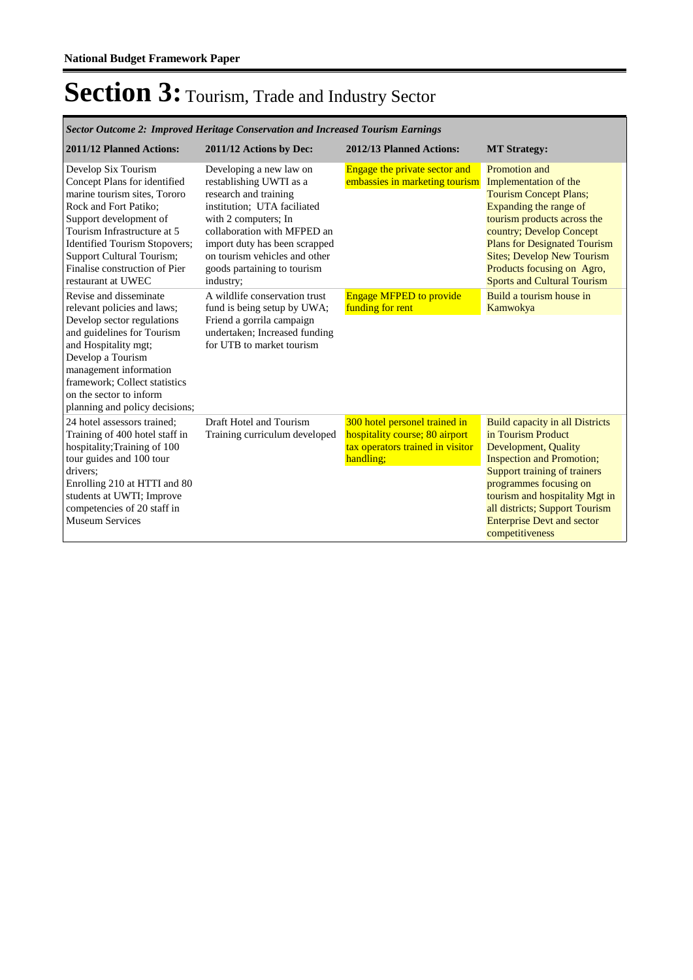*Sector Outcome 2: Improved Heritage Conservation and Increased Tourism Earnings*

| 2011/12 Planned Actions:                                                                                                                                                                                                                                                                   | 2011/12 Actions by Dec:                                                                                                                                                                                                                                                         | 2012/13 Planned Actions:                                                                                         | <b>MT Strategy:</b>                                                                                                                                                                                                                                                                                            |
|--------------------------------------------------------------------------------------------------------------------------------------------------------------------------------------------------------------------------------------------------------------------------------------------|---------------------------------------------------------------------------------------------------------------------------------------------------------------------------------------------------------------------------------------------------------------------------------|------------------------------------------------------------------------------------------------------------------|----------------------------------------------------------------------------------------------------------------------------------------------------------------------------------------------------------------------------------------------------------------------------------------------------------------|
| Develop Six Tourism<br>Concept Plans for identified<br>marine tourism sites, Tororo<br>Rock and Fort Patiko:<br>Support development of<br>Tourism Infrastructure at 5<br>Identified Tourism Stopovers;<br>Support Cultural Tourism;<br>Finalise construction of Pier<br>restaurant at UWEC | Developing a new law on<br>restablishing UWTI as a<br>research and training<br>institution; UTA faciliated<br>with 2 computers; In<br>collaboration with MFPED an<br>import duty has been scrapped<br>on tourism vehicles and other<br>goods partaining to tourism<br>industry; | Engage the private sector and<br>embassies in marketing tourism                                                  | Promotion and<br>Implementation of the<br><b>Tourism Concept Plans;</b><br>Expanding the range of<br>tourism products across the<br>country; Develop Concept<br><b>Plans for Designated Tourism</b><br><b>Sites; Develop New Tourism</b><br>Products focusing on Agro,<br><b>Sports and Cultural Tourism</b>   |
| Revise and disseminate<br>relevant policies and laws;                                                                                                                                                                                                                                      | A wildlife conservation trust<br>fund is being setup by UWA;                                                                                                                                                                                                                    | <b>Engage MFPED to provide</b><br>funding for rent                                                               | Build a tourism house in<br>Kamwokya                                                                                                                                                                                                                                                                           |
| Develop sector regulations<br>and guidelines for Tourism<br>and Hospitality mgt;<br>Develop a Tourism<br>management information<br>framework; Collect statistics<br>on the sector to inform<br>planning and policy decisions;                                                              | Friend a gorrila campaign<br>undertaken; Increased funding<br>for UTB to market tourism                                                                                                                                                                                         |                                                                                                                  |                                                                                                                                                                                                                                                                                                                |
| 24 hotel assessors trained:<br>Training of 400 hotel staff in<br>hospitality; Training of 100<br>tour guides and 100 tour<br>drivers:<br>Enrolling 210 at HTTI and 80<br>students at UWTI; Improve<br>competencies of 20 staff in<br><b>Museum Services</b>                                | Draft Hotel and Tourism<br>Training curriculum developed                                                                                                                                                                                                                        | 300 hotel personel trained in<br>hospitality course; 80 airport<br>tax operators trained in visitor<br>handling; | <b>Build capacity in all Districts</b><br>in Tourism Product<br>Development, Quality<br><b>Inspection and Promotion;</b><br>Support training of trainers<br>programmes focusing on<br>tourism and hospitality Mgt in<br>all districts; Support Tourism<br><b>Enterprise Devt and sector</b><br>competitiveness |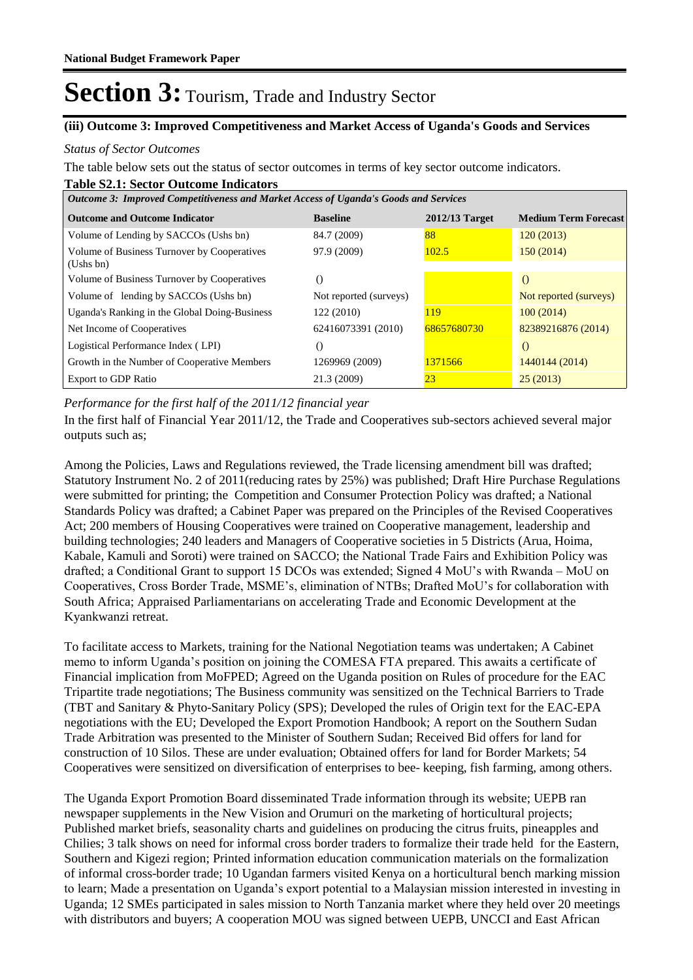#### **(iii) Outcome 3: Improved Competitiveness and Market Access of Uganda's Goods and Services**

#### *Status of Sector Outcomes*

The table below sets out the status of sector outcomes in terms of key sector outcome indicators.

#### **Table S2.1: Sector Outcome Indicators**

| Outcome 3: Improved Competitiveness and Market Access of Uganda's Goods and Services |                        |                  |                             |  |  |  |
|--------------------------------------------------------------------------------------|------------------------|------------------|-----------------------------|--|--|--|
| <b>Outcome and Outcome Indicator</b>                                                 | <b>Baseline</b>        | $2012/13$ Target | <b>Medium Term Forecast</b> |  |  |  |
| Volume of Lending by SACCOs (Ushs bn)                                                | 84.7 (2009)            | 88               | 120(2013)                   |  |  |  |
| Volume of Business Turnover by Cooperatives<br>(Ushs bn)                             | 97.9 (2009)            | 102.5            | 150(2014)                   |  |  |  |
| Volume of Business Turnover by Cooperatives                                          | $\left( \right)$       |                  | $\Omega$                    |  |  |  |
| Volume of lending by SACCOs (Ushs bn)                                                | Not reported (surveys) |                  | Not reported (surveys)      |  |  |  |
| Uganda's Ranking in the Global Doing-Business                                        | 122 (2010)             | <b>119</b>       | 100(2014)                   |  |  |  |
| Net Income of Cooperatives                                                           | 62416073391 (2010)     | 68657680730      | 82389216876 (2014)          |  |  |  |
| Logistical Performance Index (LPI)                                                   | 0                      |                  | $\left($                    |  |  |  |
| Growth in the Number of Cooperative Members                                          | 1269969 (2009)         | 1371566          | 1440144 (2014)              |  |  |  |
| <b>Export to GDP Ratio</b>                                                           | 21.3 (2009)            | 2 <sub>3</sub>   | 25(2013)                    |  |  |  |

*Performance for the first half of the 2011/12 financial year*

In the first half of Financial Year 2011/12, the Trade and Cooperatives sub-sectors achieved several major outputs such as;

Among the Policies, Laws and Regulations reviewed, the Trade licensing amendment bill was drafted; Statutory Instrument No. 2 of 2011(reducing rates by 25%) was published; Draft Hire Purchase Regulations were submitted for printing; the Competition and Consumer Protection Policy was drafted; a National Standards Policy was drafted; a Cabinet Paper was prepared on the Principles of the Revised Cooperatives Act; 200 members of Housing Cooperatives were trained on Cooperative management, leadership and building technologies; 240 leaders and Managers of Cooperative societies in 5 Districts (Arua, Hoima, Kabale, Kamuli and Soroti) were trained on SACCO; the National Trade Fairs and Exhibition Policy was drafted; a Conditional Grant to support 15 DCOs was extended; Signed 4 MoU's with Rwanda – MoU on Cooperatives, Cross Border Trade, MSME's, elimination of NTBs; Drafted MoU's for collaboration with South Africa; Appraised Parliamentarians on accelerating Trade and Economic Development at the Kyankwanzi retreat.

To facilitate access to Markets, training for the National Negotiation teams was undertaken; A Cabinet memo to inform Uganda's position on joining the COMESA FTA prepared. This awaits a certificate of Financial implication from MoFPED; Agreed on the Uganda position on Rules of procedure for the EAC Tripartite trade negotiations; The Business community was sensitized on the Technical Barriers to Trade (TBT and Sanitary & Phyto-Sanitary Policy (SPS); Developed the rules of Origin text for the EAC-EPA negotiations with the EU; Developed the Export Promotion Handbook; A report on the Southern Sudan Trade Arbitration was presented to the Minister of Southern Sudan; Received Bid offers for land for construction of 10 Silos. These are under evaluation; Obtained offers for land for Border Markets; 54 Cooperatives were sensitized on diversification of enterprises to bee- keeping, fish farming, among others.

The Uganda Export Promotion Board disseminated Trade information through its website; UEPB ran newspaper supplements in the New Vision and Orumuri on the marketing of horticultural projects; Published market briefs, seasonality charts and guidelines on producing the citrus fruits, pineapples and Chilies; 3 talk shows on need for informal cross border traders to formalize their trade held for the Eastern, Southern and Kigezi region; Printed information education communication materials on the formalization of informal cross-border trade; 10 Ugandan farmers visited Kenya on a horticultural bench marking mission to learn; Made a presentation on Uganda's export potential to a Malaysian mission interested in investing in Uganda; 12 SMEs participated in sales mission to North Tanzania market where they held over 20 meetings with distributors and buyers; A cooperation MOU was signed between UEPB, UNCCI and East African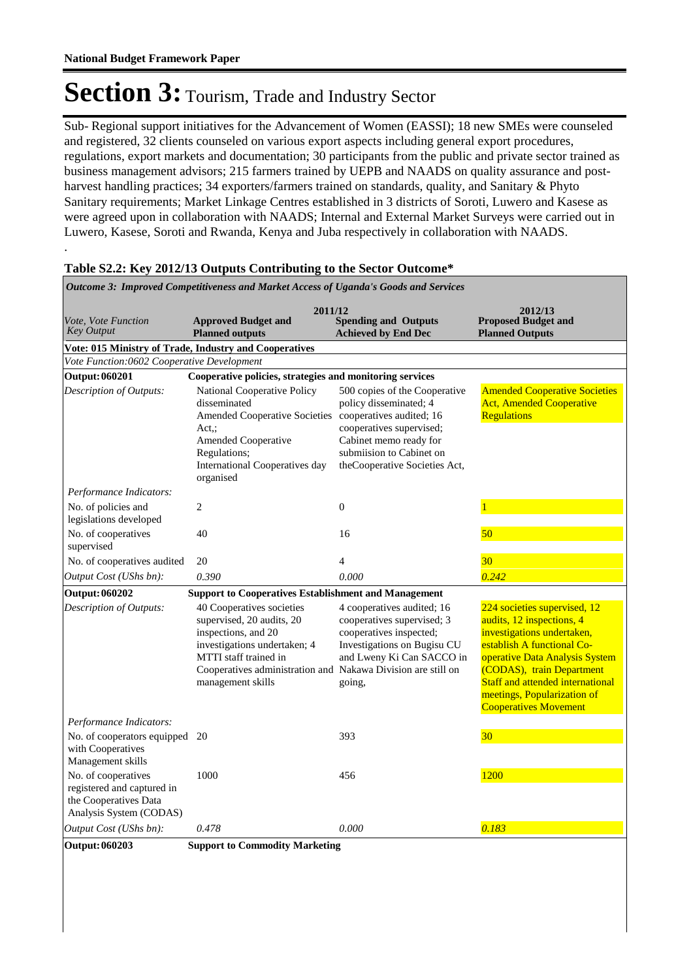.

# Section 3: Tourism, Trade and Industry Sector

Sub- Regional support initiatives for the Advancement of Women (EASSI); 18 new SMEs were counseled and registered, 32 clients counseled on various export aspects including general export procedures, regulations, export markets and documentation; 30 participants from the public and private sector trained as business management advisors; 215 farmers trained by UEPB and NAADS on quality assurance and postharvest handling practices; 34 exporters/farmers trained on standards, quality, and Sanitary & Phyto Sanitary requirements; Market Linkage Centres established in 3 districts of Soroti, Luwero and Kasese as were agreed upon in collaboration with NAADS; Internal and External Market Surveys were carried out in Luwero, Kasese, Soroti and Rwanda, Kenya and Juba respectively in collaboration with NAADS.

| Outcome 3: Improved Competitiveness and Market Access of Uganda's Goods and Services                  |                                                                                                                                                                                                                             |                                                                                                                                                                                                        |                                                                                                                                                                                                                                                                                         |  |  |
|-------------------------------------------------------------------------------------------------------|-----------------------------------------------------------------------------------------------------------------------------------------------------------------------------------------------------------------------------|--------------------------------------------------------------------------------------------------------------------------------------------------------------------------------------------------------|-----------------------------------------------------------------------------------------------------------------------------------------------------------------------------------------------------------------------------------------------------------------------------------------|--|--|
| Vote, Vote Function<br><b>Key Output</b>                                                              | 2011/12<br><b>Spending and Outputs</b><br><b>Approved Budget and</b><br><b>Planned outputs</b><br><b>Achieved by End Dec</b>                                                                                                | 2012/13<br><b>Proposed Budget and</b><br><b>Planned Outputs</b>                                                                                                                                        |                                                                                                                                                                                                                                                                                         |  |  |
|                                                                                                       | Vote: 015 Ministry of Trade, Industry and Cooperatives                                                                                                                                                                      |                                                                                                                                                                                                        |                                                                                                                                                                                                                                                                                         |  |  |
| Vote Function:0602 Cooperative Development                                                            |                                                                                                                                                                                                                             |                                                                                                                                                                                                        |                                                                                                                                                                                                                                                                                         |  |  |
| <b>Output: 060201</b>                                                                                 | Cooperative policies, strategies and monitoring services                                                                                                                                                                    |                                                                                                                                                                                                        |                                                                                                                                                                                                                                                                                         |  |  |
| Description of Outputs:                                                                               | National Cooperative Policy<br>disseminated<br><b>Amended Cooperative Societies</b><br>Act.:<br>Amended Cooperative<br>Regulations;<br>International Cooperatives day<br>organised                                          | 500 copies of the Cooperative<br>policy disseminated; 4<br>cooperatives audited; 16<br>cooperatives supervised;<br>Cabinet memo ready for<br>submiision to Cabinet on<br>theCooperative Societies Act, | <b>Amended Cooperative Societies</b><br><b>Act, Amended Cooperative</b><br>Regulations                                                                                                                                                                                                  |  |  |
| Performance Indicators:                                                                               |                                                                                                                                                                                                                             |                                                                                                                                                                                                        |                                                                                                                                                                                                                                                                                         |  |  |
| No. of policies and<br>legislations developed                                                         | $\overline{c}$                                                                                                                                                                                                              | $\mathbf{0}$                                                                                                                                                                                           |                                                                                                                                                                                                                                                                                         |  |  |
| No. of cooperatives<br>supervised                                                                     | 40                                                                                                                                                                                                                          | 16                                                                                                                                                                                                     | 50                                                                                                                                                                                                                                                                                      |  |  |
| No. of cooperatives audited                                                                           | 20                                                                                                                                                                                                                          | $\overline{4}$                                                                                                                                                                                         | 30                                                                                                                                                                                                                                                                                      |  |  |
| Output Cost (UShs bn):                                                                                | 0.390                                                                                                                                                                                                                       | 0.000                                                                                                                                                                                                  | 0.242                                                                                                                                                                                                                                                                                   |  |  |
| <b>Output: 060202</b>                                                                                 | <b>Support to Cooperatives Establishment and Management</b>                                                                                                                                                                 |                                                                                                                                                                                                        |                                                                                                                                                                                                                                                                                         |  |  |
| Description of Outputs:                                                                               | 40 Cooperatives societies<br>supervised, 20 audits, 20<br>inspections, and 20<br>investigations undertaken; 4<br>MTTI staff trained in<br>Cooperatives administration and Nakawa Division are still on<br>management skills | 4 cooperatives audited; 16<br>cooperatives supervised; 3<br>cooperatives inspected;<br>Investigations on Bugisu CU<br>and Lweny Ki Can SACCO in<br>going,                                              | 224 societies supervised, 12<br>audits, 12 inspections, 4<br>investigations undertaken,<br>establish A functional Co-<br>operative Data Analysis System<br>(CODAS), train Department<br>Staff and attended international<br>meetings, Popularization of<br><b>Cooperatives Movement</b> |  |  |
| Performance Indicators:                                                                               |                                                                                                                                                                                                                             |                                                                                                                                                                                                        |                                                                                                                                                                                                                                                                                         |  |  |
| No. of cooperators equipped 20<br>with Cooperatives<br>Management skills                              |                                                                                                                                                                                                                             | 393                                                                                                                                                                                                    | 30                                                                                                                                                                                                                                                                                      |  |  |
| No. of cooperatives<br>registered and captured in<br>the Cooperatives Data<br>Analysis System (CODAS) | 1000                                                                                                                                                                                                                        | 456                                                                                                                                                                                                    | 1200                                                                                                                                                                                                                                                                                    |  |  |
| Output Cost (UShs bn):                                                                                | 0.478                                                                                                                                                                                                                       | 0.000                                                                                                                                                                                                  | 0.183                                                                                                                                                                                                                                                                                   |  |  |
| Output: 060203                                                                                        | <b>Support to Commodity Marketing</b>                                                                                                                                                                                       |                                                                                                                                                                                                        |                                                                                                                                                                                                                                                                                         |  |  |

#### **Table S2.2: Key 2012/13 Outputs Contributing to the Sector Outcome\***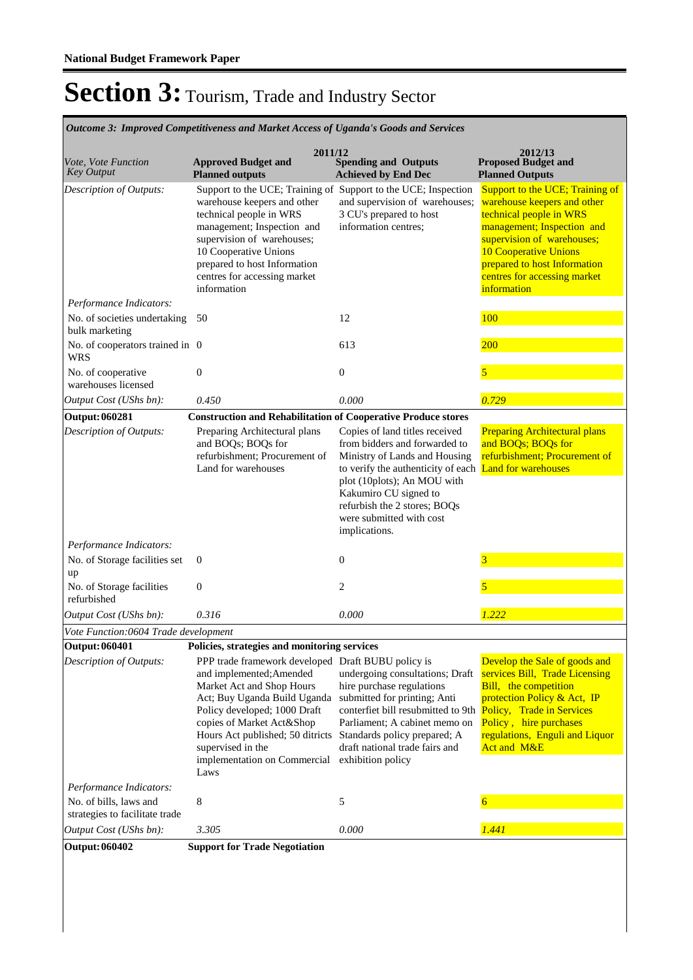**Spending and Outputs Achieved by End Dec Approved Budget and Planned outputs Proposed Budget and Planned Outputs 2011/12** *Vote, Vote Function Key Output* **2012/13** *Outcome 3: Improved Competitiveness and Market Access of Uganda's Goods and Services* Support to the UCE; Training of Support to the UCE; Inspection warehouse keepers and other technical people in WRS management; Inspection and supervision of warehouses; 10 Cooperative Unions prepared to host Information centres for accessing market information and supervision of warehouses; 3 CU's prepared to host information centres; Support to the UCE: Training of warehouse keepers and other technical people in WRS management; Inspection and supervision of warehouses: 10 Cooperative Unions prepared to host Information centres for accessing market **information** *Output Cost (UShs bn): 0.450 0.000 0.729 Description of Outputs: Performance Indicators:* No. of societies undertaking 50 bulk marketing 50 12 100 No. of cooperators trained in WRS 0 613  $\frac{200}{200}$ No. of cooperative warehouses licensed 0 0 5 **Output: 060281 Construction and Rehabilitation of Cooperative Produce stores**  Preparing Architectural plans and BOQs; BOQs for refurbishment; Procurement of Land for warehouses Copies of land titles received from bidders and forwarded to Ministry of Lands and Housing to verify the authenticity of each **Land for warehouses** plot (10plots); An MOU with Kakumiro CU signed to refurbish the 2 stores; BOQs were submitted with cost implications. **Preparing Architectural plans** and BOQs; BOQs for refurbishment; Procurement of *Output Cost (UShs bn): 0.316 0.000 1.222 Description of Outputs: Performance Indicators:* No. of Storage facilities set up 0 0  $\frac{3}{3}$ No. of Storage facilities refurbished 0 2  $\sqrt{5}$ *Vote Function:0604 Trade development* **Output: 060401 Policies, strategies and monitoring services** PPP trade framework developed Draft BUBU policy is and implemented;Amended Market Act and Shop Hours Act; Buy Uganda Build Uganda Policy developed; 1000 Draft copies of Market Act&Shop Hours Act published; 50 ditricts Standards policy prepared; A supervised in the implementation on Commercial Laws undergoing consultations; Draft hire purchase regulations submitted for printing; Anti conterfiet bill resubmitted to 9th Policy, Trade in Services Parliament; A cabinet memo on draft national trade fairs and exhibition policy Develop the Sale of goods and services Bill, Trade Licensing Bill, the competition protection Policy & Act, IP Policy, hire purchases regulations, Enguli and Liquor Act and M&E *Output Cost (UShs bn): 3.305 0.000 1.441 Description of Outputs: Performance Indicators:* No. of bills, laws and strategies to facilitate trade 8 5 6 **Output: 060402 Support for Trade Negotiation**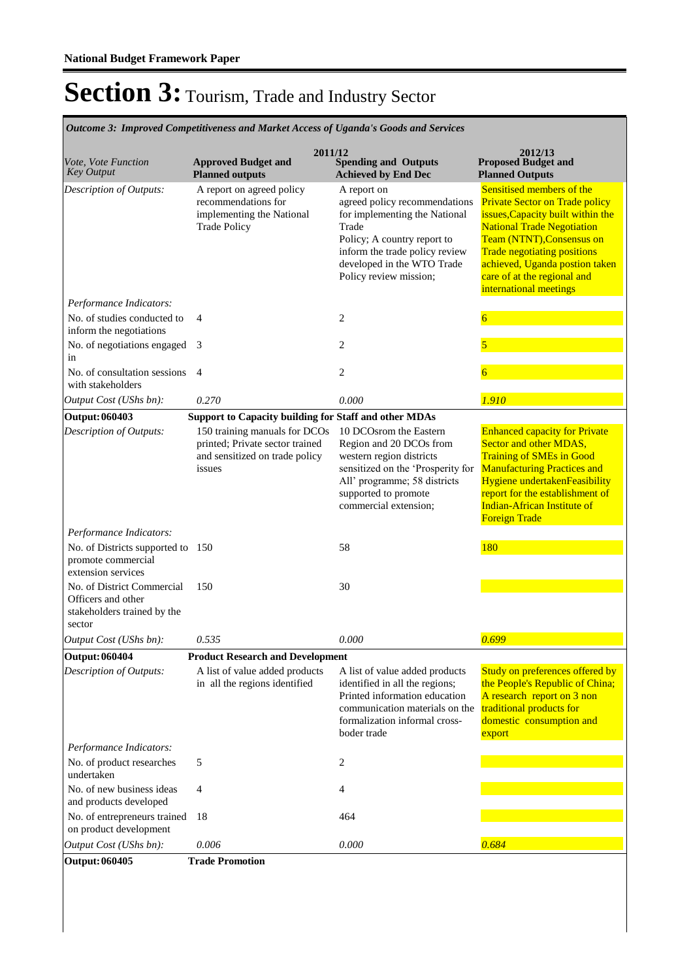**Spending and Outputs Achieved by End Dec Approved Budget and Planned outputs Proposed Budget and Planned Outputs 2011/12** *Vote, Vote Function Key Output* **2012/13** *Outcome 3: Improved Competitiveness and Market Access of Uganda's Goods and Services* A report on agreed policy recommendations for implementing the National Trade Policy A report on agreed policy recommendations for implementing the National Trade Policy; A country report to inform the trade policy review developed in the WTO Trade Policy review mission; Sensitised members of the Private Sector on Trade policy issues,Capacity built within the National Trade Negotiation Team (NTNT),Consensus on Trade negotiating positions achieved, Uganda postion taken care of at the regional and international meetings *Output Cost (UShs bn): 0.270 0.000 1.910 Description of Outputs: Performance Indicators:* No. of studies conducted to inform the negotiations 4 2 6 No. of negotiations engaged 3 in 3 2  $\sqrt{5}$ No. of consultation sessions 4 with stakeholders 4 2 6 **Output: 060403 Support to Capacity building for Staff and other MDAs** 150 training manuals for DCOs 10 DCOsrom the Eastern printed; Private sector trained and sensitized on trade policy issues Region and 20 DCOs from western region districts sensitized on the 'Prosperity for All' programme; 58 districts supported to promote commercial extension; Enhanced capacity for Private Sector and other MDAS, Training of SMEs in Good Manufacturing Practices and Hygiene undertakenFeasibility report for the establishment of Indian-African Institute of Foreign Trade *Output Cost (UShs bn): 0.535 0.000 0.699 Description of Outputs: Performance Indicators:* No. of Districts supported to 150 promote commercial extension services 150 58 180 No. of District Commercial Officers and other stakeholders trained by the sector 150 30 **Output: 060404 Product Research and Development** A list of value added products in all the regions identified A list of value added products identified in all the regions; Printed information education communication materials on the formalization informal crossboder trade Study on preferences offered by the People's Republic of China; A research report on 3 non traditional products for domestic consumption and export *Output Cost (UShs bn): 0.006 0.000 0.684 Description of Outputs: Performance Indicators:* No. of product researches undertaken  $5$  2 No. of new business ideas and products developed 4 4 No. of entrepreneurs trained on product development 18 464 **Output: 060405 Trade Promotion**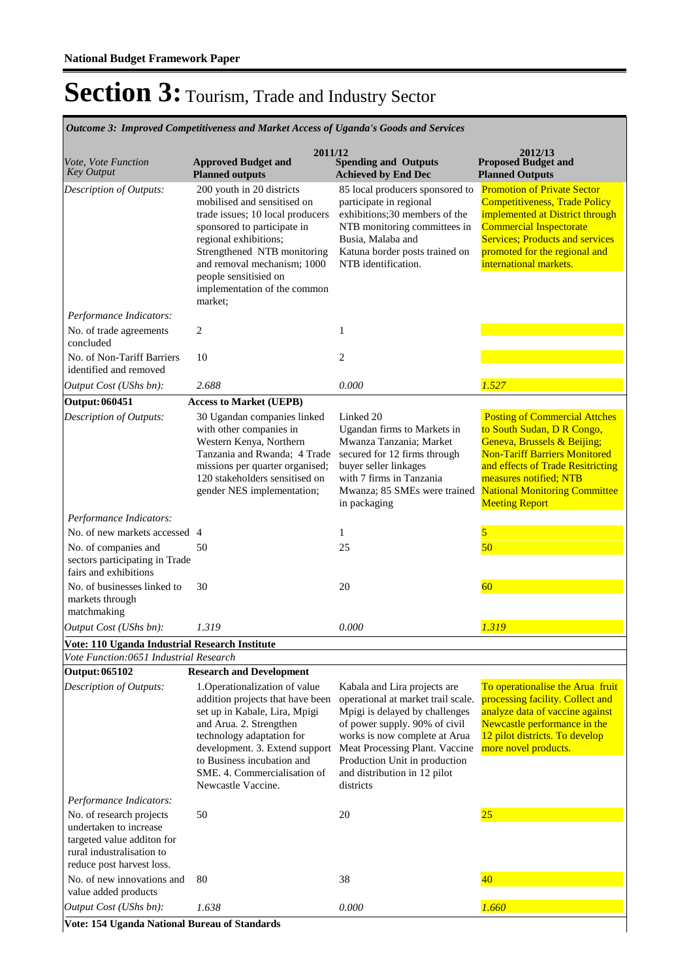**Spending and Outputs Achieved by End Dec Approved Budget and Planned outputs Proposed Budget and Planned Outputs 2011/12** *Vote, Vote Function Key Output* **2012/13** *Outcome 3: Improved Competitiveness and Market Access of Uganda's Goods and Services* 200 youth in 20 districts mobilised and sensitised on trade issues; 10 local producers sponsored to participate in regional exhibitions; Strengthened NTB monitoring and removal mechanism; 1000 people sensitisied on implementation of the common market; 85 local producers sponsored to participate in regional exhibitions;30 members of the NTB monitoring committees in Busia, Malaba and Katuna border posts trained on NTB identification. Promotion of Private Sector Competitiveness, Trade Policy implemented at District through Commercial Inspectorate Services; Products and services promoted for the regional and international markets. *Output Cost (UShs bn): 2.688 0.000 1.527 Description of Outputs: Performance Indicators:* No. of trade agreements concluded 2 1 No. of Non-Tariff Barriers identified and removed 10 2 **Output: 060451 Access to Market (UEPB)** 30 Ugandan companies linked with other companies in Western Kenya, Northern Tanzania and Rwanda; 4 Trade missions per quarter organised; 120 stakeholders sensitised on gender NES implementation; Linked 20 Ugandan firms to Markets in Mwanza Tanzania; Market secured for 12 firms through buyer seller linkages with 7 firms in Tanzania Mwanza; 85 SMEs were trained in packaging Posting of Commercial Attches to South Sudan, D R Congo, Geneva, Brussels & Beijing; Non-Tariff Barriers Monitored and effects of Trade Resitricting measures notified; NTB National Monitoring Committee **Meeting Report** *Output Cost (UShs bn): 1.319 0.000 1.319 Description of Outputs: Performance Indicators:* No. of new markets accessed  $\frac{4}{5}$  1 No. of companies and sectors participating in Trade fairs and exhibitions 50 25 25 50 No. of businesses linked to markets through matchmaking 30 20 20 50 **Vote: 110 Uganda Industrial Research Institute** *Vote Function:0651 Industrial Research* **Output: 065102 Research and Development** 1.Operationalization of value addition projects that have been set up in Kabale, Lira, Mpigi and Arua. 2. Strengthen technology adaptation for development. 3. Extend support to Business incubation and SME. 4. Commercialisation of Newcastle Vaccine. Kabala and Lira projects are operational at market trail scale. Mpigi is delayed by challenges of power supply. 90% of civil works is now complete at Arua Meat Processing Plant. Vaccine Production Unit in production and distribution in 12 pilot districts To operationalise the Arua fruit processing facility. Collect and analyze data of vaccine against Newcastle performance in the 12 pilot districts. To develop more novel products. *Output Cost (UShs bn): 1.638 0.000 1.660 Description of Outputs: Performance Indicators:* No. of research projects undertaken to increase targeted value additon for rural industralisation to reduce post harvest loss. 50 20 20 25 No. of new innovations and value added products 80 38 38 40

**Vote: 154 Uganda National Bureau of Standards**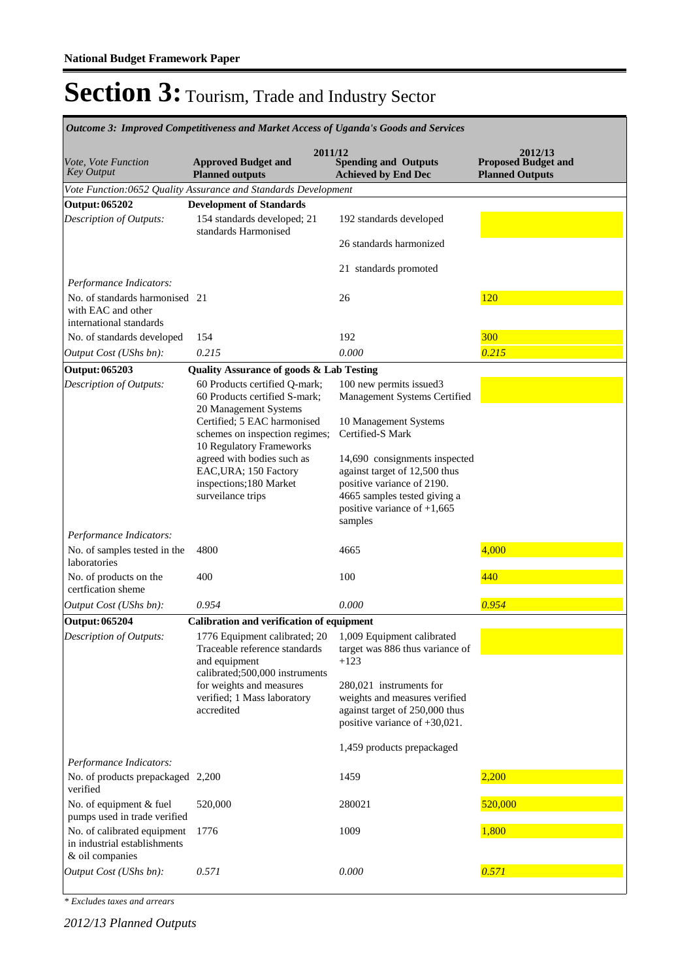| Outcome 3: Improved Competitiveness and Market Access of Uganda's Goods and Services |                                                                                                                   |                                                                                                                                                               |                                                                 |  |  |
|--------------------------------------------------------------------------------------|-------------------------------------------------------------------------------------------------------------------|---------------------------------------------------------------------------------------------------------------------------------------------------------------|-----------------------------------------------------------------|--|--|
| Vote, Vote Function<br>Key Output                                                    | 2011/12<br><b>Approved Budget and</b><br><b>Planned outputs</b>                                                   | <b>Spending and Outputs</b><br><b>Achieved by End Dec</b>                                                                                                     | 2012/13<br><b>Proposed Budget and</b><br><b>Planned Outputs</b> |  |  |
|                                                                                      | Vote Function:0652 Quality Assurance and Standards Development                                                    |                                                                                                                                                               |                                                                 |  |  |
| Output: 065202                                                                       | <b>Development of Standards</b>                                                                                   |                                                                                                                                                               |                                                                 |  |  |
| Description of Outputs:                                                              | 154 standards developed; 21<br>standards Harmonised                                                               | 192 standards developed                                                                                                                                       |                                                                 |  |  |
|                                                                                      |                                                                                                                   | 26 standards harmonized                                                                                                                                       |                                                                 |  |  |
|                                                                                      |                                                                                                                   | 21 standards promoted                                                                                                                                         |                                                                 |  |  |
| Performance Indicators:                                                              |                                                                                                                   |                                                                                                                                                               |                                                                 |  |  |
| No. of standards harmonised 21<br>with EAC and other<br>international standards      |                                                                                                                   | 26                                                                                                                                                            | 120                                                             |  |  |
| No. of standards developed                                                           | 154                                                                                                               | 192                                                                                                                                                           | 300                                                             |  |  |
| Output Cost (UShs bn):                                                               | 0.215                                                                                                             | 0.000                                                                                                                                                         | 0.215                                                           |  |  |
| Output: 065203                                                                       | <b>Quality Assurance of goods &amp; Lab Testing</b>                                                               |                                                                                                                                                               |                                                                 |  |  |
| Description of Outputs:                                                              | 60 Products certified Q-mark;<br>60 Products certified S-mark;<br>20 Management Systems                           | 100 new permits issued3<br>Management Systems Certified                                                                                                       |                                                                 |  |  |
|                                                                                      | Certified; 5 EAC harmonised<br>schemes on inspection regimes;<br>10 Regulatory Frameworks                         | 10 Management Systems<br>Certified-S Mark                                                                                                                     |                                                                 |  |  |
|                                                                                      | agreed with bodies such as<br>EAC, URA; 150 Factory<br>inspections;180 Market<br>surveilance trips                | 14,690 consignments inspected<br>against target of 12,500 thus<br>positive variance of 2190.<br>4665 samples tested giving a<br>positive variance of $+1,665$ |                                                                 |  |  |
|                                                                                      |                                                                                                                   | samples                                                                                                                                                       |                                                                 |  |  |
| Performance Indicators:                                                              |                                                                                                                   |                                                                                                                                                               |                                                                 |  |  |
| No. of samples tested in the<br>laboratories                                         | 4800                                                                                                              | 4665                                                                                                                                                          | 4,000                                                           |  |  |
| No. of products on the<br>certfication sheme                                         | 400                                                                                                               | 100                                                                                                                                                           | 440                                                             |  |  |
| Output Cost (UShs bn):                                                               | 0.954                                                                                                             | 0.000                                                                                                                                                         | 0.954                                                           |  |  |
| <b>Output: 065204</b>                                                                | Calibration and verification of equipment                                                                         |                                                                                                                                                               |                                                                 |  |  |
| Description of Outputs:                                                              | 1776 Equipment calibrated; 20<br>Traceable reference standards<br>and equipment<br>calibrated;500,000 instruments | 1,009 Equipment calibrated<br>target was 886 thus variance of<br>$+123$                                                                                       |                                                                 |  |  |
|                                                                                      | for weights and measures<br>verified; 1 Mass laboratory<br>accredited                                             | 280,021 instruments for<br>weights and measures verified<br>against target of 250,000 thus<br>positive variance of +30,021.                                   |                                                                 |  |  |
|                                                                                      |                                                                                                                   | 1,459 products prepackaged                                                                                                                                    |                                                                 |  |  |
| Performance Indicators:<br>No. of products prepackaged 2,200<br>verified             |                                                                                                                   | 1459                                                                                                                                                          | 2,200                                                           |  |  |
| No. of equipment & fuel<br>pumps used in trade verified                              | 520,000                                                                                                           | 280021                                                                                                                                                        | 520,000                                                         |  |  |
| No. of calibrated equipment<br>in industrial establishments<br>& oil companies       | 1776                                                                                                              | 1009                                                                                                                                                          | 1,800                                                           |  |  |
| Output Cost (UShs bn):                                                               | 0.571                                                                                                             | 0.000                                                                                                                                                         | 0.571                                                           |  |  |

*\* Excludes taxes and arrears*

*2012/13 Planned Outputs*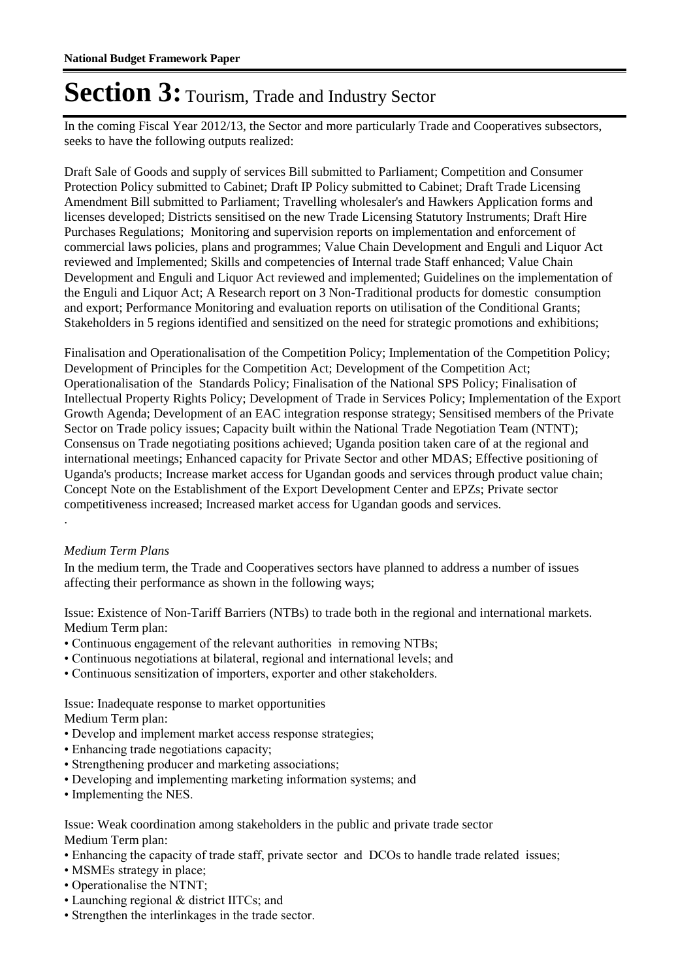In the coming Fiscal Year 2012/13, the Sector and more particularly Trade and Cooperatives subsectors, seeks to have the following outputs realized:

Draft Sale of Goods and supply of services Bill submitted to Parliament; Competition and Consumer Protection Policy submitted to Cabinet; Draft IP Policy submitted to Cabinet; Draft Trade Licensing Amendment Bill submitted to Parliament; Travelling wholesaler's and Hawkers Application forms and licenses developed; Districts sensitised on the new Trade Licensing Statutory Instruments; Draft Hire Purchases Regulations; Monitoring and supervision reports on implementation and enforcement of commercial laws policies, plans and programmes; Value Chain Development and Enguli and Liquor Act reviewed and Implemented; Skills and competencies of Internal trade Staff enhanced; Value Chain Development and Enguli and Liquor Act reviewed and implemented; Guidelines on the implementation of the Enguli and Liquor Act; A Research report on 3 Non-Traditional products for domestic consumption and export; Performance Monitoring and evaluation reports on utilisation of the Conditional Grants; Stakeholders in 5 regions identified and sensitized on the need for strategic promotions and exhibitions;

Finalisation and Operationalisation of the Competition Policy; Implementation of the Competition Policy; Development of Principles for the Competition Act; Development of the Competition Act; Operationalisation of the Standards Policy; Finalisation of the National SPS Policy; Finalisation of Intellectual Property Rights Policy; Development of Trade in Services Policy; Implementation of the Export Growth Agenda; Development of an EAC integration response strategy; Sensitised members of the Private Sector on Trade policy issues; Capacity built within the National Trade Negotiation Team (NTNT); Consensus on Trade negotiating positions achieved; Uganda position taken care of at the regional and international meetings; Enhanced capacity for Private Sector and other MDAS; Effective positioning of Uganda's products; Increase market access for Ugandan goods and services through product value chain; Concept Note on the Establishment of the Export Development Center and EPZs; Private sector competitiveness increased; Increased market access for Ugandan goods and services. .

#### *Medium Term Plans*

In the medium term, the Trade and Cooperatives sectors have planned to address a number of issues affecting their performance as shown in the following ways;

Issue: Existence of Non-Tariff Barriers (NTBs) to trade both in the regional and international markets. Medium Term plan:

- Continuous engagement of the relevant authorities in removing NTBs;
- Continuous negotiations at bilateral, regional and international levels; and
- Continuous sensitization of importers, exporter and other stakeholders.

Issue: Inadequate response to market opportunities

Medium Term plan:

- Develop and implement market access response strategies;
- Enhancing trade negotiations capacity;
- Strengthening producer and marketing associations;
- Developing and implementing marketing information systems; and
- Implementing the NES.

Issue: Weak coordination among stakeholders in the public and private trade sector Medium Term plan:

- Enhancing the capacity of trade staff, private sector and DCOs to handle trade related issues;
- MSMEs strategy in place;
- Operationalise the NTNT;
- Launching regional & district IITCs; and
- Strengthen the interlinkages in the trade sector.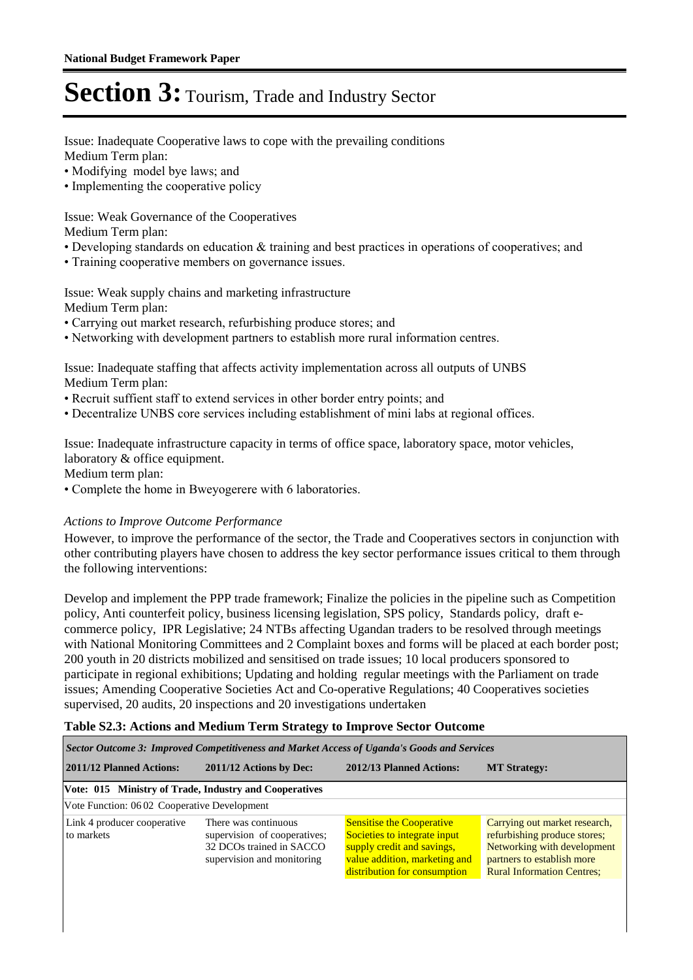Issue: Inadequate Cooperative laws to cope with the prevailing conditions Medium Term plan:

- Modifying model bye laws; and
- Implementing the cooperative policy

Issue: Weak Governance of the Cooperatives

Medium Term plan:

- Developing standards on education & training and best practices in operations of cooperatives; and
- Training cooperative members on governance issues.

Issue: Weak supply chains and marketing infrastructure Medium Term plan:

- Carrying out market research, refurbishing produce stores; and
- Networking with development partners to establish more rural information centres.

Issue: Inadequate staffing that affects activity implementation across all outputs of UNBS Medium Term plan:

- Recruit suffient staff to extend services in other border entry points; and
- Decentralize UNBS core services including establishment of mini labs at regional offices.

Issue: Inadequate infrastructure capacity in terms of office space, laboratory space, motor vehicles, laboratory & office equipment.

Medium term plan:

• Complete the home in Bweyogerere with 6 laboratories.

#### *Actions to Improve Outcome Performance*

However, to improve the performance of the sector, the Trade and Cooperatives sectors in conjunction with other contributing players have chosen to address the key sector performance issues critical to them through the following interventions:

Develop and implement the PPP trade framework; Finalize the policies in the pipeline such as Competition policy, Anti counterfeit policy, business licensing legislation, SPS policy, Standards policy, draft ecommerce policy, IPR Legislative; 24 NTBs affecting Ugandan traders to be resolved through meetings with National Monitoring Committees and 2 Complaint boxes and forms will be placed at each border post; 200 youth in 20 districts mobilized and sensitised on trade issues; 10 local producers sponsored to participate in regional exhibitions; Updating and holding regular meetings with the Parliament on trade issues; Amending Cooperative Societies Act and Co-operative Regulations; 40 Cooperatives societies supervised, 20 audits, 20 inspections and 20 investigations undertaken

#### **Table S2.3: Actions and Medium Term Strategy to Improve Sector Outcome**

| Sector Outcome 3: Improved Competitiveness and Market Access of Uganda's Goods and Services |                                                                                                                |                                                                                                                                                                 |                                                                                                                                                                 |  |  |  |
|---------------------------------------------------------------------------------------------|----------------------------------------------------------------------------------------------------------------|-----------------------------------------------------------------------------------------------------------------------------------------------------------------|-----------------------------------------------------------------------------------------------------------------------------------------------------------------|--|--|--|
| 2011/12 Planned Actions:<br>2011/12 Actions by Dec:                                         |                                                                                                                | 2012/13 Planned Actions:                                                                                                                                        | <b>MT Strategy:</b>                                                                                                                                             |  |  |  |
| Vote: 015 Ministry of Trade, Industry and Cooperatives                                      |                                                                                                                |                                                                                                                                                                 |                                                                                                                                                                 |  |  |  |
| Vote Function: 0602 Cooperative Development                                                 |                                                                                                                |                                                                                                                                                                 |                                                                                                                                                                 |  |  |  |
| Link 4 producer cooperative<br>to markets                                                   | There was continuous<br>supervision of cooperatives;<br>32 DCOs trained in SACCO<br>supervision and monitoring | <b>Sensitise the Cooperative</b><br>Societies to integrate input<br>supply credit and savings,<br>value addition, marketing and<br>distribution for consumption | Carrying out market research,<br>refurbishing produce stores;<br>Networking with development<br>partners to establish more<br><b>Rural Information Centres;</b> |  |  |  |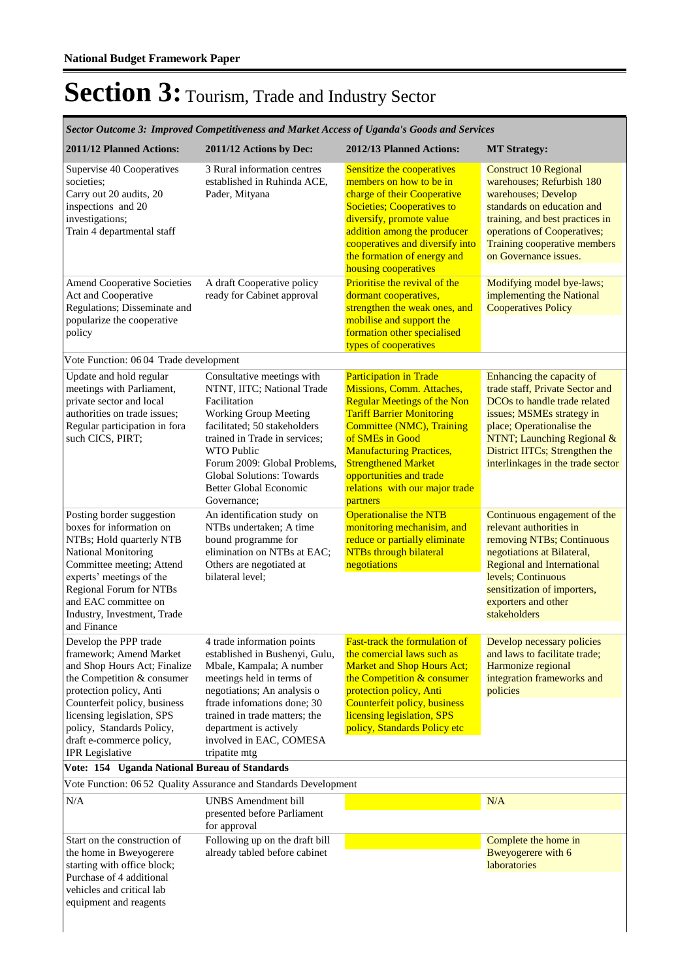| Sector Outcome 3: Improved Competitiveness and Market Access of Uganda's Goods and Services                                                                                                                                                                                                |                                                                                                                                                                                                                                                                                                                    |                                                                                                                                                                                                                                                                                                                                |                                                                                                                                                                                                                                                             |  |
|--------------------------------------------------------------------------------------------------------------------------------------------------------------------------------------------------------------------------------------------------------------------------------------------|--------------------------------------------------------------------------------------------------------------------------------------------------------------------------------------------------------------------------------------------------------------------------------------------------------------------|--------------------------------------------------------------------------------------------------------------------------------------------------------------------------------------------------------------------------------------------------------------------------------------------------------------------------------|-------------------------------------------------------------------------------------------------------------------------------------------------------------------------------------------------------------------------------------------------------------|--|
| 2011/12 Planned Actions:                                                                                                                                                                                                                                                                   | 2011/12 Actions by Dec:                                                                                                                                                                                                                                                                                            | 2012/13 Planned Actions:                                                                                                                                                                                                                                                                                                       | <b>MT Strategy:</b>                                                                                                                                                                                                                                         |  |
| Supervise 40 Cooperatives<br>societies;<br>Carry out 20 audits, 20<br>inspections and 20<br>investigations;<br>Train 4 departmental staff                                                                                                                                                  | 3 Rural information centres<br>established in Ruhinda ACE,<br>Pader, Mityana                                                                                                                                                                                                                                       | Sensitize the cooperatives<br>members on how to be in<br>charge of their Cooperative<br><b>Societies; Cooperatives to</b><br>diversify, promote value<br>addition among the producer<br>cooperatives and diversify into<br>the formation of energy and<br>housing cooperatives                                                 | <b>Construct 10 Regional</b><br>warehouses; Refurbish 180<br>warehouses; Develop<br>standards on education and<br>training, and best practices in<br>operations of Cooperatives;<br>Training cooperative members<br>on Governance issues.                   |  |
| <b>Amend Cooperative Societies</b><br>Act and Cooperative<br>Regulations; Disseminate and<br>popularize the cooperative<br>policy                                                                                                                                                          | A draft Cooperative policy<br>ready for Cabinet approval                                                                                                                                                                                                                                                           | Prioritise the revival of the<br>dormant cooperatives,<br>strengthen the weak ones, and<br>mobilise and support the<br>formation other specialised<br>types of cooperatives                                                                                                                                                    | Modifying model bye-laws;<br>implementing the National<br><b>Cooperatives Policy</b>                                                                                                                                                                        |  |
| Vote Function: 06 04 Trade development                                                                                                                                                                                                                                                     |                                                                                                                                                                                                                                                                                                                    |                                                                                                                                                                                                                                                                                                                                |                                                                                                                                                                                                                                                             |  |
| Update and hold regular<br>meetings with Parliament,<br>private sector and local<br>authorities on trade issues;<br>Regular participation in fora<br>such CICS, PIRT;                                                                                                                      | Consultative meetings with<br>NTNT, IITC; National Trade<br>Facilitation<br><b>Working Group Meeting</b><br>facilitated; 50 stakeholders<br>trained in Trade in services;<br><b>WTO Public</b><br>Forum 2009: Global Problems,<br><b>Global Solutions: Towards</b><br><b>Better Global Economic</b><br>Governance: | <b>Participation in Trade</b><br>Missions, Comm. Attaches,<br><b>Regular Meetings of the Non</b><br><b>Tariff Barrier Monitoring</b><br>Committee (NMC), Training<br>of SMEs in Good<br><b>Manufacturing Practices,</b><br><b>Strengthened Market</b><br>opportunities and trade<br>relations with our major trade<br>partners | Enhancing the capacity of<br>trade staff, Private Sector and<br>DCOs to handle trade related<br>issues; MSMEs strategy in<br>place; Operationalise the<br>NTNT; Launching Regional &<br>District IITCs; Strengthen the<br>interlinkages in the trade sector |  |
| Posting border suggestion<br>boxes for information on<br>NTBs; Hold quarterly NTB<br>National Monitoring<br>Committee meeting; Attend<br>experts' meetings of the<br><b>Regional Forum for NTBs</b><br>and EAC committee on<br>Industry, Investment, Trade<br>and Finance                  | An identification study on<br>NTBs undertaken; A time<br>bound programme for<br>elimination on NTBs at EAC;<br>Others are negotiated at<br>bilateral level:                                                                                                                                                        | <b>Operationalise the NTB</b><br>monitoring mechanisim, and<br>reduce or partially eliminate<br><b>NTBs through bilateral</b><br>negotiations                                                                                                                                                                                  | Continuous engagement of the<br>relevant authorities in<br>removing NTBs; Continuous<br>negotiations at Bilateral,<br><b>Regional and International</b><br>levels; Continuous<br>sensitization of importers,<br>exporters and other<br>stakeholders         |  |
| Develop the PPP trade<br>framework; Amend Market<br>and Shop Hours Act; Finalize<br>the Competition & consumer<br>protection policy, Anti<br>Counterfeit policy, business<br>licensing legislation, SPS<br>policy, Standards Policy,<br>draft e-commerce policy,<br><b>IPR</b> Legislative | 4 trade information points<br>established in Bushenyi, Gulu,<br>Mbale, Kampala; A number<br>meetings held in terms of<br>negotiations; An analysis o<br>ftrade infomations done; 30<br>trained in trade matters; the<br>department is actively<br>involved in EAC, COMESA<br>tripatite mtg                         | <b>Fast-track the formulation of</b><br>the comercial laws such as<br><b>Market and Shop Hours Act;</b><br>the Competition $&$ consumer<br>protection policy, Anti<br>Counterfeit policy, business<br>licensing legislation, SPS<br>policy, Standards Policy etc                                                               | Develop necessary policies<br>and laws to facilitate trade;<br>Harmonize regional<br>integration frameworks and<br>policies                                                                                                                                 |  |
| Vote: 154 Uganda National Bureau of Standards                                                                                                                                                                                                                                              |                                                                                                                                                                                                                                                                                                                    |                                                                                                                                                                                                                                                                                                                                |                                                                                                                                                                                                                                                             |  |
|                                                                                                                                                                                                                                                                                            | Vote Function: 06 52 Quality Assurance and Standards Development                                                                                                                                                                                                                                                   |                                                                                                                                                                                                                                                                                                                                |                                                                                                                                                                                                                                                             |  |
| N/A                                                                                                                                                                                                                                                                                        | <b>UNBS</b> Amendment bill<br>presented before Parliament<br>for approval                                                                                                                                                                                                                                          |                                                                                                                                                                                                                                                                                                                                | N/A                                                                                                                                                                                                                                                         |  |
| Start on the construction of<br>the home in Bweyogerere<br>starting with office block;<br>Purchase of 4 additional<br>vehicles and critical lab<br>equipment and reagents                                                                                                                  | Following up on the draft bill<br>already tabled before cabinet                                                                                                                                                                                                                                                    |                                                                                                                                                                                                                                                                                                                                | Complete the home in<br>Bweyogerere with 6<br><b>laboratories</b>                                                                                                                                                                                           |  |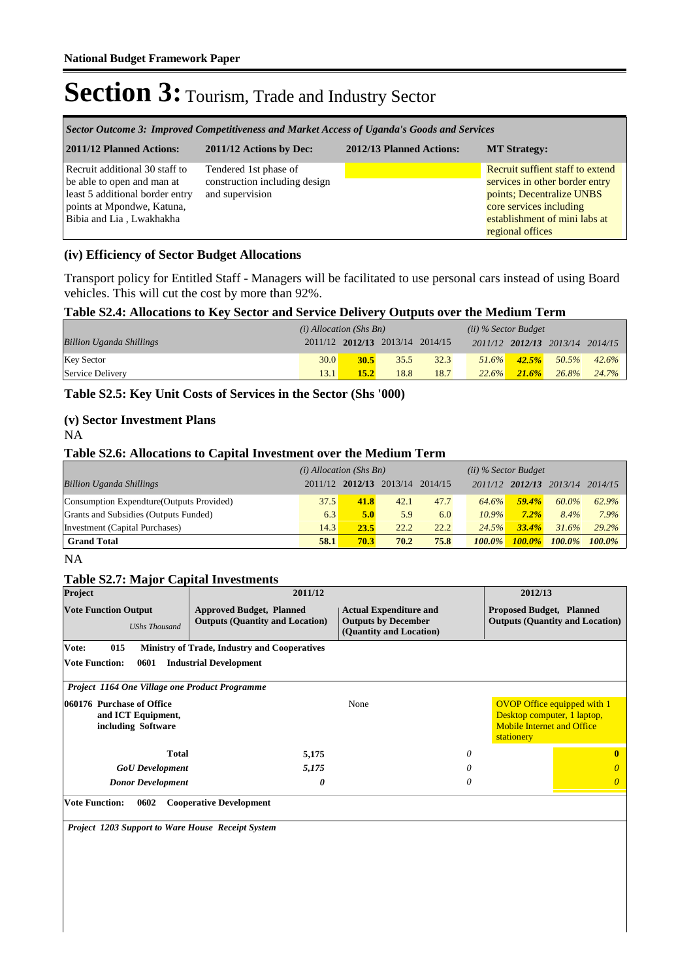| Sector Outcome 3: Improved Competitiveness and Market Access of Uganda's Goods and Services                                                               |                                                                           |  |                                                                                                                                                                                 |  |  |  |
|-----------------------------------------------------------------------------------------------------------------------------------------------------------|---------------------------------------------------------------------------|--|---------------------------------------------------------------------------------------------------------------------------------------------------------------------------------|--|--|--|
| 2011/12 Planned Actions:<br>2011/12 Actions by Dec:<br>2012/13 Planned Actions:<br><b>MT Strategy:</b>                                                    |                                                                           |  |                                                                                                                                                                                 |  |  |  |
| Recruit additional 30 staff to<br>be able to open and man at<br>least 5 additional border entry<br>points at Mpondwe, Katuna,<br>Bibia and Lia, Lwakhakha | Tendered 1st phase of<br>construction including design<br>and supervision |  | Recruit suffient staff to extend<br>services in other border entry<br>points; Decentralize UNBS<br>core services including<br>establishment of mini labs at<br>regional offices |  |  |  |

#### **(iv) Efficiency of Sector Budget Allocations**

Transport policy for Entitled Staff - Managers will be facilitated to use personal cars instead of using Board vehicles. This will cut the cost by more than 92%.

#### **Table S2.4: Allocations to Key Sector and Service Delivery Outputs over the Medium Term**

|                                 | $(i)$ Allocation (Shs Bn) |                                 |      |      | $(ii)$ % Sector Budget |          |                                 |       |
|---------------------------------|---------------------------|---------------------------------|------|------|------------------------|----------|---------------------------------|-------|
| <b>Billion Uganda Shillings</b> |                           | 2011/12 2012/13 2013/14 2014/15 |      |      |                        |          | 2011/12 2012/13 2013/14 2014/15 |       |
| <b>Key Sector</b>               | 30.0                      | 30.5                            | 35.5 | 32.3 | $51.6\%$               | 42.5%    | 50.5%                           | 42.6% |
| Service Delivery                | 13.1                      | 15.2                            | 18.8 | 18.7 | 22.6%                  | $21.6\%$ | $26.8\%$                        | 24.7% |

#### **Table S2.5: Key Unit Costs of Services in the Sector (Shs '000)**

#### **(v) Sector Investment Plans**

NA

#### **Table S2.6: Allocations to Capital Investment over the Medium Term**

|                                           | $(i)$ Allocation (Shs Bn) |      |                                 |      | $(ii)$ % Sector Budget |           |                         |           |
|-------------------------------------------|---------------------------|------|---------------------------------|------|------------------------|-----------|-------------------------|-----------|
| <b>Billion Uganda Shillings</b>           |                           |      | 2011/12 2012/13 2013/14 2014/15 |      |                        |           | 2011/12 2012/13 2013/14 | 2014/15   |
| Consumption Expendture (Outputs Provided) | 37.5                      | 41.8 | 42.1                            | 47.7 | 64.6%                  | 59.4%     | 60.0%                   | 62.9%     |
| Grants and Subsidies (Outputs Funded)     | 6.3                       | 5.0  | 5.9                             | 6.0  | $10.9\%$               | $7.2\%$   | 8.4%                    | 7.9%      |
| Investment (Capital Purchases)            | 14.3                      | 23.5 | 22.2                            | 22.2 | 24.5%                  | 33.4%     | 31.6%                   | 29.2%     |
| <b>Grand Total</b>                        | 58.1                      | 70.3 | 70.2                            | 75.8 | $100.0\%$              | $100.0\%$ | $100.0\%$               | $100.0\%$ |

#### NA

#### **Table S2.7: Major Capital Investments**

| Project                                                               | 2011/12                                                                   |                                                                                        | 2012/13                                                                                                              |  |  |  |  |
|-----------------------------------------------------------------------|---------------------------------------------------------------------------|----------------------------------------------------------------------------------------|----------------------------------------------------------------------------------------------------------------------|--|--|--|--|
| <b>Vote Function Output</b><br><b>UShs Thousand</b>                   | <b>Approved Budget, Planned</b><br><b>Outputs (Quantity and Location)</b> | <b>Actual Expenditure and</b><br><b>Outputs by December</b><br>(Quantity and Location) | <b>Proposed Budget, Planned</b><br><b>Outputs (Quantity and Location)</b>                                            |  |  |  |  |
| Vote:<br>015                                                          | <b>Ministry of Trade, Industry and Cooperatives</b>                       |                                                                                        |                                                                                                                      |  |  |  |  |
| <b>Vote Function:</b><br>0601                                         | <b>Industrial Development</b>                                             |                                                                                        |                                                                                                                      |  |  |  |  |
| Project 1164 One Village one Product Programme                        |                                                                           |                                                                                        |                                                                                                                      |  |  |  |  |
| 060176 Purchase of Office<br>and ICT Equipment,<br>including Software |                                                                           | None                                                                                   | <b>OVOP Office equipped with 1</b><br>Desktop computer, 1 laptop,<br><b>Mobile Internet and Office</b><br>stationery |  |  |  |  |
| <b>Total</b>                                                          | 5,175                                                                     | 0                                                                                      | $\mathbf{0}$                                                                                                         |  |  |  |  |
| <b>GoU</b> Development                                                | 5,175                                                                     |                                                                                        | O                                                                                                                    |  |  |  |  |
| <b>Donor Development</b>                                              | 0                                                                         | 0                                                                                      | $\theta$                                                                                                             |  |  |  |  |
| <b>Vote Function:</b><br>0602                                         | <b>Cooperative Development</b>                                            |                                                                                        |                                                                                                                      |  |  |  |  |
| <b>Project 1203 Support to Ware House Receipt System</b>              |                                                                           |                                                                                        |                                                                                                                      |  |  |  |  |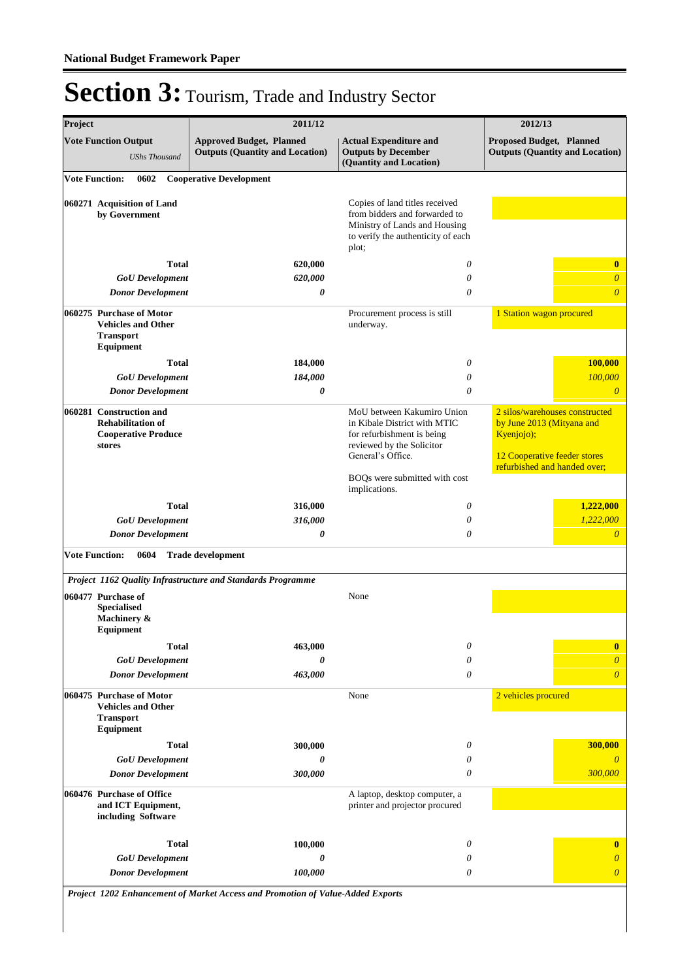| Project<br>2011/12    |                                                                                             |                                                                                | 2012/13                                                                                                                                         |                                                                                                                                           |  |
|-----------------------|---------------------------------------------------------------------------------------------|--------------------------------------------------------------------------------|-------------------------------------------------------------------------------------------------------------------------------------------------|-------------------------------------------------------------------------------------------------------------------------------------------|--|
|                       | <b>Vote Function Output</b><br><b>UShs Thousand</b>                                         | <b>Approved Budget, Planned</b><br><b>Outputs (Quantity and Location)</b>      | <b>Actual Expenditure and</b><br><b>Outputs by December</b><br>(Quantity and Location)                                                          | Proposed Budget, Planned<br><b>Outputs (Quantity and Location)</b>                                                                        |  |
| <b>Vote Function:</b> | 0602                                                                                        | <b>Cooperative Development</b>                                                 |                                                                                                                                                 |                                                                                                                                           |  |
|                       | 060271 Acquisition of Land<br>by Government                                                 |                                                                                | Copies of land titles received<br>from bidders and forwarded to<br>Ministry of Lands and Housing<br>to verify the authenticity of each<br>plot; |                                                                                                                                           |  |
|                       | <b>Total</b>                                                                                | 620,000                                                                        | $\theta$                                                                                                                                        | $\bf{0}$                                                                                                                                  |  |
|                       | <b>GoU</b> Development                                                                      | 620,000                                                                        | $\theta$                                                                                                                                        | $\boldsymbol{\theta}$                                                                                                                     |  |
|                       | <b>Donor Development</b>                                                                    | 0                                                                              | $\theta$                                                                                                                                        | $\overline{0}$                                                                                                                            |  |
|                       | 060275 Purchase of Motor<br><b>Vehicles and Other</b><br><b>Transport</b><br>Equipment      |                                                                                | Procurement process is still<br>underway.                                                                                                       | 1 Station wagon procured                                                                                                                  |  |
|                       | Total                                                                                       | 184,000                                                                        | $\theta$                                                                                                                                        | <b>100,000</b>                                                                                                                            |  |
|                       | <b>GoU</b> Development                                                                      | 184,000                                                                        | $\theta$                                                                                                                                        | 100,000                                                                                                                                   |  |
|                       | <b>Donor Development</b>                                                                    | 0                                                                              | $\theta$                                                                                                                                        | $\overline{0}$                                                                                                                            |  |
|                       | 060281 Construction and<br><b>Rehabilitation of</b><br><b>Cooperative Produce</b><br>stores |                                                                                | MoU between Kakumiro Union<br>in Kibale District with MTIC<br>for refurbishment is being<br>reviewed by the Solicitor<br>General's Office.      | 2 silos/warehouses constructed<br>by June 2013 (Mityana and<br>Kyenjojo);<br>12 Cooperative feeder stores<br>refurbished and handed over; |  |
|                       |                                                                                             |                                                                                | BOQs were submitted with cost<br>implications.                                                                                                  |                                                                                                                                           |  |
|                       | <b>Total</b>                                                                                | 316,000                                                                        | $\theta$                                                                                                                                        | 1,222,000                                                                                                                                 |  |
|                       | <b>GoU</b> Development                                                                      | 316,000                                                                        | $\theta$                                                                                                                                        | 1,222,000                                                                                                                                 |  |
|                       | <b>Donor Development</b>                                                                    | 0                                                                              | $\theta$                                                                                                                                        | $\overline{0}$                                                                                                                            |  |
| <b>Vote Function:</b> | 0604                                                                                        | <b>Trade development</b>                                                       |                                                                                                                                                 |                                                                                                                                           |  |
|                       |                                                                                             | Project 1162 Quality Infrastructure and Standards Programme                    |                                                                                                                                                 |                                                                                                                                           |  |
|                       | 060477 Purchase of<br><b>Specialised</b><br>Machinery &<br>Equipment                        |                                                                                | None                                                                                                                                            |                                                                                                                                           |  |
|                       | Total                                                                                       | 463,000                                                                        | $\theta$                                                                                                                                        | $\bf{0}$                                                                                                                                  |  |
|                       | <b>GoU</b> Development                                                                      | 0                                                                              | 0                                                                                                                                               | $\overline{0}$                                                                                                                            |  |
|                       | <b>Donor Development</b>                                                                    | 463,000                                                                        | $\theta$                                                                                                                                        | $\overline{0}$                                                                                                                            |  |
|                       | 060475 Purchase of Motor<br><b>Vehicles and Other</b><br><b>Transport</b><br>Equipment      |                                                                                | None                                                                                                                                            | 2 vehicles procured                                                                                                                       |  |
|                       | <b>Total</b>                                                                                | 300,000                                                                        | 0                                                                                                                                               | 300,000                                                                                                                                   |  |
|                       | <b>GoU</b> Development                                                                      | 0                                                                              | 0                                                                                                                                               | $\theta$                                                                                                                                  |  |
|                       | <b>Donor Development</b>                                                                    | 300,000                                                                        | $\theta$                                                                                                                                        | 300,000                                                                                                                                   |  |
|                       | 060476 Purchase of Office<br>and ICT Equipment,<br>including Software                       |                                                                                | A laptop, desktop computer, a<br>printer and projector procured                                                                                 |                                                                                                                                           |  |
|                       | <b>Total</b>                                                                                | 100,000                                                                        | $\theta$                                                                                                                                        | $\bf{0}$                                                                                                                                  |  |
|                       | <b>GoU</b> Development                                                                      | 0                                                                              | 0                                                                                                                                               | $\boldsymbol{\theta}$                                                                                                                     |  |
|                       | <b>Donor Development</b>                                                                    | 100,000                                                                        | 0                                                                                                                                               | $\boldsymbol{\theta}$                                                                                                                     |  |
|                       |                                                                                             | Project 1202 Enhancement of Market Access and Promotion of Value-Added Exports |                                                                                                                                                 |                                                                                                                                           |  |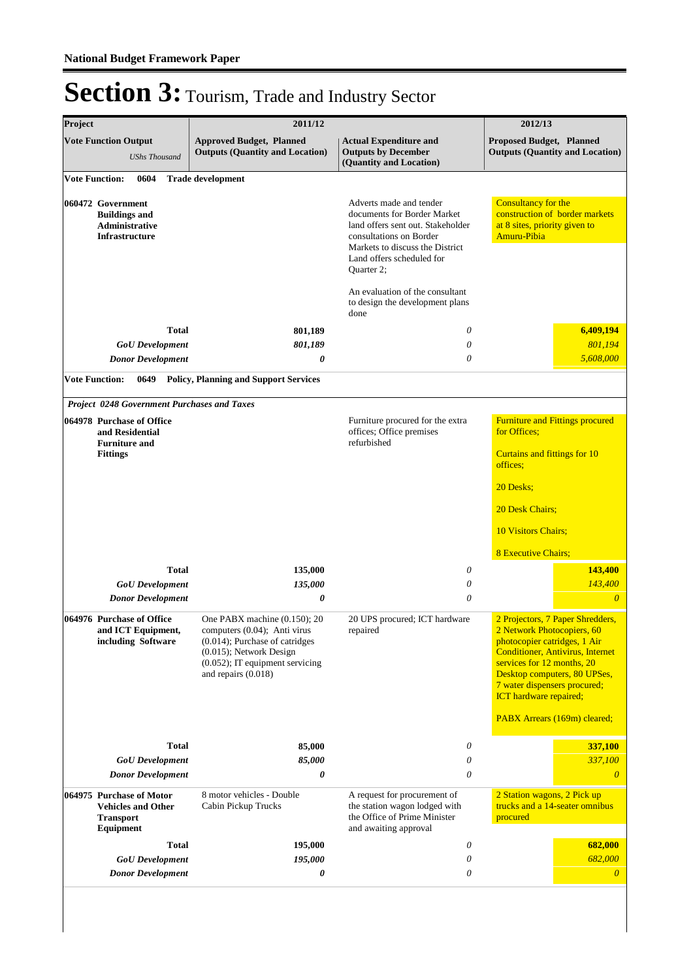| Project                                                                              |                                                                                        | 2011/12                                                                                                                                                                                   | 2012/13                                                                                                                                                                                              |                                                                                                                                                                                                                                                                          |  |
|--------------------------------------------------------------------------------------|----------------------------------------------------------------------------------------|-------------------------------------------------------------------------------------------------------------------------------------------------------------------------------------------|------------------------------------------------------------------------------------------------------------------------------------------------------------------------------------------------------|--------------------------------------------------------------------------------------------------------------------------------------------------------------------------------------------------------------------------------------------------------------------------|--|
| <b>Vote Function Output</b><br><b>UShs Thousand</b>                                  |                                                                                        | <b>Approved Budget, Planned</b><br><b>Outputs (Quantity and Location)</b>                                                                                                                 | <b>Actual Expenditure and</b><br><b>Outputs by December</b><br>(Quantity and Location)                                                                                                               | <b>Proposed Budget, Planned</b><br><b>Outputs (Quantity and Location)</b>                                                                                                                                                                                                |  |
|                                                                                      | 0604<br><b>Vote Function:</b>                                                          | <b>Trade development</b>                                                                                                                                                                  |                                                                                                                                                                                                      |                                                                                                                                                                                                                                                                          |  |
| 060472 Government<br><b>Buildings and</b><br>Administrative<br><b>Infrastructure</b> |                                                                                        |                                                                                                                                                                                           | Adverts made and tender<br>documents for Border Market<br>land offers sent out. Stakeholder<br>consultations on Border<br>Markets to discuss the District<br>Land offers scheduled for<br>Quarter 2; | Consultancy for the<br>construction of border markets<br>at 8 sites, priority given to<br>Amuru-Pibia                                                                                                                                                                    |  |
|                                                                                      |                                                                                        |                                                                                                                                                                                           | An evaluation of the consultant<br>to design the development plans<br>done                                                                                                                           |                                                                                                                                                                                                                                                                          |  |
|                                                                                      | <b>Total</b>                                                                           | 801,189                                                                                                                                                                                   | 0                                                                                                                                                                                                    | 6,409,194                                                                                                                                                                                                                                                                |  |
|                                                                                      | <b>GoU</b> Development                                                                 | 801,189                                                                                                                                                                                   | 0                                                                                                                                                                                                    | 801.194                                                                                                                                                                                                                                                                  |  |
|                                                                                      | <b>Donor Development</b>                                                               | 0                                                                                                                                                                                         | 0                                                                                                                                                                                                    | 5,608,000                                                                                                                                                                                                                                                                |  |
|                                                                                      | <b>Vote Function:</b><br>0649                                                          | <b>Policy, Planning and Support Services</b>                                                                                                                                              |                                                                                                                                                                                                      |                                                                                                                                                                                                                                                                          |  |
|                                                                                      | <b>Project 0248 Government Purchases and Taxes</b>                                     |                                                                                                                                                                                           |                                                                                                                                                                                                      |                                                                                                                                                                                                                                                                          |  |
|                                                                                      | 064978 Purchase of Office<br>and Residential                                           |                                                                                                                                                                                           | Furniture procured for the extra<br>offices; Office premises                                                                                                                                         | <b>Furniture and Fittings procured</b><br>for Offices;<br>Curtains and fittings for 10<br>offices;                                                                                                                                                                       |  |
|                                                                                      | <b>Furniture and</b><br><b>Fittings</b>                                                |                                                                                                                                                                                           | refurbished                                                                                                                                                                                          |                                                                                                                                                                                                                                                                          |  |
|                                                                                      |                                                                                        |                                                                                                                                                                                           |                                                                                                                                                                                                      | 20 Desks;                                                                                                                                                                                                                                                                |  |
|                                                                                      |                                                                                        |                                                                                                                                                                                           |                                                                                                                                                                                                      | 20 Desk Chairs;                                                                                                                                                                                                                                                          |  |
|                                                                                      |                                                                                        |                                                                                                                                                                                           |                                                                                                                                                                                                      | <b>10 Visitors Chairs;</b>                                                                                                                                                                                                                                               |  |
|                                                                                      |                                                                                        |                                                                                                                                                                                           |                                                                                                                                                                                                      |                                                                                                                                                                                                                                                                          |  |
|                                                                                      |                                                                                        |                                                                                                                                                                                           |                                                                                                                                                                                                      | <b>8 Executive Chairs;</b>                                                                                                                                                                                                                                               |  |
|                                                                                      | <b>Total</b><br><b>GoU</b> Development                                                 | 135,000<br>135,000                                                                                                                                                                        | 0<br>0                                                                                                                                                                                               | 143,400<br>143,400                                                                                                                                                                                                                                                       |  |
|                                                                                      | <b>Donor Development</b>                                                               | 0                                                                                                                                                                                         | 0                                                                                                                                                                                                    | $\overline{0}$                                                                                                                                                                                                                                                           |  |
|                                                                                      | 064976 Purchase of Office<br>and ICT Equipment,<br>including Software                  | One PABX machine (0.150); 20<br>computers (0.04); Anti virus<br>$(0.014)$ ; Purchase of catridges<br>(0.015); Network Design<br>$(0.052)$ ; IT equipment servicing<br>and repairs (0.018) | 20 UPS procured; ICT hardware<br>repaired                                                                                                                                                            | 2 Projectors, 7 Paper Shredders,<br>2 Network Photocopiers, 60<br>photocopier catridges, 1 Air<br><b>Conditioner, Antivirus, Internet</b><br>services for 12 months, 20<br>Desktop computers, 80 UPSes,<br>7 water dispensers procured;<br><b>ICT</b> hardware repaired; |  |
|                                                                                      |                                                                                        |                                                                                                                                                                                           |                                                                                                                                                                                                      | PABX Arrears (169m) cleared;                                                                                                                                                                                                                                             |  |
|                                                                                      | <b>Total</b>                                                                           | 85,000                                                                                                                                                                                    | 0                                                                                                                                                                                                    | 337,100                                                                                                                                                                                                                                                                  |  |
|                                                                                      | <b>GoU</b> Development                                                                 | 85,000                                                                                                                                                                                    | 0                                                                                                                                                                                                    | 337,100                                                                                                                                                                                                                                                                  |  |
|                                                                                      | <b>Donor Development</b>                                                               | 0                                                                                                                                                                                         | $\theta$                                                                                                                                                                                             | $\theta$                                                                                                                                                                                                                                                                 |  |
|                                                                                      | 064975 Purchase of Motor<br><b>Vehicles and Other</b><br><b>Transport</b><br>Equipment | 8 motor vehicles - Double<br>Cabin Pickup Trucks                                                                                                                                          | A request for procurement of<br>the station wagon lodged with<br>the Office of Prime Minister<br>and awaiting approval                                                                               | 2 Station wagons, 2 Pick up<br>trucks and a 14-seater omnibus<br>procured                                                                                                                                                                                                |  |
|                                                                                      | <b>Total</b>                                                                           | 195,000                                                                                                                                                                                   | 0                                                                                                                                                                                                    | 682,000                                                                                                                                                                                                                                                                  |  |
|                                                                                      | <b>GoU</b> Development                                                                 | 195,000                                                                                                                                                                                   | 0                                                                                                                                                                                                    | 682,000                                                                                                                                                                                                                                                                  |  |
|                                                                                      | <b>Donor Development</b>                                                               | 0                                                                                                                                                                                         | 0                                                                                                                                                                                                    | $\theta$                                                                                                                                                                                                                                                                 |  |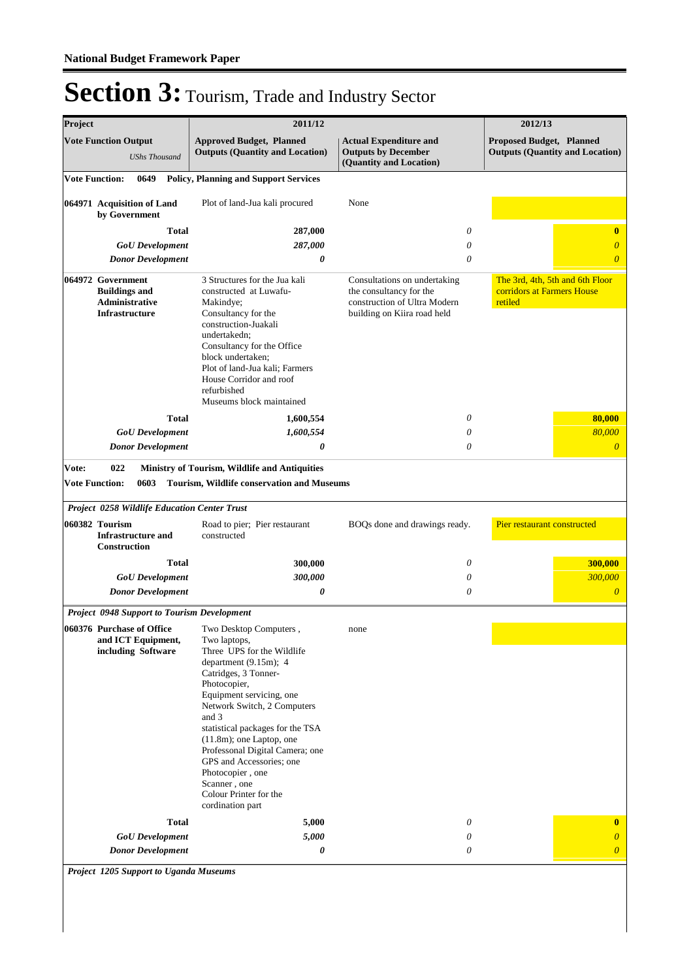| Project               |                                                                               |                          |              | 2011/12                                                                                                                                                                                                                                                                                                                                                                                                                          |                                                                                                                        |          | 2012/13                                                                   |
|-----------------------|-------------------------------------------------------------------------------|--------------------------|--------------|----------------------------------------------------------------------------------------------------------------------------------------------------------------------------------------------------------------------------------------------------------------------------------------------------------------------------------------------------------------------------------------------------------------------------------|------------------------------------------------------------------------------------------------------------------------|----------|---------------------------------------------------------------------------|
|                       | <b>Vote Function Output</b>                                                   | <b>UShs Thousand</b>     |              | <b>Approved Budget, Planned</b><br><b>Actual Expenditure and</b><br><b>Outputs (Quantity and Location)</b><br><b>Outputs by December</b><br>(Quantity and Location)                                                                                                                                                                                                                                                              |                                                                                                                        |          | <b>Proposed Budget, Planned</b><br><b>Outputs (Quantity and Location)</b> |
| <b>Vote Function:</b> |                                                                               | 0649                     |              | <b>Policy, Planning and Support Services</b>                                                                                                                                                                                                                                                                                                                                                                                     |                                                                                                                        |          |                                                                           |
|                       | 064971 Acquisition of Land<br>by Government                                   |                          |              | Plot of land-Jua kali procured                                                                                                                                                                                                                                                                                                                                                                                                   | None                                                                                                                   |          |                                                                           |
|                       |                                                                               |                          | <b>Total</b> | 287,000                                                                                                                                                                                                                                                                                                                                                                                                                          |                                                                                                                        | 0        | $\bf{0}$                                                                  |
|                       |                                                                               | <b>GoU</b> Development   |              | 287,000                                                                                                                                                                                                                                                                                                                                                                                                                          |                                                                                                                        | $\theta$ | $\boldsymbol{\theta}$                                                     |
|                       |                                                                               | <b>Donor Development</b> |              | 0                                                                                                                                                                                                                                                                                                                                                                                                                                |                                                                                                                        | $\theta$ | $\overline{0}$                                                            |
|                       | 064972 Government<br><b>Buildings and</b><br>Administrative<br>Infrastructure |                          |              | 3 Structures for the Jua kali<br>constructed at Luwafu-<br>Makindye;<br>Consultancy for the<br>construction-Juakali<br>undertakedn;<br>Consultancy for the Office<br>block undertaken;<br>Plot of land-Jua kali; Farmers<br>House Corridor and roof<br>refurbished<br>Museums block maintained                                                                                                                                   | Consultations on undertaking<br>the consultancy for the<br>construction of Ultra Modern<br>building on Kiira road held |          | The 3rd, 4th, 5th and 6th Floor<br>corridors at Farmers House<br>retiled  |
|                       |                                                                               |                          | <b>Total</b> | 1,600,554                                                                                                                                                                                                                                                                                                                                                                                                                        |                                                                                                                        | 0        | 80,000                                                                    |
|                       |                                                                               | <b>GoU</b> Development   |              | 1,600,554                                                                                                                                                                                                                                                                                                                                                                                                                        |                                                                                                                        | $\theta$ | 80,000                                                                    |
|                       |                                                                               | <b>Donor Development</b> |              | 0                                                                                                                                                                                                                                                                                                                                                                                                                                |                                                                                                                        | $\theta$ | $\boldsymbol{0}$                                                          |
|                       | 060382 Tourism<br><b>Infrastructure and</b><br>Construction                   |                          |              | Project 0258 Wildlife Education Center Trust<br>Road to pier; Pier restaurant<br>BOQs done and drawings ready.<br>constructed                                                                                                                                                                                                                                                                                                    |                                                                                                                        |          | Pier restaurant constructed                                               |
|                       |                                                                               |                          | <b>Total</b> | 300,000                                                                                                                                                                                                                                                                                                                                                                                                                          |                                                                                                                        | 0        | 300,000                                                                   |
|                       |                                                                               | <b>GoU</b> Development   |              | 300,000                                                                                                                                                                                                                                                                                                                                                                                                                          |                                                                                                                        | 0        | 300,000                                                                   |
|                       |                                                                               | <b>Donor Development</b> |              | 0                                                                                                                                                                                                                                                                                                                                                                                                                                |                                                                                                                        | 0        | $\theta$                                                                  |
|                       |                                                                               |                          |              | <b>Project 0948 Support to Tourism Development</b>                                                                                                                                                                                                                                                                                                                                                                               |                                                                                                                        |          |                                                                           |
|                       | 060376 Purchase of Office<br>and ICT Equipment,<br>including Software         |                          |              | Two Desktop Computers,<br>Two laptops,<br>Three UPS for the Wildlife<br>department $(9.15m)$ ; 4<br>Catridges, 3 Tonner-<br>Photocopier,<br>Equipment servicing, one<br>Network Switch, 2 Computers<br>and 3<br>statistical packages for the TSA<br>$(11.8m)$ ; one Laptop, one<br>Professonal Digital Camera; one<br>GPS and Accessories; one<br>Photocopier, one<br>Scanner, one<br>Colour Printer for the<br>cordination part | none                                                                                                                   |          |                                                                           |
|                       |                                                                               | <b>GoU</b> Development   | <b>Total</b> | 5,000<br>5,000                                                                                                                                                                                                                                                                                                                                                                                                                   |                                                                                                                        | 0<br>0   | $\bf{0}$<br>$\boldsymbol{\theta}$                                         |
|                       |                                                                               | <b>Donor Development</b> |              | 0                                                                                                                                                                                                                                                                                                                                                                                                                                |                                                                                                                        | 0        | $\overline{0}$                                                            |

*Project 1205 Support to Uganda Museums*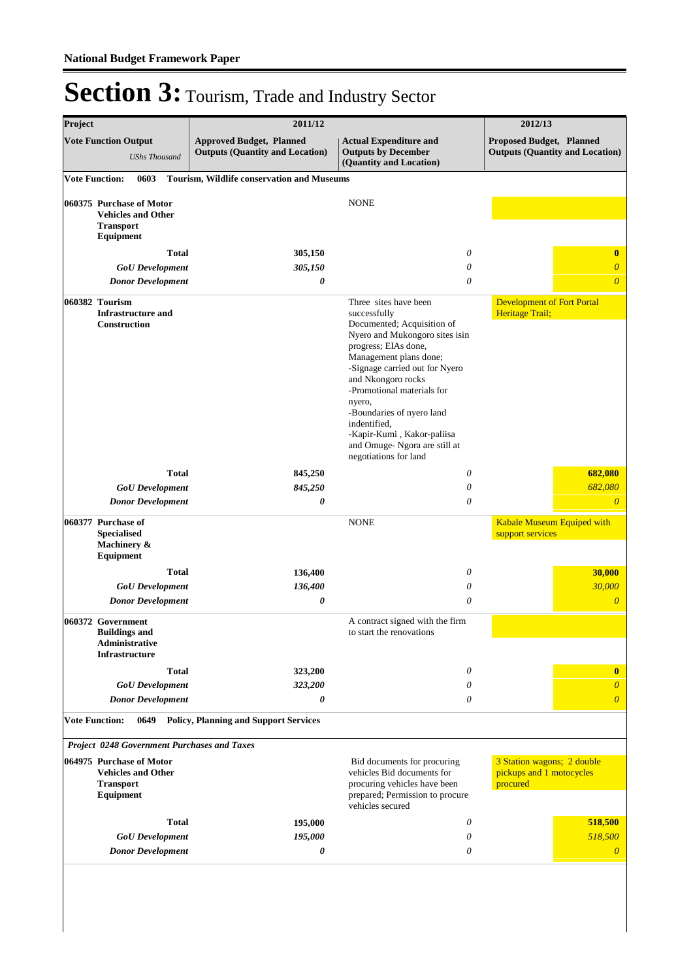| Project<br><b>Vote Function Output</b><br><b>UShs Thousand</b> |                                                                                               | 2011/12                                                                   | 2012/13                                                                                                                                                                                                                                                                                                                                                            |                                                                           |  |
|----------------------------------------------------------------|-----------------------------------------------------------------------------------------------|---------------------------------------------------------------------------|--------------------------------------------------------------------------------------------------------------------------------------------------------------------------------------------------------------------------------------------------------------------------------------------------------------------------------------------------------------------|---------------------------------------------------------------------------|--|
|                                                                |                                                                                               | <b>Approved Budget, Planned</b><br><b>Outputs (Quantity and Location)</b> | <b>Actual Expenditure and</b><br><b>Outputs by December</b><br>(Quantity and Location)                                                                                                                                                                                                                                                                             | <b>Proposed Budget, Planned</b><br><b>Outputs (Quantity and Location)</b> |  |
| <b>Vote Function:</b>                                          | 0603                                                                                          | Tourism, Wildlife conservation and Museums                                |                                                                                                                                                                                                                                                                                                                                                                    |                                                                           |  |
|                                                                | 060375 Purchase of Motor<br><b>Vehicles and Other</b><br><b>Transport</b><br>Equipment        |                                                                           | <b>NONE</b>                                                                                                                                                                                                                                                                                                                                                        |                                                                           |  |
|                                                                | <b>Total</b>                                                                                  | 305,150                                                                   | 0                                                                                                                                                                                                                                                                                                                                                                  | $\bf{0}$                                                                  |  |
|                                                                | <b>GoU</b> Development                                                                        | 305,150                                                                   | $\theta$                                                                                                                                                                                                                                                                                                                                                           | $\boldsymbol{\theta}$                                                     |  |
|                                                                | <b>Donor Development</b>                                                                      | 0                                                                         | $\theta$                                                                                                                                                                                                                                                                                                                                                           | $\boldsymbol{\theta}$                                                     |  |
|                                                                | 060382 Tourism<br><b>Infrastructure and</b><br><b>Construction</b>                            |                                                                           | Three sites have been<br>successfully<br>Documented; Acquisition of<br>Nyero and Mukongoro sites isin<br>progress; EIAs done,<br>Management plans done;<br>-Signage carried out for Nyero<br>and Nkongoro rocks<br>-Promotional materials for<br>nyero,<br>-Boundaries of nyero land<br>indentified,<br>-Kapir-Kumi, Kakor-paliisa<br>and Omuge-Ngora are still at | <b>Development of Fort Portal</b><br>Heritage Trail;                      |  |
|                                                                |                                                                                               |                                                                           | negotiations for land                                                                                                                                                                                                                                                                                                                                              |                                                                           |  |
|                                                                | <b>Total</b>                                                                                  | 845,250                                                                   | 0                                                                                                                                                                                                                                                                                                                                                                  | 682,080                                                                   |  |
|                                                                | <b>GoU</b> Development                                                                        | 845,250                                                                   | $\theta$                                                                                                                                                                                                                                                                                                                                                           | 682,080                                                                   |  |
|                                                                | <b>Donor Development</b>                                                                      | 0                                                                         | $\theta$                                                                                                                                                                                                                                                                                                                                                           | $\theta$                                                                  |  |
|                                                                | 060377 Purchase of<br><b>Specialised</b><br>Machinery &<br>Equipment                          |                                                                           | <b>NONE</b>                                                                                                                                                                                                                                                                                                                                                        | Kabale Museum Equiped with<br>support services                            |  |
|                                                                | <b>Total</b>                                                                                  | 136,400                                                                   | $\boldsymbol{\mathit{0}}$                                                                                                                                                                                                                                                                                                                                          | 30,000                                                                    |  |
|                                                                | <b>GoU</b> Development                                                                        | 136,400                                                                   | $\theta$                                                                                                                                                                                                                                                                                                                                                           | 30,000                                                                    |  |
|                                                                | <b>Donor Development</b>                                                                      | 0                                                                         | $\theta$                                                                                                                                                                                                                                                                                                                                                           | $\overline{0}$                                                            |  |
|                                                                | 060372 Government<br><b>Buildings and</b><br>Administrative<br><b>Infrastructure</b>          |                                                                           | A contract signed with the firm<br>to start the renovations                                                                                                                                                                                                                                                                                                        |                                                                           |  |
|                                                                | <b>Total</b>                                                                                  | 323,200                                                                   | $\theta$                                                                                                                                                                                                                                                                                                                                                           | $\bf{0}$                                                                  |  |
|                                                                | <b>GoU</b> Development                                                                        | 323,200                                                                   | 0                                                                                                                                                                                                                                                                                                                                                                  | $\boldsymbol{\theta}$                                                     |  |
|                                                                | <b>Donor Development</b>                                                                      | 0                                                                         | 0                                                                                                                                                                                                                                                                                                                                                                  | $\overline{0}$                                                            |  |
| <b>Vote Function:</b>                                          |                                                                                               | 0649 Policy, Planning and Support Services                                |                                                                                                                                                                                                                                                                                                                                                                    |                                                                           |  |
|                                                                | Project 0248 Government Purchases and Taxes                                                   |                                                                           |                                                                                                                                                                                                                                                                                                                                                                    |                                                                           |  |
|                                                                | 064975 Purchase of Motor<br><b>Vehicles and Other</b><br><b>Transport</b><br><b>Equipment</b> |                                                                           | Bid documents for procuring<br>vehicles Bid documents for<br>procuring vehicles have been<br>prepared; Permission to procure<br>vehicles secured                                                                                                                                                                                                                   | 3 Station wagons; 2 double<br>pickups and 1 motocycles<br>procured        |  |
|                                                                | <b>Total</b>                                                                                  | 195,000                                                                   | $\theta$                                                                                                                                                                                                                                                                                                                                                           | 518,500                                                                   |  |
|                                                                | <b>GoU</b> Development<br><b>Donor Development</b>                                            | 195,000<br>0                                                              | 0<br>0                                                                                                                                                                                                                                                                                                                                                             | 518,500<br>$\theta$                                                       |  |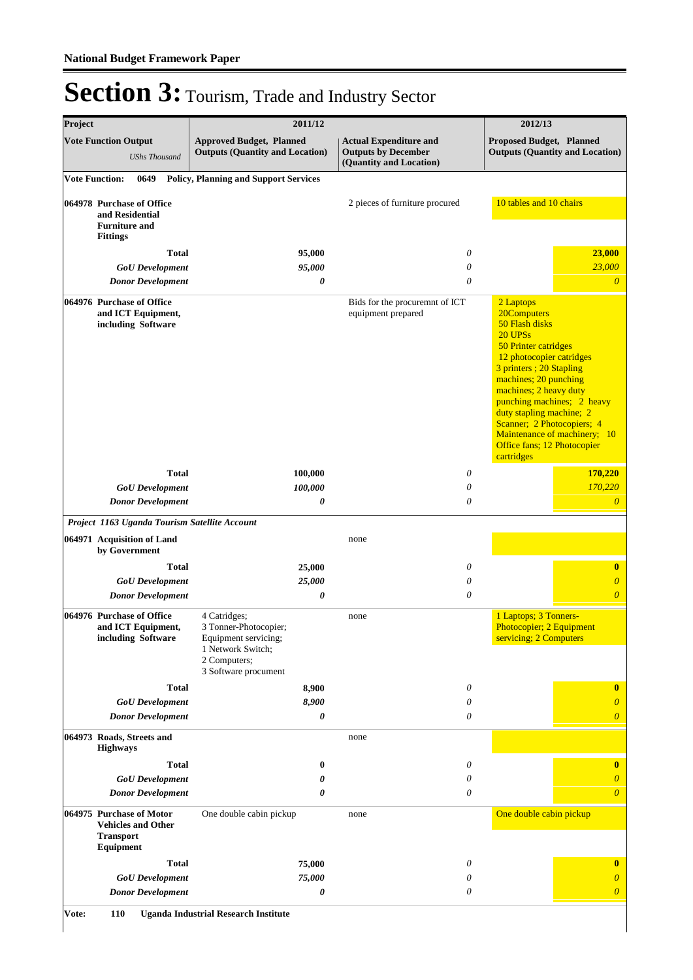| Project |                                                                                   | 2011/12                                                                                                                    | 2012/13                                                                                |                                                                                                                                                                                                                                                                                                                                                               |
|---------|-----------------------------------------------------------------------------------|----------------------------------------------------------------------------------------------------------------------------|----------------------------------------------------------------------------------------|---------------------------------------------------------------------------------------------------------------------------------------------------------------------------------------------------------------------------------------------------------------------------------------------------------------------------------------------------------------|
|         | <b>Vote Function Output</b><br><b>UShs Thousand</b>                               | <b>Approved Budget, Planned</b><br><b>Outputs (Quantity and Location)</b>                                                  | <b>Actual Expenditure and</b><br><b>Outputs by December</b><br>(Quantity and Location) | Proposed Budget, Planned<br><b>Outputs (Quantity and Location)</b>                                                                                                                                                                                                                                                                                            |
|         | <b>Vote Function:</b><br>0649                                                     | <b>Policy, Planning and Support Services</b>                                                                               |                                                                                        |                                                                                                                                                                                                                                                                                                                                                               |
|         | 064978 Purchase of Office<br>and Residential<br><b>Furniture and</b>              |                                                                                                                            | 2 pieces of furniture procured                                                         | 10 tables and 10 chairs                                                                                                                                                                                                                                                                                                                                       |
|         | <b>Fittings</b>                                                                   |                                                                                                                            |                                                                                        |                                                                                                                                                                                                                                                                                                                                                               |
|         | <b>Total</b>                                                                      | 95,000                                                                                                                     | 0                                                                                      | 23,000                                                                                                                                                                                                                                                                                                                                                        |
|         | <b>GoU</b> Development<br><b>Donor Development</b>                                | 95,000<br>$\boldsymbol{\theta}$                                                                                            | 0<br>0                                                                                 | 23,000<br>$\overline{0}$                                                                                                                                                                                                                                                                                                                                      |
|         | 064976 Purchase of Office<br>and ICT Equipment,<br>including Software             |                                                                                                                            | Bids for the procuremnt of ICT<br>equipment prepared                                   | 2 Laptops<br>20Computers<br>50 Flash disks<br>20 UPSs<br>50 Printer catridges<br>12 photocopier catridges<br>3 printers ; 20 Stapling<br>machines; 20 punching<br>machines; 2 heavy duty<br>punching machines; 2 heavy<br>duty stapling machine; 2<br>Scanner; 2 Photocopiers; 4<br>Maintenance of machinery; 10<br>Office fans; 12 Photocopier<br>cartridges |
|         | <b>Total</b>                                                                      | 100,000                                                                                                                    | 0                                                                                      | 170,220                                                                                                                                                                                                                                                                                                                                                       |
|         | <b>GoU</b> Development                                                            | 100,000                                                                                                                    | 0                                                                                      | 170,220                                                                                                                                                                                                                                                                                                                                                       |
|         | <b>Donor Development</b>                                                          | 0                                                                                                                          | 0                                                                                      | $\overline{\theta}$                                                                                                                                                                                                                                                                                                                                           |
|         | Project 1163 Uganda Tourism Satellite Account                                     |                                                                                                                            |                                                                                        |                                                                                                                                                                                                                                                                                                                                                               |
|         | 064971 Acquisition of Land<br>by Government                                       |                                                                                                                            | none                                                                                   |                                                                                                                                                                                                                                                                                                                                                               |
|         | <b>Total</b>                                                                      | 25,000                                                                                                                     | 0                                                                                      | $\bf{0}$                                                                                                                                                                                                                                                                                                                                                      |
|         | <b>GoU</b> Development<br><b>Donor Development</b>                                | 25,000<br>0                                                                                                                | $\theta$<br>0                                                                          | $\overline{\theta}$<br>$\overline{\theta}$                                                                                                                                                                                                                                                                                                                    |
|         | 064976 Purchase of Office<br>and ICT Equipment,<br>including Software             | 4 Catridges;<br>3 Tonner-Photocopier;<br>Equipment servicing;<br>1 Network Switch;<br>2 Computers;<br>3 Software procument | none                                                                                   | 1 Laptops; 3 Tonners-<br>Photocopier; 2 Equipment<br>servicing; 2 Computers                                                                                                                                                                                                                                                                                   |
|         | <b>Total</b>                                                                      | 8,900                                                                                                                      | 0                                                                                      | $\bf{0}$                                                                                                                                                                                                                                                                                                                                                      |
|         | <b>GoU</b> Development                                                            | 8,900                                                                                                                      | 0                                                                                      | 0                                                                                                                                                                                                                                                                                                                                                             |
|         | <b>Donor Development</b>                                                          | 0                                                                                                                          | 0                                                                                      | $\overline{\theta}$                                                                                                                                                                                                                                                                                                                                           |
|         | 064973 Roads, Streets and<br><b>Highways</b>                                      |                                                                                                                            | none                                                                                   |                                                                                                                                                                                                                                                                                                                                                               |
|         | <b>Total</b>                                                                      | $\bf{0}$                                                                                                                   | 0                                                                                      | $\bf{0}$                                                                                                                                                                                                                                                                                                                                                      |
|         | <b>GoU</b> Development                                                            | 0                                                                                                                          | 0<br>0                                                                                 | $\theta$<br>$\overline{\theta}$                                                                                                                                                                                                                                                                                                                               |
|         | <b>Donor Development</b><br>064975 Purchase of Motor<br><b>Vehicles and Other</b> | 0<br>One double cabin pickup                                                                                               | none                                                                                   | One double cabin pickup                                                                                                                                                                                                                                                                                                                                       |
|         | <b>Transport</b><br><b>Equipment</b>                                              |                                                                                                                            |                                                                                        |                                                                                                                                                                                                                                                                                                                                                               |
|         | <b>Total</b>                                                                      | 75,000                                                                                                                     | 0                                                                                      | $\bf{0}$                                                                                                                                                                                                                                                                                                                                                      |
|         | <b>GoU</b> Development                                                            | 75,000                                                                                                                     | 0                                                                                      | $\theta$                                                                                                                                                                                                                                                                                                                                                      |
|         | <b>Donor Development</b>                                                          | 0                                                                                                                          | 0                                                                                      | $\theta$                                                                                                                                                                                                                                                                                                                                                      |

**Vote: 110 Uganda Industrial Research Institute**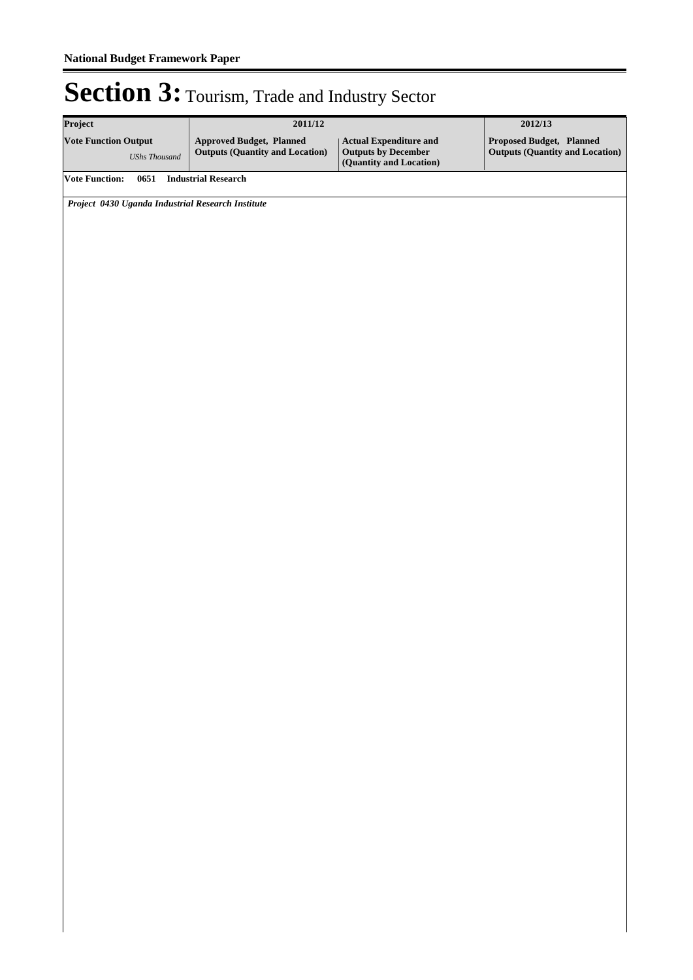| Project                                             | 2011/12                                                                   | 2012/13                                                                           |                                                                    |  |
|-----------------------------------------------------|---------------------------------------------------------------------------|-----------------------------------------------------------------------------------|--------------------------------------------------------------------|--|
| <b>Vote Function Output</b><br><b>UShs Thousand</b> | <b>Approved Budget, Planned</b><br><b>Outputs (Quantity and Location)</b> | <b>Actual Expenditure and<br/>Outputs by December<br/>(Quantity and Location)</b> | Proposed Budget, Planned<br><b>Outputs (Quantity and Location)</b> |  |
| <b>Vote Function:</b>                               | 0651 Industrial Research                                                  |                                                                                   |                                                                    |  |
| Project 0430 Uganda Industrial Research Institute   |                                                                           |                                                                                   |                                                                    |  |
|                                                     |                                                                           |                                                                                   |                                                                    |  |
|                                                     |                                                                           |                                                                                   |                                                                    |  |
|                                                     |                                                                           |                                                                                   |                                                                    |  |
|                                                     |                                                                           |                                                                                   |                                                                    |  |
|                                                     |                                                                           |                                                                                   |                                                                    |  |
|                                                     |                                                                           |                                                                                   |                                                                    |  |
|                                                     |                                                                           |                                                                                   |                                                                    |  |
|                                                     |                                                                           |                                                                                   |                                                                    |  |
|                                                     |                                                                           |                                                                                   |                                                                    |  |
|                                                     |                                                                           |                                                                                   |                                                                    |  |
|                                                     |                                                                           |                                                                                   |                                                                    |  |
|                                                     |                                                                           |                                                                                   |                                                                    |  |
|                                                     |                                                                           |                                                                                   |                                                                    |  |
|                                                     |                                                                           |                                                                                   |                                                                    |  |
|                                                     |                                                                           |                                                                                   |                                                                    |  |
|                                                     |                                                                           |                                                                                   |                                                                    |  |
|                                                     |                                                                           |                                                                                   |                                                                    |  |
|                                                     |                                                                           |                                                                                   |                                                                    |  |
|                                                     |                                                                           |                                                                                   |                                                                    |  |
|                                                     |                                                                           |                                                                                   |                                                                    |  |
|                                                     |                                                                           |                                                                                   |                                                                    |  |
|                                                     |                                                                           |                                                                                   |                                                                    |  |
|                                                     |                                                                           |                                                                                   |                                                                    |  |
|                                                     |                                                                           |                                                                                   |                                                                    |  |
|                                                     |                                                                           |                                                                                   |                                                                    |  |
|                                                     |                                                                           |                                                                                   |                                                                    |  |
|                                                     |                                                                           |                                                                                   |                                                                    |  |
|                                                     |                                                                           |                                                                                   |                                                                    |  |
|                                                     |                                                                           |                                                                                   |                                                                    |  |
|                                                     |                                                                           |                                                                                   |                                                                    |  |
|                                                     |                                                                           |                                                                                   |                                                                    |  |
|                                                     |                                                                           |                                                                                   |                                                                    |  |
|                                                     |                                                                           |                                                                                   |                                                                    |  |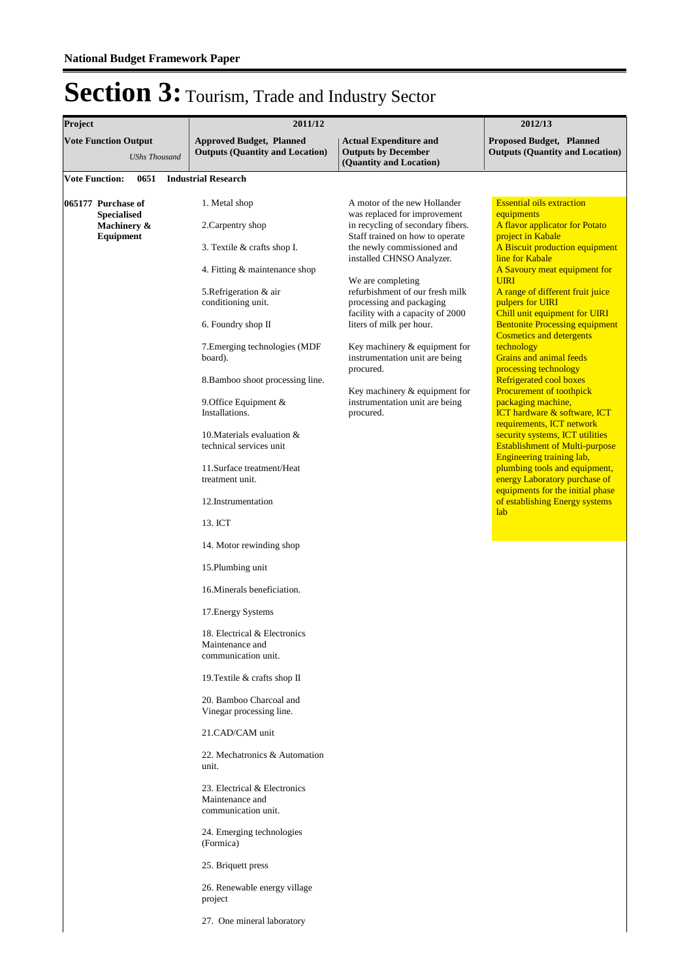| Project                                                              | 2011/12                                                                                                                                                                                                                                                                                                                                                                                                                                                                                                                                                                                                                                                                                                                                                                                                                                                                                         | 2012/13                                                                                                                                                                                                                                                                                                                                                                                                                                                                                                             |                                                                                                                                                                                                                                                                                                                                                                                                                                                                                                                                                                                                                                                                                                                                                                                                                                                           |  |  |
|----------------------------------------------------------------------|-------------------------------------------------------------------------------------------------------------------------------------------------------------------------------------------------------------------------------------------------------------------------------------------------------------------------------------------------------------------------------------------------------------------------------------------------------------------------------------------------------------------------------------------------------------------------------------------------------------------------------------------------------------------------------------------------------------------------------------------------------------------------------------------------------------------------------------------------------------------------------------------------|---------------------------------------------------------------------------------------------------------------------------------------------------------------------------------------------------------------------------------------------------------------------------------------------------------------------------------------------------------------------------------------------------------------------------------------------------------------------------------------------------------------------|-----------------------------------------------------------------------------------------------------------------------------------------------------------------------------------------------------------------------------------------------------------------------------------------------------------------------------------------------------------------------------------------------------------------------------------------------------------------------------------------------------------------------------------------------------------------------------------------------------------------------------------------------------------------------------------------------------------------------------------------------------------------------------------------------------------------------------------------------------------|--|--|
| <b>Vote Function Output</b><br><b>UShs Thousand</b>                  | <b>Approved Budget, Planned</b><br><b>Outputs (Quantity and Location)</b>                                                                                                                                                                                                                                                                                                                                                                                                                                                                                                                                                                                                                                                                                                                                                                                                                       | <b>Actual Expenditure and</b><br><b>Outputs by December</b><br>(Quantity and Location)                                                                                                                                                                                                                                                                                                                                                                                                                              | <b>Proposed Budget, Planned</b><br><b>Outputs (Quantity and Location)</b>                                                                                                                                                                                                                                                                                                                                                                                                                                                                                                                                                                                                                                                                                                                                                                                 |  |  |
| <b>Vote Function:</b><br>0651                                        | <b>Industrial Research</b>                                                                                                                                                                                                                                                                                                                                                                                                                                                                                                                                                                                                                                                                                                                                                                                                                                                                      |                                                                                                                                                                                                                                                                                                                                                                                                                                                                                                                     |                                                                                                                                                                                                                                                                                                                                                                                                                                                                                                                                                                                                                                                                                                                                                                                                                                                           |  |  |
| 065177 Purchase of<br><b>Specialised</b><br>Machinery &<br>Equipment | 1. Metal shop<br>2. Carpentry shop<br>3. Textile & crafts shop I.<br>4. Fitting & maintenance shop<br>5. Refrigeration & air<br>conditioning unit.<br>6. Foundry shop II<br>7. Emerging technologies (MDF<br>board).<br>8. Bamboo shoot processing line.<br>9. Office Equipment $&$<br>Installations.<br>10. Materials evaluation $\&$<br>technical services unit<br>11. Surface treatment/Heat<br>treatment unit.<br>12. Instrumentation<br>13. ICT<br>14. Motor rewinding shop<br>15. Plumbing unit<br>16. Minerals beneficiation.<br>17. Energy Systems<br>18. Electrical & Electronics<br>Maintenance and<br>communication unit.<br>19. Textile & crafts shop II<br>20. Bamboo Charcoal and<br>Vinegar processing line.<br>21.CAD/CAM unit<br>22. Mechatronics & Automation<br>unit.<br>23. Electrical & Electronics<br>Maintenance and<br>communication unit.<br>24. Emerging technologies | A motor of the new Hollander<br>was replaced for improvement<br>in recycling of secondary fibers.<br>Staff trained on how to operate<br>the newly commissioned and<br>installed CHNSO Analyzer.<br>We are completing<br>refurbishment of our fresh milk<br>processing and packaging<br>facility with a capacity of 2000<br>liters of milk per hour.<br>Key machinery & equipment for<br>instrumentation unit are being<br>procured.<br>Key machinery & equipment for<br>instrumentation unit are being<br>procured. | <b>Essential oils extraction</b><br>equipments<br>A flavor applicator for Potato<br>project in Kabale<br>A Biscuit production equipment<br>line for Kabale<br>A Savoury meat equipment for<br><b>UIRI</b><br>A range of different fruit juice<br>pulpers for UIRI<br>Chill unit equipment for UIRI<br><b>Bentonite Processing equipment</b><br><b>Cosmetics and detergents</b><br>technology<br>Grains and animal feeds<br>processing technology<br>Refrigerated cool boxes<br><b>Procurement of toothpick</b><br>packaging machine,<br>ICT hardware & software, ICT<br>requirements, ICT network<br>security systems, ICT utilities<br><b>Establishment of Multi-purpose</b><br>Engineering training lab,<br>plumbing tools and equipment,<br>energy Laboratory purchase of<br>equipments for the initial phase<br>of establishing Energy systems<br>lab |  |  |
|                                                                      | (Formica)<br>25. Briquett press<br>26. Renewable energy village<br>project<br>27. One mineral laboratory                                                                                                                                                                                                                                                                                                                                                                                                                                                                                                                                                                                                                                                                                                                                                                                        |                                                                                                                                                                                                                                                                                                                                                                                                                                                                                                                     |                                                                                                                                                                                                                                                                                                                                                                                                                                                                                                                                                                                                                                                                                                                                                                                                                                                           |  |  |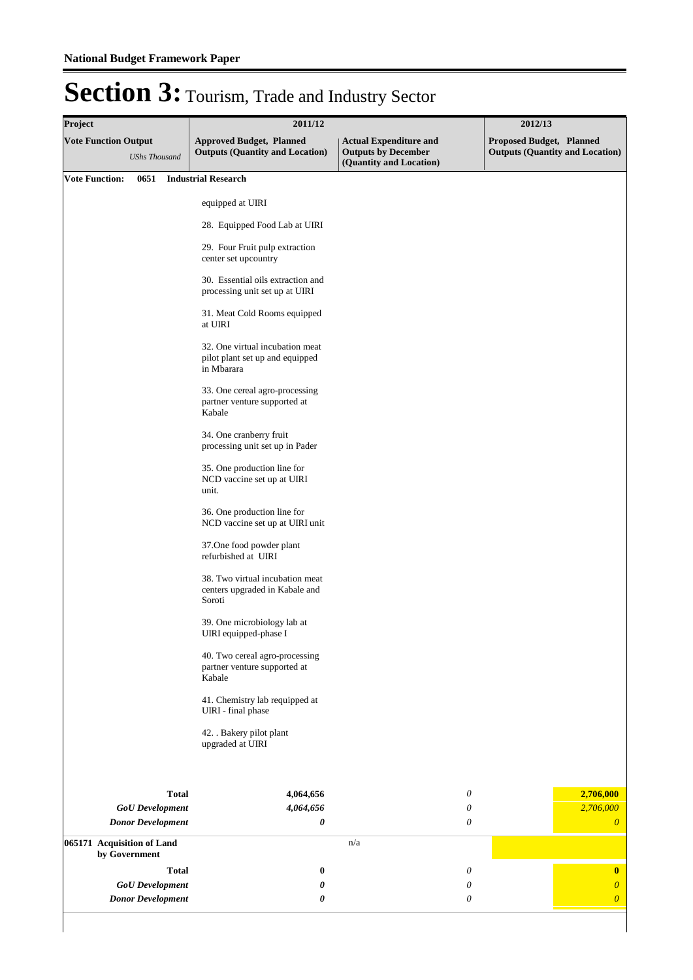| Project                                     |                          | 2011/12                                                                          | 2012/13                                                                                |                                                                    |  |
|---------------------------------------------|--------------------------|----------------------------------------------------------------------------------|----------------------------------------------------------------------------------------|--------------------------------------------------------------------|--|
| <b>Vote Function Output</b>                 | <b>UShs Thousand</b>     | <b>Approved Budget, Planned</b><br><b>Outputs (Quantity and Location)</b>        | <b>Actual Expenditure and</b><br><b>Outputs by December</b><br>(Quantity and Location) | Proposed Budget, Planned<br><b>Outputs (Quantity and Location)</b> |  |
| <b>Vote Function:</b>                       |                          | 0651 Industrial Research                                                         |                                                                                        |                                                                    |  |
|                                             |                          | equipped at UIRI                                                                 |                                                                                        |                                                                    |  |
|                                             |                          | 28. Equipped Food Lab at UIRI                                                    |                                                                                        |                                                                    |  |
|                                             |                          | 29. Four Fruit pulp extraction<br>center set upcountry                           |                                                                                        |                                                                    |  |
|                                             |                          | 30. Essential oils extraction and<br>processing unit set up at UIRI              |                                                                                        |                                                                    |  |
|                                             |                          | 31. Meat Cold Rooms equipped<br>at UIRI                                          |                                                                                        |                                                                    |  |
|                                             |                          | 32. One virtual incubation meat<br>pilot plant set up and equipped<br>in Mbarara |                                                                                        |                                                                    |  |
|                                             |                          | 33. One cereal agro-processing<br>partner venture supported at<br>Kabale         |                                                                                        |                                                                    |  |
|                                             |                          | 34. One cranberry fruit<br>processing unit set up in Pader                       |                                                                                        |                                                                    |  |
|                                             |                          | 35. One production line for<br>NCD vaccine set up at UIRI<br>unit.               |                                                                                        |                                                                    |  |
|                                             |                          | 36. One production line for<br>NCD vaccine set up at UIRI unit                   |                                                                                        |                                                                    |  |
|                                             |                          | 37. One food powder plant<br>refurbished at UIRI                                 |                                                                                        |                                                                    |  |
|                                             |                          | 38. Two virtual incubation meat<br>centers upgraded in Kabale and<br>Soroti      |                                                                                        |                                                                    |  |
|                                             |                          | 39. One microbiology lab at<br>UIRI equipped-phase I                             |                                                                                        |                                                                    |  |
|                                             |                          | 40. Two cereal agro-processing<br>partner venture supported at<br>Kabale         |                                                                                        |                                                                    |  |
|                                             |                          | 41. Chemistry lab requipped at<br>UIRI - final phase                             |                                                                                        |                                                                    |  |
|                                             |                          | 42. . Bakery pilot plant<br>upgraded at UIRI                                     |                                                                                        |                                                                    |  |
|                                             | <b>Total</b>             | 4,064,656                                                                        | 0                                                                                      | 2,706,000                                                          |  |
|                                             | <b>GoU</b> Development   | 4,064,656                                                                        | 0                                                                                      | 2,706,000                                                          |  |
|                                             | <b>Donor Development</b> | 0                                                                                | 0                                                                                      | $\boldsymbol{\theta}$                                              |  |
| 065171 Acquisition of Land<br>by Government |                          |                                                                                  | n/a                                                                                    |                                                                    |  |
|                                             | <b>Total</b>             | $\bf{0}$                                                                         | 0                                                                                      | $\bf{0}$                                                           |  |
|                                             | <b>GoU</b> Development   | 0                                                                                | 0                                                                                      | $\boldsymbol{0}$                                                   |  |
|                                             | <b>Donor Development</b> | 0                                                                                | 0                                                                                      | $\boldsymbol{\theta}$                                              |  |
|                                             |                          |                                                                                  |                                                                                        |                                                                    |  |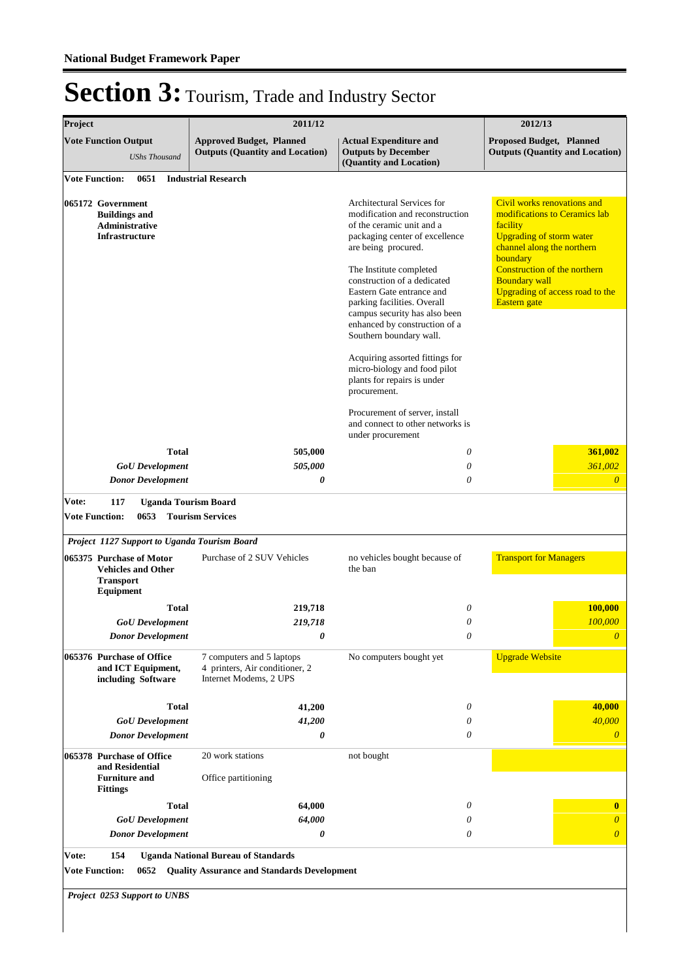| Project                                                                                       |              | 2011/12                                                                               |                                                                                                                                                                                       | 2012/13                                                                                                                                                                                      |
|-----------------------------------------------------------------------------------------------|--------------|---------------------------------------------------------------------------------------|---------------------------------------------------------------------------------------------------------------------------------------------------------------------------------------|----------------------------------------------------------------------------------------------------------------------------------------------------------------------------------------------|
| <b>Vote Function Output</b><br><b>UShs Thousand</b>                                           |              | <b>Approved Budget, Planned</b><br><b>Outputs (Quantity and Location)</b>             | <b>Actual Expenditure and</b><br><b>Outputs by December</b><br>(Quantity and Location)                                                                                                | <b>Proposed Budget, Planned</b><br><b>Outputs (Quantity and Location)</b>                                                                                                                    |
| <b>Vote Function:</b><br>0651                                                                 |              | <b>Industrial Research</b>                                                            |                                                                                                                                                                                       |                                                                                                                                                                                              |
| 065172 Government<br><b>Buildings and</b><br>Administrative<br><b>Infrastructure</b>          |              |                                                                                       | <b>Architectural Services for</b><br>modification and reconstruction<br>of the ceramic unit and a<br>packaging center of excellence<br>are being procured.<br>The Institute completed | Civil works renovations and<br>modifications to Ceramics lab<br>facility<br><b>Upgrading of storm water</b><br>channel along the northern<br>boundary<br><b>Construction of the northern</b> |
|                                                                                               |              |                                                                                       | construction of a dedicated<br>Eastern Gate entrance and<br>parking facilities. Overall<br>campus security has also been<br>enhanced by construction of a<br>Southern boundary wall.  | <b>Boundary wall</b><br>Upgrading of access road to the<br>Eastern gate                                                                                                                      |
|                                                                                               |              |                                                                                       | Acquiring assorted fittings for<br>micro-biology and food pilot<br>plants for repairs is under<br>procurement.                                                                        |                                                                                                                                                                                              |
|                                                                                               |              |                                                                                       | Procurement of server, install<br>and connect to other networks is<br>under procurement                                                                                               |                                                                                                                                                                                              |
|                                                                                               | <b>Total</b> | 505,000                                                                               | 0                                                                                                                                                                                     | 361,002                                                                                                                                                                                      |
| <b>GoU</b> Development                                                                        |              | 505,000                                                                               | 0                                                                                                                                                                                     | 361,002                                                                                                                                                                                      |
| <b>Donor Development</b>                                                                      |              | $\theta$                                                                              | $\theta$                                                                                                                                                                              | $\theta$                                                                                                                                                                                     |
| Vote:<br>117<br><b>Vote Function:</b><br>0653<br>Project 1127 Support to Uganda Tourism Board |              | <b>Uganda Tourism Board</b><br><b>Tourism Services</b>                                |                                                                                                                                                                                       |                                                                                                                                                                                              |
| 065375 Purchase of Motor<br><b>Vehicles and Other</b><br><b>Transport</b><br>Equipment        |              | Purchase of 2 SUV Vehicles                                                            | no vehicles bought because of<br>the ban                                                                                                                                              | <b>Transport for Managers</b>                                                                                                                                                                |
|                                                                                               | <b>Total</b> | 219,718                                                                               | 0                                                                                                                                                                                     | 100,000                                                                                                                                                                                      |
| <b>GoU</b> Development                                                                        |              | 219,718                                                                               | $\theta$                                                                                                                                                                              | 100,000                                                                                                                                                                                      |
| <b>Donor Development</b>                                                                      |              | 0                                                                                     | $\theta$                                                                                                                                                                              | $\theta$                                                                                                                                                                                     |
| 065376 Purchase of Office<br>and ICT Equipment,<br>including Software                         |              | 7 computers and 5 laptops<br>4 printers, Air conditioner, 2<br>Internet Modems, 2 UPS | No computers bought yet                                                                                                                                                               | <b>Upgrade Website</b>                                                                                                                                                                       |
|                                                                                               | <b>Total</b> | 41,200                                                                                | 0                                                                                                                                                                                     | 40,000                                                                                                                                                                                       |
| <b>GoU</b> Development                                                                        |              | 41,200                                                                                | 0                                                                                                                                                                                     | 40,000                                                                                                                                                                                       |
| <b>Donor Development</b>                                                                      |              | 0                                                                                     | 0                                                                                                                                                                                     | $\boldsymbol{\theta}$                                                                                                                                                                        |
| 065378 Purchase of Office<br>and Residential                                                  |              | 20 work stations                                                                      | not bought                                                                                                                                                                            |                                                                                                                                                                                              |
| <b>Furniture and</b><br><b>Fittings</b>                                                       |              | Office partitioning                                                                   |                                                                                                                                                                                       |                                                                                                                                                                                              |
|                                                                                               | <b>Total</b> | 64,000<br>64,000                                                                      | 0                                                                                                                                                                                     | $\bf{0}$                                                                                                                                                                                     |
| <b>GoU</b> Development<br><b>Donor Development</b>                                            |              | 0                                                                                     | 0<br>0                                                                                                                                                                                | $\boldsymbol{\theta}$<br>$\boldsymbol{\theta}$                                                                                                                                               |
|                                                                                               |              |                                                                                       |                                                                                                                                                                                       |                                                                                                                                                                                              |
| Vote:<br>154                                                                                  |              | <b>Uganda National Bureau of Standards</b>                                            |                                                                                                                                                                                       |                                                                                                                                                                                              |
| <b>Vote Function:</b><br>0652                                                                 |              | <b>Quality Assurance and Standards Development</b>                                    |                                                                                                                                                                                       |                                                                                                                                                                                              |
| Project 0253 Support to UNBS                                                                  |              |                                                                                       |                                                                                                                                                                                       |                                                                                                                                                                                              |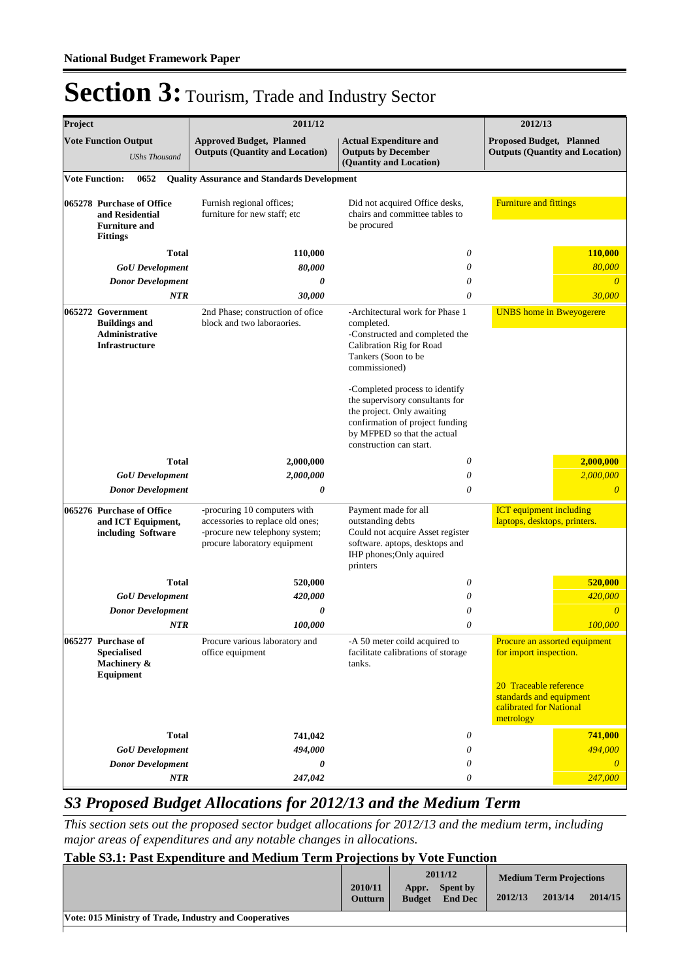| Project                                                                                 |                                                                                             | 2011/12                                                                   |                                                                                                                                                                                                                                                                                                                                                     | 2012/13                                                                                   |
|-----------------------------------------------------------------------------------------|---------------------------------------------------------------------------------------------|---------------------------------------------------------------------------|-----------------------------------------------------------------------------------------------------------------------------------------------------------------------------------------------------------------------------------------------------------------------------------------------------------------------------------------------------|-------------------------------------------------------------------------------------------|
|                                                                                         | <b>Vote Function Output</b><br><b>UShs Thousand</b>                                         | <b>Approved Budget, Planned</b><br><b>Outputs (Quantity and Location)</b> | <b>Actual Expenditure and</b><br><b>Outputs by December</b><br>(Quantity and Location)                                                                                                                                                                                                                                                              | <b>Proposed Budget, Planned</b><br><b>Outputs (Quantity and Location)</b>                 |
| <b>Vote Function:</b>                                                                   | 0652                                                                                        | <b>Quality Assurance and Standards Development</b>                        |                                                                                                                                                                                                                                                                                                                                                     |                                                                                           |
| 065278 Purchase of Office<br>and Residential<br><b>Furniture and</b><br><b>Fittings</b> |                                                                                             | Furnish regional offices;<br>furniture for new staff; etc                 | Did not acquired Office desks,<br>chairs and committee tables to<br>be procured                                                                                                                                                                                                                                                                     | <b>Furniture and fittings</b>                                                             |
|                                                                                         | Total                                                                                       | 110,000                                                                   | 0                                                                                                                                                                                                                                                                                                                                                   | 110,000                                                                                   |
|                                                                                         | <b>GoU</b> Development                                                                      | 80,000                                                                    | 0                                                                                                                                                                                                                                                                                                                                                   | 80,000                                                                                    |
|                                                                                         | <b>Donor Development</b>                                                                    | 0                                                                         | 0                                                                                                                                                                                                                                                                                                                                                   |                                                                                           |
|                                                                                         | NTR                                                                                         | 30,000                                                                    | 0                                                                                                                                                                                                                                                                                                                                                   | 30,000                                                                                    |
|                                                                                         | 065272 Government<br><b>Buildings and</b><br><b>Administrative</b><br><b>Infrastructure</b> | 2nd Phase; construction of ofice<br>block and two laboraories.            | -Architectural work for Phase 1<br>completed.<br>-Constructed and completed the<br>Calibration Rig for Road<br>Tankers (Soon to be<br>commissioned)<br>-Completed process to identify<br>the supervisory consultants for<br>the project. Only awaiting<br>confirmation of project funding<br>by MFPED so that the actual<br>construction can start. | <b>UNBS</b> home in Bweyogerere                                                           |
|                                                                                         | Total                                                                                       | 2,000,000                                                                 | 0                                                                                                                                                                                                                                                                                                                                                   | 2,000,000                                                                                 |
|                                                                                         | <b>GoU</b> Development                                                                      | 2,000,000                                                                 | 0                                                                                                                                                                                                                                                                                                                                                   | 2,000,000                                                                                 |
|                                                                                         | <b>Donor Development</b>                                                                    | 0                                                                         | 0                                                                                                                                                                                                                                                                                                                                                   | 0                                                                                         |
|                                                                                         | 065276 Purchase of Office<br>and ICT Equipment,                                             | -procuring 10 computers with<br>accessories to replace old ones;          | Payment made for all<br>outstanding debts                                                                                                                                                                                                                                                                                                           | <b>ICT</b> equipment including<br>laptops, desktops, printers.                            |
|                                                                                         | including Software                                                                          | -procure new telephony system;<br>procure laboratory equipment            | Could not acquire Asset register<br>software. aptops, desktops and<br>IHP phones; Only aquired<br>printers                                                                                                                                                                                                                                          |                                                                                           |
|                                                                                         | <b>Total</b>                                                                                | 520,000                                                                   | 0                                                                                                                                                                                                                                                                                                                                                   | 520,000                                                                                   |
|                                                                                         | <b>GoU</b> Development                                                                      | 420,000                                                                   | 0                                                                                                                                                                                                                                                                                                                                                   | 420,000                                                                                   |
|                                                                                         | <b>Donor Development</b>                                                                    | 0                                                                         | 0                                                                                                                                                                                                                                                                                                                                                   | $\overline{\theta}$                                                                       |
|                                                                                         | <b>NTR</b>                                                                                  | 100,000                                                                   | 0                                                                                                                                                                                                                                                                                                                                                   | 100,000                                                                                   |
|                                                                                         | 065277 Purchase of<br><b>Specialised</b><br>Machinery &<br>Equipment                        | Procure various laboratory and<br>office equipment                        | -A 50 meter coild acquired to<br>facilitate calibrations of storage<br>tanks.                                                                                                                                                                                                                                                                       | Procure an assorted equipment<br>for import inspection.                                   |
|                                                                                         |                                                                                             |                                                                           |                                                                                                                                                                                                                                                                                                                                                     | 20 Traceable reference<br>standards and equipment<br>calibrated for National<br>metrology |
|                                                                                         | <b>Total</b>                                                                                | 741,042                                                                   | 0                                                                                                                                                                                                                                                                                                                                                   | 741,000                                                                                   |
|                                                                                         | <b>GoU</b> Development                                                                      | 494,000                                                                   | 0                                                                                                                                                                                                                                                                                                                                                   | 494,000                                                                                   |
|                                                                                         | <b>Donor Development</b><br>NTR                                                             | 0<br>247,042                                                              | 0<br>0                                                                                                                                                                                                                                                                                                                                              | 0<br>247,000                                                                              |

### *S3 Proposed Budget Allocations for 2012/13 and the Medium Term*

*This section sets out the proposed sector budget allocations for 2012/13 and the medium term, including major areas of expenditures and any notable changes in allocations.* 

#### **Table S3.1: Past Expenditure and Medium Term Projections by Vote Function**

|                                                        | 2010/11 | 2011/12                |                            | <b>Medium Term Projections</b> |         |         |
|--------------------------------------------------------|---------|------------------------|----------------------------|--------------------------------|---------|---------|
|                                                        | Outturn | Appr.<br><b>Budget</b> | Spent by<br><b>End Dec</b> | 2012/13                        | 2013/14 | 2014/15 |
| Vote: 015 Ministry of Trade, Industry and Cooperatives |         |                        |                            |                                |         |         |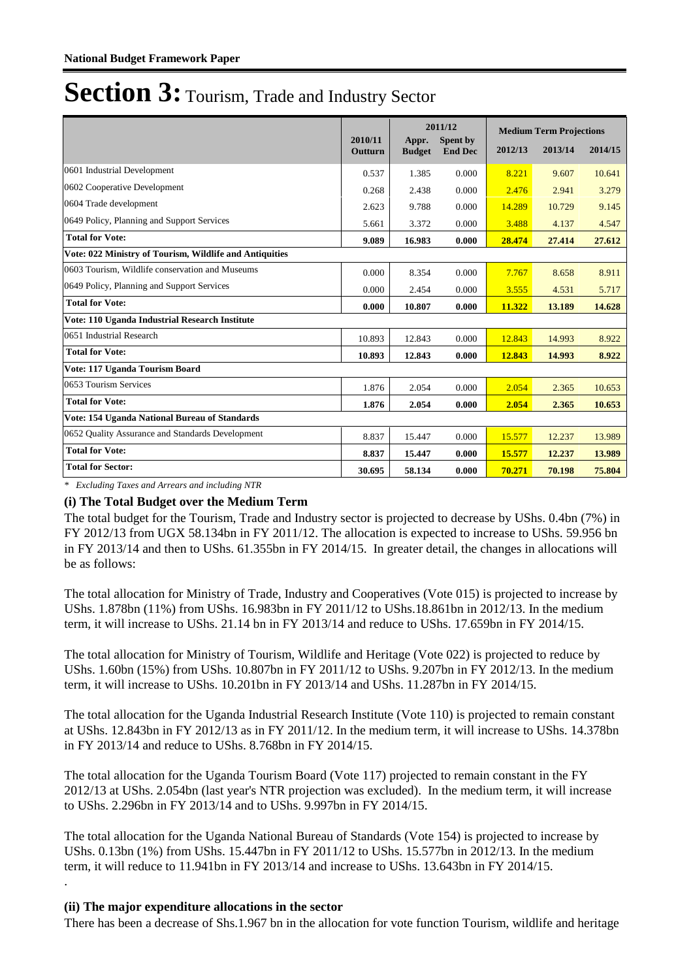|                                                         |                           | 2011/12                |                            | <b>Medium Term Projections</b> |         |         |  |
|---------------------------------------------------------|---------------------------|------------------------|----------------------------|--------------------------------|---------|---------|--|
|                                                         | 2010/11<br><b>Outturn</b> | Appr.<br><b>Budget</b> | Spent by<br><b>End Dec</b> | 2012/13                        | 2013/14 | 2014/15 |  |
| 0601 Industrial Development                             | 0.537                     | 1.385                  | 0.000                      | 8.221                          | 9.607   | 10.641  |  |
| 0602 Cooperative Development                            | 0.268                     | 2.438                  | 0.000                      | 2.476                          | 2.941   | 3.279   |  |
| 0604 Trade development                                  | 2.623                     | 9.788                  | 0.000                      | 14.289                         | 10.729  | 9.145   |  |
| 0649 Policy, Planning and Support Services              | 5.661                     | 3.372                  | 0.000                      | 3.488                          | 4.137   | 4.547   |  |
| <b>Total for Vote:</b>                                  | 9.089                     | 16.983                 | 0.000                      | 28.474                         | 27.414  | 27.612  |  |
| Vote: 022 Ministry of Tourism, Wildlife and Antiquities |                           |                        |                            |                                |         |         |  |
| 0603 Tourism, Wildlife conservation and Museums         | 0.000                     | 8.354                  | 0.000                      | 7.767                          | 8.658   | 8.911   |  |
| 0649 Policy, Planning and Support Services              | 0.000                     | 2.454                  | 0.000                      | 3.555                          | 4.531   | 5.717   |  |
| <b>Total for Vote:</b>                                  | 0.000                     | 10.807                 | 0.000                      | 11.322                         | 13.189  | 14.628  |  |
| Vote: 110 Uganda Industrial Research Institute          |                           |                        |                            |                                |         |         |  |
| 0651 Industrial Research                                | 10.893                    | 12.843                 | 0.000                      | 12.843                         | 14.993  | 8.922   |  |
| <b>Total for Vote:</b>                                  | 10.893                    | 12.843                 | 0.000                      | 12.843                         | 14.993  | 8.922   |  |
| Vote: 117 Uganda Tourism Board                          |                           |                        |                            |                                |         |         |  |
| 0653 Tourism Services                                   | 1.876                     | 2.054                  | 0.000                      | 2.054                          | 2.365   | 10.653  |  |
| <b>Total for Vote:</b>                                  | 1.876                     | 2.054                  | 0.000                      | 2.054                          | 2.365   | 10.653  |  |
| Vote: 154 Uganda National Bureau of Standards           |                           |                        |                            |                                |         |         |  |
| 0652 Ouality Assurance and Standards Development        | 8.837                     | 15.447                 | 0.000                      | 15.577                         | 12.237  | 13.989  |  |
| <b>Total for Vote:</b>                                  | 8.837                     | 15.447                 | 0.000                      | 15.577                         | 12.237  | 13.989  |  |
| <b>Total for Sector:</b>                                | 30.695                    | 58.134                 | 0.000                      | 70.271                         | 70.198  | 75.804  |  |

*\* Excluding Taxes and Arrears and including NTR*

#### **(i) The Total Budget over the Medium Term**

The total budget for the Tourism, Trade and Industry sector is projected to decrease by UShs. 0.4bn (7%) in FY 2012/13 from UGX 58.134bn in FY 2011/12. The allocation is expected to increase to UShs. 59.956 bn in FY 2013/14 and then to UShs. 61.355bn in FY 2014/15. In greater detail, the changes in allocations will be as follows:

The total allocation for Ministry of Trade, Industry and Cooperatives (Vote 015) is projected to increase by UShs. 1.878bn (11%) from UShs. 16.983bn in FY 2011/12 to UShs.18.861bn in 2012/13. In the medium term, it will increase to UShs. 21.14 bn in FY 2013/14 and reduce to UShs. 17.659bn in FY 2014/15.

The total allocation for Ministry of Tourism, Wildlife and Heritage (Vote 022) is projected to reduce by UShs. 1.60bn (15%) from UShs. 10.807bn in FY 2011/12 to UShs. 9.207bn in FY 2012/13. In the medium term, it will increase to UShs. 10.201bn in FY 2013/14 and UShs. 11.287bn in FY 2014/15.

The total allocation for the Uganda Industrial Research Institute (Vote 110) is projected to remain constant at UShs. 12.843bn in FY 2012/13 as in FY 2011/12. In the medium term, it will increase to UShs. 14.378bn in FY 2013/14 and reduce to UShs. 8.768bn in FY 2014/15.

The total allocation for the Uganda Tourism Board (Vote 117) projected to remain constant in the FY 2012/13 at UShs. 2.054bn (last year's NTR projection was excluded). In the medium term, it will increase to UShs. 2.296bn in FY 2013/14 and to UShs. 9.997bn in FY 2014/15.

The total allocation for the Uganda National Bureau of Standards (Vote 154) is projected to increase by UShs. 0.13bn (1%) from UShs. 15.447bn in FY 2011/12 to UShs. 15.577bn in 2012/13. In the medium term, it will reduce to 11.941bn in FY 2013/14 and increase to UShs. 13.643bn in FY 2014/15.

#### **(ii) The major expenditure allocations in the sector**

.

There has been a decrease of Shs.1.967 bn in the allocation for vote function Tourism, wildlife and heritage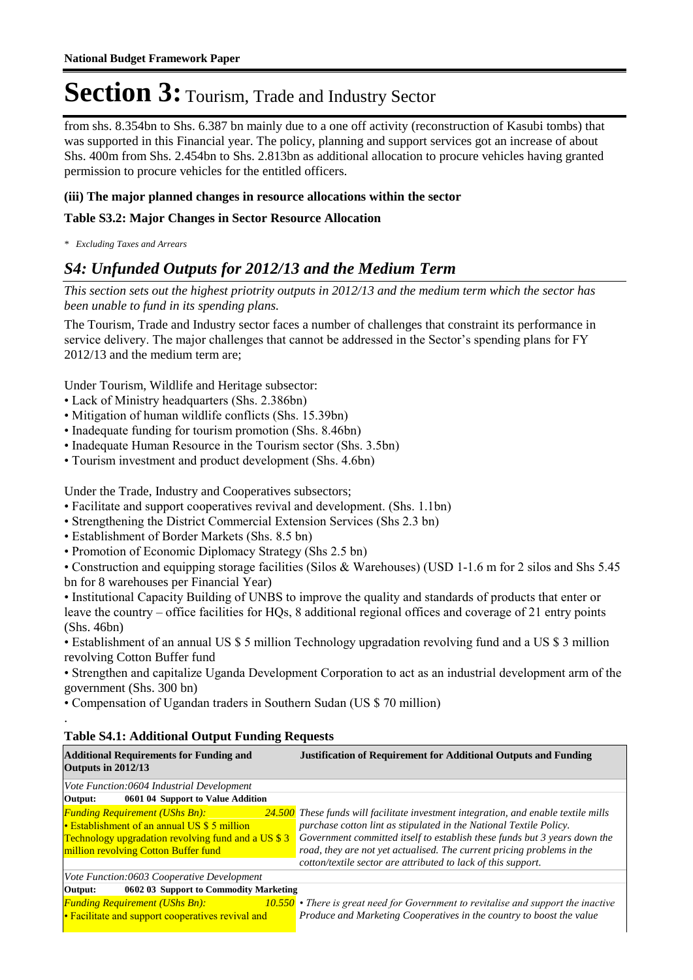from shs. 8.354bn to Shs. 6.387 bn mainly due to a one off activity (reconstruction of Kasubi tombs) that was supported in this Financial year. The policy, planning and support services got an increase of about Shs. 400m from Shs. 2.454bn to Shs. 2.813bn as additional allocation to procure vehicles having granted permission to procure vehicles for the entitled officers.

#### **(iii) The major planned changes in resource allocations within the sector**

#### **Table S3.2: Major Changes in Sector Resource Allocation**

*\* Excluding Taxes and Arrears*

### *S4: Unfunded Outputs for 2012/13 and the Medium Term*

*This section sets out the highest priotrity outputs in 2012/13 and the medium term which the sector has been unable to fund in its spending plans.*

The Tourism, Trade and Industry sector faces a number of challenges that constraint its performance in service delivery. The major challenges that cannot be addressed in the Sector's spending plans for FY 2012/13 and the medium term are;

Under Tourism, Wildlife and Heritage subsector:

- Lack of Ministry headquarters (Shs. 2.386bn)
- Mitigation of human wildlife conflicts (Shs. 15.39bn)
- Inadequate funding for tourism promotion (Shs. 8.46bn)
- Inadequate Human Resource in the Tourism sector (Shs. 3.5bn)
- Tourism investment and product development (Shs. 4.6bn)

Under the Trade, Industry and Cooperatives subsectors;

- Facilitate and support cooperatives revival and development. (Shs. 1.1bn)
- Strengthening the District Commercial Extension Services (Shs 2.3 bn)
- Establishment of Border Markets (Shs. 8.5 bn)
- Promotion of Economic Diplomacy Strategy (Shs 2.5 bn)

• Construction and equipping storage facilities (Silos & Warehouses) (USD 1-1.6 m for 2 silos and Shs 5.45 bn for 8 warehouses per Financial Year)

• Institutional Capacity Building of UNBS to improve the quality and standards of products that enter or leave the country – office facilities for HQs, 8 additional regional offices and coverage of 21 entry points (Shs. 46bn)

• Establishment of an annual US \$ 5 million Technology upgradation revolving fund and a US \$ 3 million revolving Cotton Buffer fund

• Strengthen and capitalize Uganda Development Corporation to act as an industrial development arm of the government (Shs. 300 bn)

• Compensation of Ugandan traders in Southern Sudan (US \$ 70 million)

#### **Table S4.1: Additional Output Funding Requests**

.

| <b>Additional Requirements for Funding and</b><br>Outputs in 2012/13                                                                                                                       | <b>Justification of Requirement for Additional Outputs and Funding</b>                                                                                                                                                                                                                                                                                                                   |
|--------------------------------------------------------------------------------------------------------------------------------------------------------------------------------------------|------------------------------------------------------------------------------------------------------------------------------------------------------------------------------------------------------------------------------------------------------------------------------------------------------------------------------------------------------------------------------------------|
| Vote Function:0604 Industrial Development                                                                                                                                                  |                                                                                                                                                                                                                                                                                                                                                                                          |
| 0601 04 Support to Value Addition<br>Output:                                                                                                                                               |                                                                                                                                                                                                                                                                                                                                                                                          |
| <b>Funding Requirement (UShs Bn):</b><br>• Establishment of an annual US \$ 5 million<br><b>Technology upgradation revolving fund and a US \$3</b><br>million revolving Cotton Buffer fund | <b>24.500</b> These funds will facilitate investment integration, and enable textile mills<br>purchase cotton lint as stipulated in the National Textile Policy.<br>Government committed itself to establish these funds but 3 years down the<br>road, they are not yet actualised. The current pricing problems in the<br>cotton/textile sector are attributed to lack of this support. |
| Vote Function:0603 Cooperative Development                                                                                                                                                 |                                                                                                                                                                                                                                                                                                                                                                                          |
| Output:<br>0602 03 Support to Commodity Marketing                                                                                                                                          |                                                                                                                                                                                                                                                                                                                                                                                          |
| <b>Funding Requirement (UShs Bn):</b><br>• Facilitate and support cooperatives revival and                                                                                                 | $10.550$ • There is great need for Government to revitalise and support the inactive<br>Produce and Marketing Cooperatives in the country to boost the value                                                                                                                                                                                                                             |